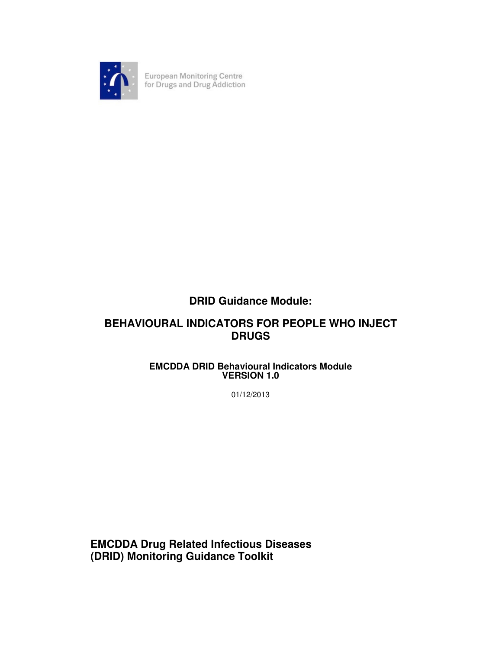

European Monitoring Centre<br>for Drugs and Drug Addiction

# **DRID Guidance Module:**

# **BEHAVIOURAL INDICATORS FOR PEOPLE WHO INJECT DRUGS**

## **EMCDDA DRID Behavioural Indicators Module VERSION 1.0**

01/12/2013

**EMCDDA Drug Related Infectious Diseases (DRID) Monitoring Guidance Toolkit**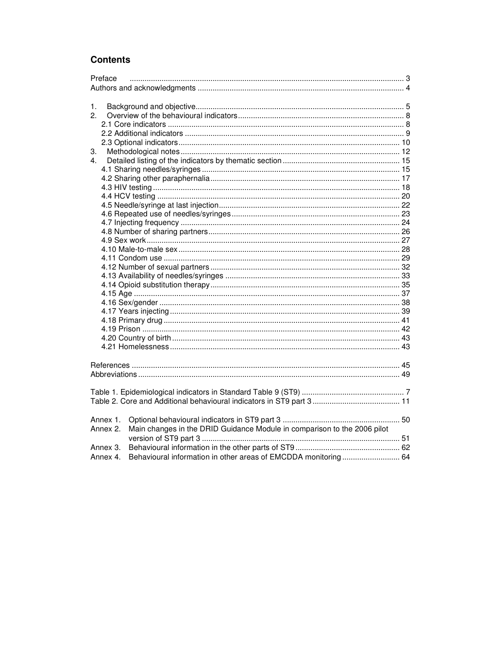## **Contents**

| Preface        |                                                                          |  |  |  |  |  |
|----------------|--------------------------------------------------------------------------|--|--|--|--|--|
|                |                                                                          |  |  |  |  |  |
|                |                                                                          |  |  |  |  |  |
| 1.             |                                                                          |  |  |  |  |  |
| 2.             |                                                                          |  |  |  |  |  |
|                |                                                                          |  |  |  |  |  |
|                |                                                                          |  |  |  |  |  |
|                |                                                                          |  |  |  |  |  |
| 3.             |                                                                          |  |  |  |  |  |
| $\overline{4}$ |                                                                          |  |  |  |  |  |
|                |                                                                          |  |  |  |  |  |
|                |                                                                          |  |  |  |  |  |
|                |                                                                          |  |  |  |  |  |
|                |                                                                          |  |  |  |  |  |
|                |                                                                          |  |  |  |  |  |
|                |                                                                          |  |  |  |  |  |
|                |                                                                          |  |  |  |  |  |
|                |                                                                          |  |  |  |  |  |
|                |                                                                          |  |  |  |  |  |
|                |                                                                          |  |  |  |  |  |
|                |                                                                          |  |  |  |  |  |
|                |                                                                          |  |  |  |  |  |
|                |                                                                          |  |  |  |  |  |
|                |                                                                          |  |  |  |  |  |
|                |                                                                          |  |  |  |  |  |
|                |                                                                          |  |  |  |  |  |
|                |                                                                          |  |  |  |  |  |
|                |                                                                          |  |  |  |  |  |
|                |                                                                          |  |  |  |  |  |
|                |                                                                          |  |  |  |  |  |
|                |                                                                          |  |  |  |  |  |
|                |                                                                          |  |  |  |  |  |
|                |                                                                          |  |  |  |  |  |
|                |                                                                          |  |  |  |  |  |
|                |                                                                          |  |  |  |  |  |
|                |                                                                          |  |  |  |  |  |
|                |                                                                          |  |  |  |  |  |
|                |                                                                          |  |  |  |  |  |
| Annex 1.       |                                                                          |  |  |  |  |  |
| Annex 2.       | Main changes in the DRID Guidance Module in comparison to the 2006 pilot |  |  |  |  |  |
|                |                                                                          |  |  |  |  |  |
| Annex 3.       |                                                                          |  |  |  |  |  |
| Annex 4.       | Behavioural information in other areas of EMCDDA monitoring 64           |  |  |  |  |  |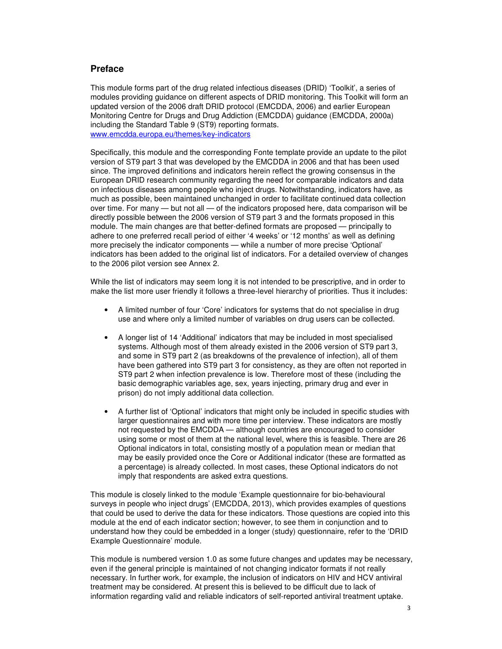## **Preface**

This module forms part of the drug related infectious diseases (DRID) 'Toolkit', a series of modules providing guidance on different aspects of DRID monitoring. This Toolkit will form an updated version of the 2006 draft DRID protocol (EMCDDA, 2006) and earlier European Monitoring Centre for Drugs and Drug Addiction (EMCDDA) guidance (EMCDDA, 2000a) including the Standard Table 9 (ST9) reporting formats. www.emcdda.europa.eu/themes/key-indicators

Specifically, this module and the corresponding Fonte template provide an update to the pilot version of ST9 part 3 that was developed by the EMCDDA in 2006 and that has been used since. The improved definitions and indicators herein reflect the growing consensus in the European DRID research community regarding the need for comparable indicators and data on infectious diseases among people who inject drugs. Notwithstanding, indicators have, as much as possible, been maintained unchanged in order to facilitate continued data collection over time. For many - but not all - of the indicators proposed here, data comparison will be directly possible between the 2006 version of ST9 part 3 and the formats proposed in this module. The main changes are that better-defined formats are proposed — principally to adhere to one preferred recall period of either '4 weeks' or '12 months' as well as defining more precisely the indicator components — while a number of more precise 'Optional' indicators has been added to the original list of indicators. For a detailed overview of changes to the 2006 pilot version see Annex 2.

While the list of indicators may seem long it is not intended to be prescriptive, and in order to make the list more user friendly it follows a three-level hierarchy of priorities. Thus it includes:

- A limited number of four 'Core' indicators for systems that do not specialise in drug use and where only a limited number of variables on drug users can be collected.
- A longer list of 14 'Additional' indicators that may be included in most specialised systems. Although most of them already existed in the 2006 version of ST9 part 3, and some in ST9 part 2 (as breakdowns of the prevalence of infection), all of them have been gathered into ST9 part 3 for consistency, as they are often not reported in ST9 part 2 when infection prevalence is low. Therefore most of these (including the basic demographic variables age, sex, years injecting, primary drug and ever in prison) do not imply additional data collection.
- A further list of 'Optional' indicators that might only be included in specific studies with larger questionnaires and with more time per interview. These indicators are mostly not requested by the EMCDDA — although countries are encouraged to consider using some or most of them at the national level, where this is feasible. There are 26 Optional indicators in total, consisting mostly of a population mean or median that may be easily provided once the Core or Additional indicator (these are formatted as a percentage) is already collected. In most cases, these Optional indicators do not imply that respondents are asked extra questions.

This module is closely linked to the module 'Example questionnaire for bio-behavioural surveys in people who inject drugs' (EMCDDA, 2013), which provides examples of questions that could be used to derive the data for these indicators. Those questions are copied into this module at the end of each indicator section; however, to see them in conjunction and to understand how they could be embedded in a longer (study) questionnaire, refer to the 'DRID Example Questionnaire' module.

This module is numbered version 1.0 as some future changes and updates may be necessary, even if the general principle is maintained of not changing indicator formats if not really necessary. In further work, for example, the inclusion of indicators on HIV and HCV antiviral treatment may be considered. At present this is believed to be difficult due to lack of information regarding valid and reliable indicators of self-reported antiviral treatment uptake.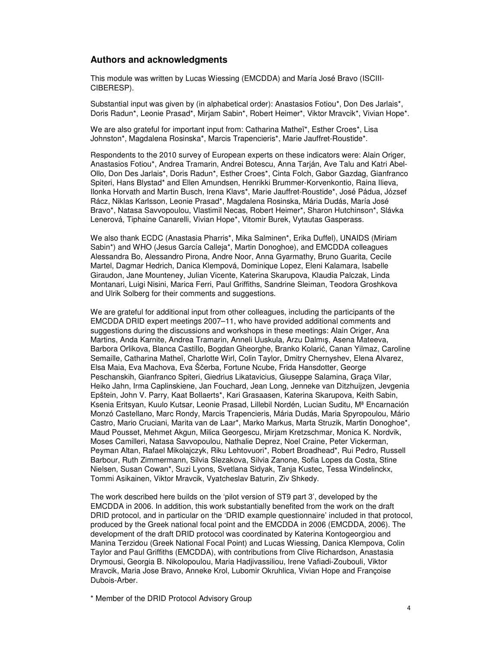### **Authors and acknowledgments**

This module was written by Lucas Wiessing (EMCDDA) and María José Bravo (ISCIII-CIBERESP).

Substantial input was given by (in alphabetical order): Anastasios Fotiou\*, Don Des Jarlais\*, Doris Radun\*, Leonie Prasad\*, Mirjam Sabin\*, Robert Heimer\*, Viktor Mravcik\*, Vivian Hope\*.

We are also grateful for important input from: Catharina Matheï\*, Esther Croes\*, Lisa Johnston\*, Magdalena Rosinska\*, Marcis Trapencieris\*, Marie Jauffret-Roustide\*.

Respondents to the 2010 survey of European experts on these indicators were: Alain Origer, Anastasios Fotiou\*, Andrea Tramarin, Andrei Botescu, Anna Tarján, Ave Talu and Katri Abel-Ollo, Don Des Jarlais\*, Doris Radun\*, Esther Croes\*, Cinta Folch, Gabor Gazdag, Gianfranco Spiteri, Hans Blystad\* and Ellen Amundsen, Henrikki Brummer-Korvenkontio, Raina Ilieva, Ilonka Horvath and Martin Busch, Irena Klavs\*, Marie Jauffret-Roustide\*, José Pádua, József Rácz, Niklas Karlsson, Leonie Prasad\*, Magdalena Rosinska, Mária Dudás, María José Bravo\*, Natasa Savvopoulou, Vlastimil Necas, Robert Heimer\*, Sharon Hutchinson\*, Slávka Lenerová, Tiphaine Canarelli, Vivian Hope\*, Vitomir Burek, Vytautas Gasperass.

We also thank ECDC (Anastasia Pharris\*, Mika Salminen\*, Erika Duffel), UNAIDS (Miriam Sabin\*) and WHO (Jesus García Calleja\*, Martin Donoghoe), and EMCDDA colleagues Alessandra Bo, Alessandro Pirona, Andre Noor, Anna Gyarmathy, Bruno Guarita, Cecile Martel, Dagmar Hedrich, Danica Klempová, Dominique Lopez, Eleni Kalamara, Isabelle Giraudon, Jane Mounteney, Julian Vicente, Katerina Skarupova, Klaudia Palczak, Linda Montanari, Luigi Nisini, Marica Ferri, Paul Griffiths, Sandrine Sleiman, Teodora Groshkova and Ulrik Solberg for their comments and suggestions.

We are grateful for additional input from other colleagues, including the participants of the EMCDDA DRID expert meetings 2007–11, who have provided additional comments and suggestions during the discussions and workshops in these meetings: Alain Origer, Ana Martins, Anda Karnite, Andrea Tramarin, Anneli Uuskula, Arzu Dalmış, Asena Mateeva, Barbora Orlikova, Blanca Castillo, Bogdan Gheorghe, Branko Kolarić, Canan Yilmaz, Caroline Semaille, Catharina Matheï, Charlotte Wirl, Colin Taylor, Dmitry Chernyshev, Elena Alvarez, Elsa Maia, Eva Machova, Eva Ščerba, Fortune Ncube, Frida Hansdotter, George Peschanskih, Gianfranco Spiteri, Giedrius Likatavicius, Giuseppe Salamina, Graça Vilar, Heiko Jahn, Irma Caplinskiene, Jan Fouchard, Jean Long, Jenneke van Ditzhuijzen, Jevgenia Epštein, John V. Parry, Kaat Bollaerts\*, Kari Grasaasen, Katerina Skarupova, Keith Sabin, Ksenia Eritsyan, Kuulo Kutsar, Leonie Prasad, Lillebil Nordén, Lucian Suditu, Mª Encarnación Monzó Castellano, Marc Rondy, Marcis Trapencieris, Mária Dudás, Maria Spyropoulou, Mário Castro, Mario Cruciani, Marita van de Laar\*, Marko Markus, Marta Struzik, Martin Donoghoe\*, Maud Pousset, Mehmet Akgun, Milica Georgescu, Mirjam Kretzschmar, Monica K. Nordvik, Moses Camilleri, Natasa Savvopoulou, Nathalie Deprez, Noel Craine, Peter Vickerman, Peyman Altan, Rafael Mikolajczyk, Riku Lehtovuori\*, Robert Broadhead\*, Rui Pedro, Russell Barbour, Ruth Zimmermann, Silvia Slezakova, Silvia Zanone, Sofia Lopes da Costa, Stine Nielsen, Susan Cowan\*, Suzi Lyons, Svetlana Sidyak, Tanja Kustec, Tessa Windelinckx, Tommi Asikainen, Viktor Mravcik, Vyatcheslav Baturin, Ziv Shkedy.

The work described here builds on the 'pilot version of ST9 part 3', developed by the EMCDDA in 2006. In addition, this work substantially benefited from the work on the draft DRID protocol, and in particular on the 'DRID example questionnaire' included in that protocol, produced by the Greek national focal point and the EMCDDA in 2006 (EMCDDA, 2006). The development of the draft DRID protocol was coordinated by Katerina Kontogeorgiou and Manina Terzidou (Greek National Focal Point) and Lucas Wiessing, Danica Klempova, Colin Taylor and Paul Griffiths (EMCDDA), with contributions from Clive Richardson, Anastasia Drymousi, Georgia B. Nikolopoulou, Maria Hadjivassiliou, Irene Vafiadi-Zoubouli, Viktor Mravcik, Maria Jose Bravo, Anneke Krol, Lubomir Okruhlica, Vivian Hope and Françoise Dubois-Arber.

\* Member of the DRID Protocol Advisory Group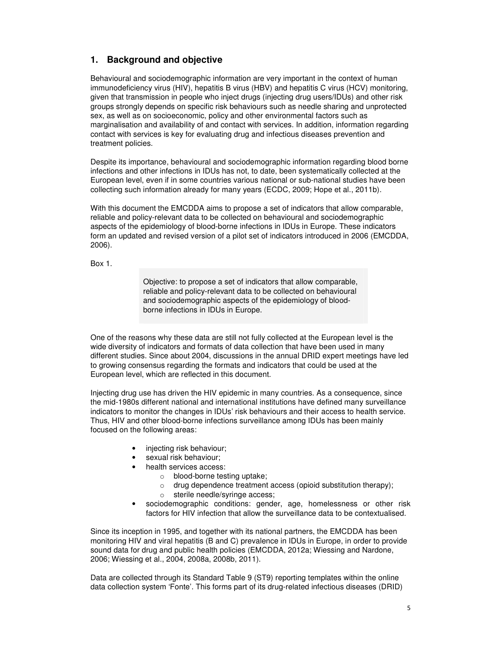## **1. Background and objective**

Behavioural and sociodemographic information are very important in the context of human immunodeficiency virus (HIV), hepatitis B virus (HBV) and hepatitis C virus (HCV) monitoring, given that transmission in people who inject drugs (injecting drug users/IDUs) and other risk groups strongly depends on specific risk behaviours such as needle sharing and unprotected sex, as well as on socioeconomic, policy and other environmental factors such as marginalisation and availability of and contact with services. In addition, information regarding contact with services is key for evaluating drug and infectious diseases prevention and treatment policies.

Despite its importance, behavioural and sociodemographic information regarding blood borne infections and other infections in IDUs has not, to date, been systematically collected at the European level, even if in some countries various national or sub-national studies have been collecting such information already for many years (ECDC, 2009; Hope et al., 2011b).

With this document the EMCDDA aims to propose a set of indicators that allow comparable, reliable and policy-relevant data to be collected on behavioural and sociodemographic aspects of the epidemiology of blood-borne infections in IDUs in Europe. These indicators form an updated and revised version of a pilot set of indicators introduced in 2006 (EMCDDA, 2006).

Box 1.

Objective: to propose a set of indicators that allow comparable, reliable and policy-relevant data to be collected on behavioural and sociodemographic aspects of the epidemiology of bloodborne infections in IDUs in Europe.

One of the reasons why these data are still not fully collected at the European level is the wide diversity of indicators and formats of data collection that have been used in many different studies. Since about 2004, discussions in the annual DRID expert meetings have led to growing consensus regarding the formats and indicators that could be used at the European level, which are reflected in this document.

Injecting drug use has driven the HIV epidemic in many countries. As a consequence, since the mid-1980s different national and international institutions have defined many surveillance indicators to monitor the changes in IDUs' risk behaviours and their access to health service. Thus, HIV and other blood-borne infections surveillance among IDUs has been mainly focused on the following areas:

- injecting risk behaviour;
- sexual risk behaviour;
- health services access:
	- o blood-borne testing uptake;
	- o drug dependence treatment access (opioid substitution therapy);
	- o sterile needle/syringe access;
- sociodemographic conditions: gender, age, homelessness or other risk factors for HIV infection that allow the surveillance data to be contextualised.

Since its inception in 1995, and together with its national partners, the EMCDDA has been monitoring HIV and viral hepatitis (B and C) prevalence in IDUs in Europe, in order to provide sound data for drug and public health policies (EMCDDA, 2012a; Wiessing and Nardone, 2006; Wiessing et al., 2004, 2008a, 2008b, 2011).

Data are collected through its Standard Table 9 (ST9) reporting templates within the online data collection system 'Fonte'. This forms part of its drug-related infectious diseases (DRID)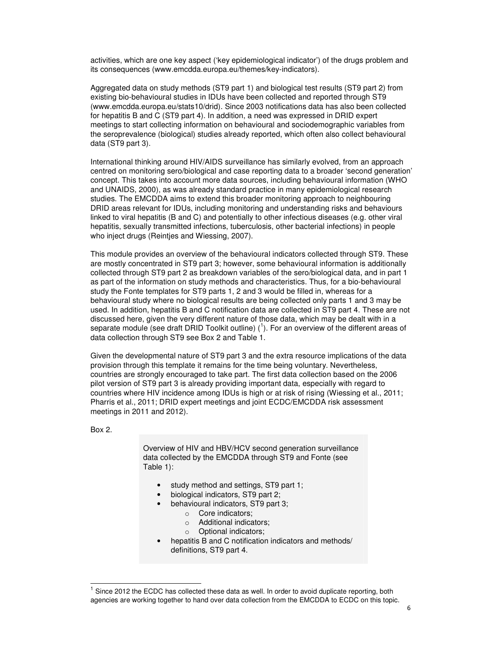activities, which are one key aspect ('key epidemiological indicator') of the drugs problem and its consequences (www.emcdda.europa.eu/themes/key-indicators).

Aggregated data on study methods (ST9 part 1) and biological test results (ST9 part 2) from existing bio-behavioural studies in IDUs have been collected and reported through ST9 (www.emcdda.europa.eu/stats10/drid). Since 2003 notifications data has also been collected for hepatitis B and C (ST9 part 4). In addition, a need was expressed in DRID expert meetings to start collecting information on behavioural and sociodemographic variables from the seroprevalence (biological) studies already reported, which often also collect behavioural data (ST9 part 3).

International thinking around HIV/AIDS surveillance has similarly evolved, from an approach centred on monitoring sero/biological and case reporting data to a broader 'second generation' concept. This takes into account more data sources, including behavioural information (WHO and UNAIDS, 2000), as was already standard practice in many epidemiological research studies. The EMCDDA aims to extend this broader monitoring approach to neighbouring DRID areas relevant for IDUs, including monitoring and understanding risks and behaviours linked to viral hepatitis (B and C) and potentially to other infectious diseases (e.g. other viral hepatitis, sexually transmitted infections, tuberculosis, other bacterial infections) in people who inject drugs (Reintjes and Wiessing, 2007).

This module provides an overview of the behavioural indicators collected through ST9. These are mostly concentrated in ST9 part 3; however, some behavioural information is additionally collected through ST9 part 2 as breakdown variables of the sero/biological data, and in part 1 as part of the information on study methods and characteristics. Thus, for a bio-behavioural study the Fonte templates for ST9 parts 1, 2 and 3 would be filled in, whereas for a behavioural study where no biological results are being collected only parts 1 and 3 may be used. In addition, hepatitis B and C notification data are collected in ST9 part 4. These are not discussed here, given the very different nature of those data, which may be dealt with in a separate module (see draft DRID Toolkit outline) (<sup>1</sup>). For an overview of the different areas of data collection through ST9 see Box 2 and Table 1.

Given the developmental nature of ST9 part 3 and the extra resource implications of the data provision through this template it remains for the time being voluntary. Nevertheless, countries are strongly encouraged to take part. The first data collection based on the 2006 pilot version of ST9 part 3 is already providing important data, especially with regard to countries where HIV incidence among IDUs is high or at risk of rising (Wiessing et al., 2011; Pharris et al., 2011; DRID expert meetings and joint ECDC/EMCDDA risk assessment meetings in 2011 and 2012).

Box 2.

 $\overline{a}$ 

Overview of HIV and HBV/HCV second generation surveillance data collected by the EMCDDA through ST9 and Fonte (see Table 1):

- study method and settings, ST9 part 1;
- biological indicators, ST9 part 2;
- behavioural indicators, ST9 part 3;
	- o Core indicators;
	- o Additional indicators;
	- o Optional indicators;
- hepatitis B and C notification indicators and methods/ definitions, ST9 part 4.

<sup>1</sup> Since 2012 the ECDC has collected these data as well. In order to avoid duplicate reporting, both agencies are working together to hand over data collection from the EMCDDA to ECDC on this topic.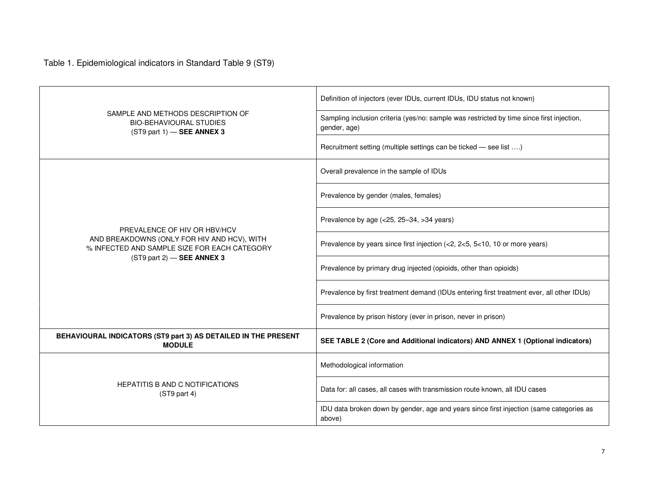Table 1. Epidemiological indicators in Standard Table 9 (ST9)

|                                                                                                     | Definition of injectors (ever IDUs, current IDUs, IDU status not known)                                   |  |  |  |  |
|-----------------------------------------------------------------------------------------------------|-----------------------------------------------------------------------------------------------------------|--|--|--|--|
| SAMPLE AND METHODS DESCRIPTION OF<br><b>BIO-BEHAVIOURAL STUDIES</b><br>$(ST9$ part 1) - SEE ANNEX 3 | Sampling inclusion criteria (yes/no: sample was restricted by time since first injection,<br>gender, age) |  |  |  |  |
|                                                                                                     | Recruitment setting (multiple settings can be ticked - see list )                                         |  |  |  |  |
|                                                                                                     | Overall prevalence in the sample of IDUs                                                                  |  |  |  |  |
|                                                                                                     | Prevalence by gender (males, females)                                                                     |  |  |  |  |
| PREVALENCE OF HIV OR HBV/HCV                                                                        | Prevalence by age (<25, 25-34, >34 years)                                                                 |  |  |  |  |
| AND BREAKDOWNS (ONLY FOR HIV AND HCV), WITH<br>% INFECTED AND SAMPLE SIZE FOR EACH CATEGORY         | Prevalence by years since first injection (<2, 2<5, 5<10, 10 or more years)                               |  |  |  |  |
| $(ST9$ part 2) - SEE ANNEX 3                                                                        | Prevalence by primary drug injected (opioids, other than opioids)                                         |  |  |  |  |
|                                                                                                     | Prevalence by first treatment demand (IDUs entering first treatment ever, all other IDUs)                 |  |  |  |  |
|                                                                                                     | Prevalence by prison history (ever in prison, never in prison)                                            |  |  |  |  |
| BEHAVIOURAL INDICATORS (ST9 part 3) AS DETAILED IN THE PRESENT<br><b>MODULE</b>                     | SEE TABLE 2 (Core and Additional indicators) AND ANNEX 1 (Optional indicators)                            |  |  |  |  |
|                                                                                                     | Methodological information                                                                                |  |  |  |  |
| <b>HEPATITIS B AND C NOTIFICATIONS</b><br>$(ST9$ part 4)                                            | Data for: all cases, all cases with transmission route known, all IDU cases                               |  |  |  |  |
|                                                                                                     | IDU data broken down by gender, age and years since first injection (same categories as<br>above)         |  |  |  |  |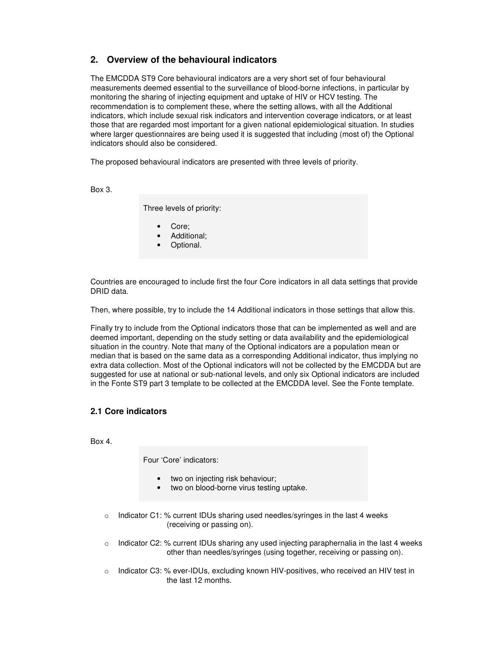## **2. Overview of the behavioural indicators**

The EMCDDA ST9 Core behavioural indicators are a very short set of four behavioural measurements deemed essential to the surveillance of blood-borne infections, in particular by monitoring the sharing of injecting equipment and uptake of HIV or HCV testing. The recommendation is to complement these, where the setting allows, with all the Additional indicators, which include sexual risk indicators and intervention coverage indicators, or at least those that are regarded most important for a given national epidemiological situation. In studies where larger questionnaires are being used it is suggested that including (most of) the Optional indicators should also be considered.

The proposed behavioural indicators are presented with three levels of priority.

Box 3.

Three levels of priority:

- Core;
- Additional;
- Optional.

Countries are encouraged to include first the four Core indicators in all data settings that provide DRID data.

Then, where possible, try to include the 14 Additional indicators in those settings that allow this.

Finally try to include from the Optional indicators those that can be implemented as well and are deemed important, depending on the study setting or data availability and the epidemiological situation in the country. Note that many of the Optional indicators are a population mean or median that is based on the same data as a corresponding Additional indicator, thus implying no extra data collection. Most of the Optional indicators will not be collected by the EMCDDA but are suggested for use at national or sub-national levels, and only six Optional indicators are included in the Fonte ST9 part 3 template to be collected at the EMCDDA level. See the Fonte template.

## **2.1 Core indicators**

Box 4.

Four 'Core' indicators:

- two on injecting risk behaviour;
- two on blood-borne virus testing uptake.
- o Indicator C1: % current IDUs sharing used needles/syringes in the last 4 weeks (receiving or passing on).
- $\circ$  Indicator C2: % current IDUs sharing any used injecting paraphernalia in the last 4 weeks other than needles/syringes (using together, receiving or passing on).
- o Indicator C3: % ever-IDUs, excluding known HIV-positives, who received an HIV test in the last 12 months.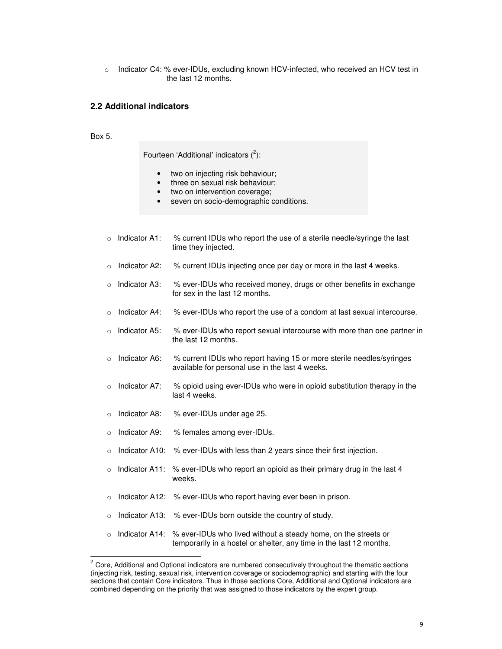o Indicator C4: % ever-IDUs, excluding known HCV-infected, who received an HCV test in the last 12 months.

#### **2.2 Additional indicators**

Box 5.

Fourteen 'Additional' indicators  $(^2)$ :

- two on injecting risk behaviour;
- three on sexual risk behaviour;
- two on intervention coverage;
- seven on socio-demographic conditions.
- $\circ$  Indicator A1: % current IDUs who report the use of a sterile needle/syringe the last time they injected.
- $\circ$  Indicator A2: % current IDUs injecting once per day or more in the last 4 weeks.
- o Indicator A3: % ever-IDUs who received money, drugs or other benefits in exchange for sex in the last 12 months.
- $\circ$  Indicator A4: % ever-IDUs who report the use of a condom at last sexual intercourse.
- $\circ$  Indicator A5: % ever-IDUs who report sexual intercourse with more than one partner in the last 12 months.
- $\circ$  Indicator A6:  $\%$  current IDUs who report having 15 or more sterile needles/syringes available for personal use in the last 4 weeks.
- $\circ$  Indicator A7: % opioid using ever-IDUs who were in opioid substitution therapy in the last 4 weeks.
- o Indicator A8: % ever-IDUs under age 25.
- o Indicator A9: % females among ever-IDUs.
- o Indicator A10: % ever-IDUs with less than 2 years since their first injection.
- $\circ$  Indicator A11: % ever-IDUs who report an opioid as their primary drug in the last 4 weeks.
- o Indicator A12: % ever-IDUs who report having ever been in prison.
- o Indicator A13: % ever-IDUs born outside the country of study.
- $\circ$  Indicator A14: % ever-IDUs who lived without a steady home, on the streets or temporarily in a hostel or shelter, any time in the last 12 months.

<sup>2&</sup>lt;br><sup>2</sup> Core, Additional and Optional indicators are numbered consecutively throughout the thematic sections (injecting risk, testing, sexual risk, intervention coverage or sociodemographic) and starting with the four sections that contain Core indicators. Thus in those sections Core, Additional and Optional indicators are combined depending on the priority that was assigned to those indicators by the expert group.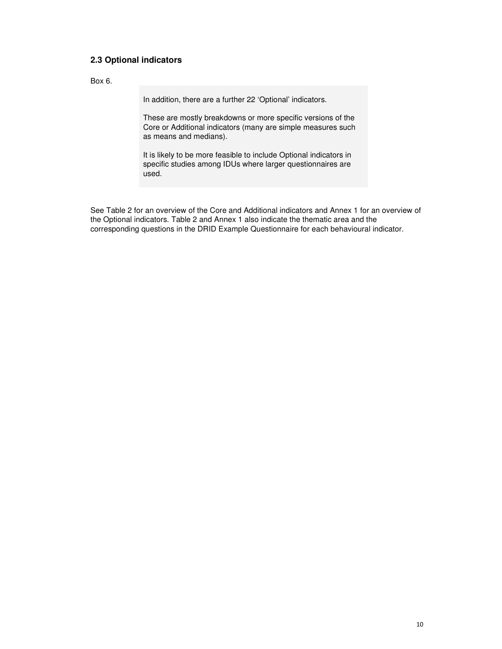## **2.3 Optional indicators**

Box 6.

In addition, there are a further 22 'Optional' indicators.

These are mostly breakdowns or more specific versions of the Core or Additional indicators (many are simple measures such as means and medians).

It is likely to be more feasible to include Optional indicators in specific studies among IDUs where larger questionnaires are used.

See Table 2 for an overview of the Core and Additional indicators and Annex 1 for an overview of the Optional indicators. Table 2 and Annex 1 also indicate the thematic area and the corresponding questions in the DRID Example Questionnaire for each behavioural indicator.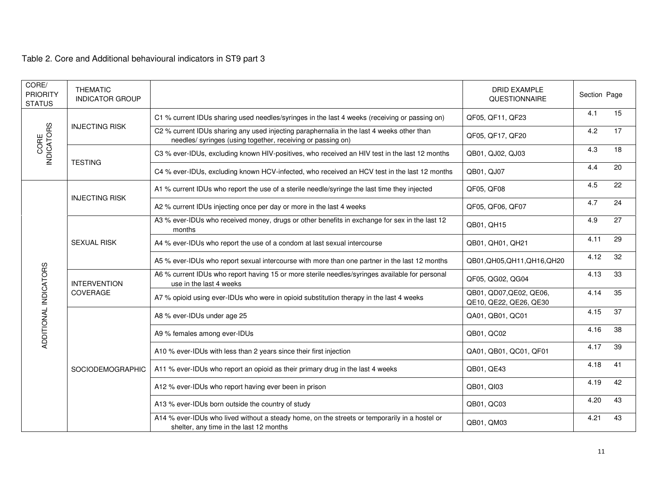Table 2. Core and Additional behavioural indicators in ST9 part 3

| CORE/<br><b>PRIORITY</b><br><b>STATUS</b> | <b>THEMATIC</b><br><b>INDICATOR GROUP</b>             |                                                                                                                                                          | <b>DRID EXAMPLE</b><br>QUESTIONNAIRE              | Section Page |    |
|-------------------------------------------|-------------------------------------------------------|----------------------------------------------------------------------------------------------------------------------------------------------------------|---------------------------------------------------|--------------|----|
|                                           |                                                       | C1 % current IDUs sharing used needles/syringes in the last 4 weeks (receiving or passing on)                                                            | QF05, QF11, QF23                                  | 4.1          | 15 |
| CORE<br>INDICATORS                        | <b>INJECTING RISK</b>                                 | C2 % current IDUs sharing any used injecting paraphernalia in the last 4 weeks other than<br>needles/ syringes (using together, receiving or passing on) | QF05, QF17, QF20                                  | 4.2          | 17 |
|                                           |                                                       | C3 % ever-IDUs, excluding known HIV-positives, who received an HIV test in the last 12 months                                                            | QB01, QJ02, QJ03                                  | 4.3          | 18 |
|                                           | <b>TESTING</b>                                        | C4 % ever-IDUs, excluding known HCV-infected, who received an HCV test in the last 12 months                                                             | QB01, QJ07                                        | 4.4          | 20 |
|                                           |                                                       | A1 % current IDUs who report the use of a sterile needle/syringe the last time they injected                                                             | QF05, QF08                                        | 4.5          | 22 |
|                                           | <b>INJECTING RISK</b>                                 | A2 % current IDUs injecting once per day or more in the last 4 weeks                                                                                     | QF05, QF06, QF07                                  | 4.7          | 24 |
|                                           |                                                       | A3 % ever-IDUs who received money, drugs or other benefits in exchange for sex in the last 12<br>months                                                  | QB01, QH15                                        | 4.9          | 27 |
|                                           | <b>SEXUAL RISK</b><br><b>INTERVENTION</b><br>COVERAGE | A4 % ever-IDUs who report the use of a condom at last sexual intercourse                                                                                 | QB01, QH01, QH21                                  | 4.11         | 29 |
|                                           |                                                       | A5 % ever-IDUs who report sexual intercourse with more than one partner in the last 12 months                                                            | QB01, QH05, QH11, QH16, QH20                      | 4.12         | 32 |
| ADDITIONAL INDICATORS                     |                                                       | A6 % current IDUs who report having 15 or more sterile needles/syringes available for personal<br>use in the last 4 weeks                                | QF05, QG02, QG04                                  | 4.13         | 33 |
|                                           |                                                       | A7% opioid using ever-IDUs who were in opioid substitution therapy in the last 4 weeks                                                                   | QB01, QD07, QE02, QE06,<br>QE10, QE22, QE26, QE30 | 4.14         | 35 |
|                                           |                                                       | A8 % ever-IDUs under age 25                                                                                                                              | QA01, QB01, QC01                                  | 4.15         | 37 |
|                                           |                                                       | A9 % females among ever-IDUs                                                                                                                             | QB01, QC02                                        | 4.16         | 38 |
|                                           |                                                       | A10 % ever-IDUs with less than 2 years since their first injection                                                                                       | QA01, QB01, QC01, QF01                            | 4.17         | 39 |
|                                           | SOCIODEMOGRAPHIC                                      | A11 % ever-IDUs who report an opioid as their primary drug in the last 4 weeks                                                                           | QB01, QE43                                        | 4.18         | 41 |
|                                           |                                                       | A12 % ever-IDUs who report having ever been in prison                                                                                                    | QB01, QI03                                        | 4.19         | 42 |
|                                           |                                                       | A13 % ever-IDUs born outside the country of study                                                                                                        | QB01, QC03                                        | 4.20         | 43 |
|                                           |                                                       | A14 % ever-IDUs who lived without a steady home, on the streets or temporarily in a hostel or<br>shelter, any time in the last 12 months                 | QB01, QM03                                        | 4.21         | 43 |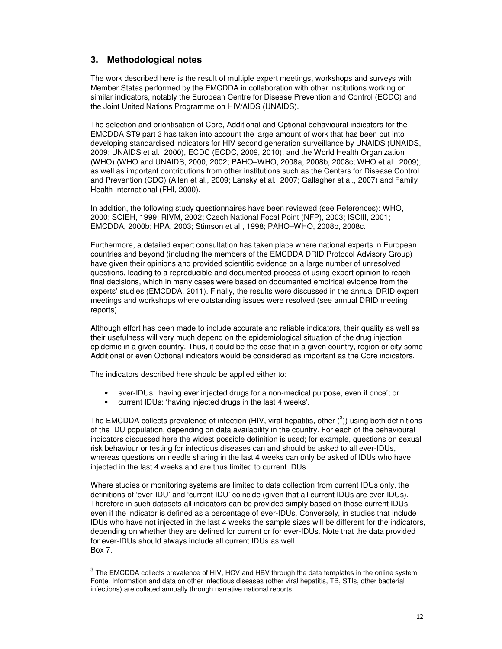## **3. Methodological notes**

The work described here is the result of multiple expert meetings, workshops and surveys with Member States performed by the EMCDDA in collaboration with other institutions working on similar indicators, notably the European Centre for Disease Prevention and Control (ECDC) and the Joint United Nations Programme on HIV/AIDS (UNAIDS).

The selection and prioritisation of Core, Additional and Optional behavioural indicators for the EMCDDA ST9 part 3 has taken into account the large amount of work that has been put into developing standardised indicators for HIV second generation surveillance by UNAIDS (UNAIDS, 2009; UNAIDS et al., 2000), ECDC (ECDC, 2009, 2010), and the World Health Organization (WHO) (WHO and UNAIDS, 2000, 2002; PAHO–WHO, 2008a, 2008b, 2008c; WHO et al., 2009), as well as important contributions from other institutions such as the Centers for Disease Control and Prevention (CDC) (Allen et al., 2009; Lansky et al., 2007; Gallagher et al., 2007) and Family Health International (FHI, 2000).

In addition, the following study questionnaires have been reviewed (see References): WHO, 2000; SCIEH, 1999; RIVM, 2002; Czech National Focal Point (NFP), 2003; ISCIII, 2001; EMCDDA, 2000b; HPA, 2003; Stimson et al., 1998; PAHO–WHO, 2008b, 2008c.

Furthermore, a detailed expert consultation has taken place where national experts in European countries and beyond (including the members of the EMCDDA DRID Protocol Advisory Group) have given their opinions and provided scientific evidence on a large number of unresolved questions, leading to a reproducible and documented process of using expert opinion to reach final decisions, which in many cases were based on documented empirical evidence from the experts' studies (EMCDDA, 2011). Finally, the results were discussed in the annual DRID expert meetings and workshops where outstanding issues were resolved (see annual DRID meeting reports).

Although effort has been made to include accurate and reliable indicators, their quality as well as their usefulness will very much depend on the epidemiological situation of the drug injection epidemic in a given country. Thus, it could be the case that in a given country, region or city some Additional or even Optional indicators would be considered as important as the Core indicators.

The indicators described here should be applied either to:

- ever-IDUs: 'having ever injected drugs for a non-medical purpose, even if once'; or
- current IDUs: 'having injected drugs in the last 4 weeks'.

The EMCDDA collects prevalence of infection (HIV, viral hepatitis, other  $(^3)$ ) using both definitions of the IDU population, depending on data availability in the country. For each of the behavioural indicators discussed here the widest possible definition is used; for example, questions on sexual risk behaviour or testing for infectious diseases can and should be asked to all ever-IDUs, whereas questions on needle sharing in the last 4 weeks can only be asked of IDUs who have injected in the last 4 weeks and are thus limited to current IDUs.

Where studies or monitoring systems are limited to data collection from current IDUs only, the definitions of 'ever-IDU' and 'current IDU' coincide (given that all current IDUs are ever-IDUs). Therefore in such datasets all indicators can be provided simply based on those current IDUs, even if the indicator is defined as a percentage of ever-IDUs. Conversely, in studies that include IDUs who have not injected in the last 4 weeks the sample sizes will be different for the indicators, depending on whether they are defined for current or for ever-IDUs. Note that the data provided for ever-IDUs should always include all current IDUs as well. Box 7.

 3 The EMCDDA collects prevalence of HIV, HCV and HBV through the data templates in the online system Fonte. Information and data on other infectious diseases (other viral hepatitis, TB, STIs, other bacterial infections) are collated annually through narrative national reports.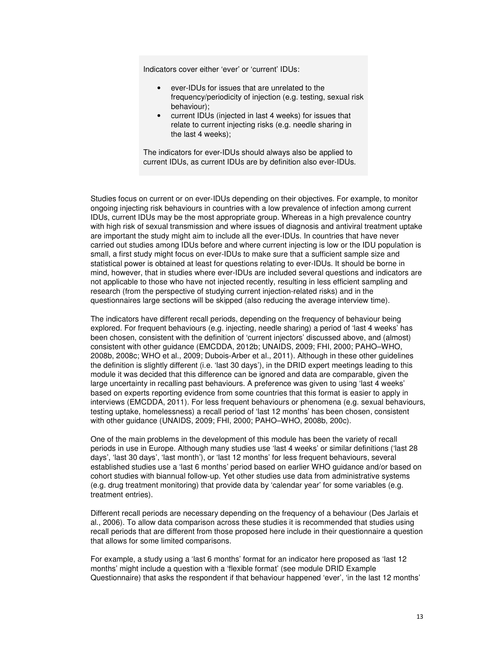Indicators cover either 'ever' or 'current' IDUs:

- ever-IDUs for issues that are unrelated to the frequency/periodicity of injection (e.g. testing, sexual risk behaviour);
- current IDUs (injected in last 4 weeks) for issues that relate to current injecting risks (e.g. needle sharing in the last 4 weeks);

The indicators for ever-IDUs should always also be applied to current IDUs, as current IDUs are by definition also ever-IDUs.

Studies focus on current or on ever-IDUs depending on their objectives. For example, to monitor ongoing injecting risk behaviours in countries with a low prevalence of infection among current IDUs, current IDUs may be the most appropriate group. Whereas in a high prevalence country with high risk of sexual transmission and where issues of diagnosis and antiviral treatment uptake are important the study might aim to include all the ever-IDUs. In countries that have never carried out studies among IDUs before and where current injecting is low or the IDU population is small, a first study might focus on ever-IDUs to make sure that a sufficient sample size and statistical power is obtained at least for questions relating to ever-IDUs. It should be borne in mind, however, that in studies where ever-IDUs are included several questions and indicators are not applicable to those who have not injected recently, resulting in less efficient sampling and research (from the perspective of studying current injection-related risks) and in the questionnaires large sections will be skipped (also reducing the average interview time).

The indicators have different recall periods, depending on the frequency of behaviour being explored. For frequent behaviours (e.g. injecting, needle sharing) a period of 'last 4 weeks' has been chosen, consistent with the definition of 'current injectors' discussed above, and (almost) consistent with other guidance (EMCDDA, 2012b; UNAIDS, 2009; FHI, 2000; PAHO–WHO, 2008b, 2008c; WHO et al., 2009; Dubois-Arber et al., 2011). Although in these other guidelines the definition is slightly different (i.e. 'last 30 days'), in the DRID expert meetings leading to this module it was decided that this difference can be ignored and data are comparable, given the large uncertainty in recalling past behaviours. A preference was given to using 'last 4 weeks' based on experts reporting evidence from some countries that this format is easier to apply in interviews (EMCDDA, 2011). For less frequent behaviours or phenomena (e.g. sexual behaviours, testing uptake, homelessness) a recall period of 'last 12 months' has been chosen, consistent with other guidance (UNAIDS, 2009; FHI, 2000; PAHO–WHO, 2008b, 200c).

One of the main problems in the development of this module has been the variety of recall periods in use in Europe. Although many studies use 'last 4 weeks' or similar definitions ('last 28 days', 'last 30 days', 'last month'), or 'last 12 months' for less frequent behaviours, several established studies use a 'last 6 months' period based on earlier WHO guidance and/or based on cohort studies with biannual follow-up. Yet other studies use data from administrative systems (e.g. drug treatment monitoring) that provide data by 'calendar year' for some variables (e.g. treatment entries).

Different recall periods are necessary depending on the frequency of a behaviour (Des Jarlais et al., 2006). To allow data comparison across these studies it is recommended that studies using recall periods that are different from those proposed here include in their questionnaire a question that allows for some limited comparisons.

For example, a study using a 'last 6 months' format for an indicator here proposed as 'last 12 months' might include a question with a 'flexible format' (see module DRID Example Questionnaire) that asks the respondent if that behaviour happened 'ever', 'in the last 12 months'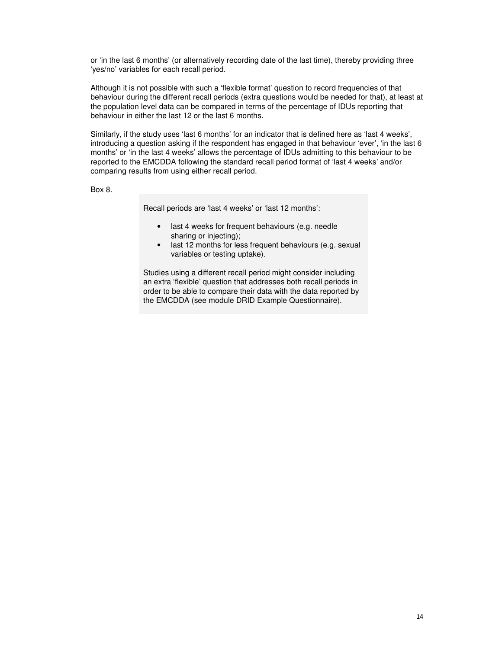or 'in the last 6 months' (or alternatively recording date of the last time), thereby providing three 'yes/no' variables for each recall period.

Although it is not possible with such a 'flexible format' question to record frequencies of that behaviour during the different recall periods (extra questions would be needed for that), at least at the population level data can be compared in terms of the percentage of IDUs reporting that behaviour in either the last 12 or the last 6 months.

Similarly, if the study uses 'last 6 months' for an indicator that is defined here as 'last 4 weeks', introducing a question asking if the respondent has engaged in that behaviour 'ever', 'in the last 6 months' or 'in the last 4 weeks' allows the percentage of IDUs admitting to this behaviour to be reported to the EMCDDA following the standard recall period format of 'last 4 weeks' and/or comparing results from using either recall period.

Box 8.

Recall periods are 'last 4 weeks' or 'last 12 months':

- last 4 weeks for frequent behaviours (e.g. needle sharing or injecting):
- last 12 months for less frequent behaviours (e.g. sexual variables or testing uptake).

Studies using a different recall period might consider including an extra 'flexible' question that addresses both recall periods in order to be able to compare their data with the data reported by the EMCDDA (see module DRID Example Questionnaire).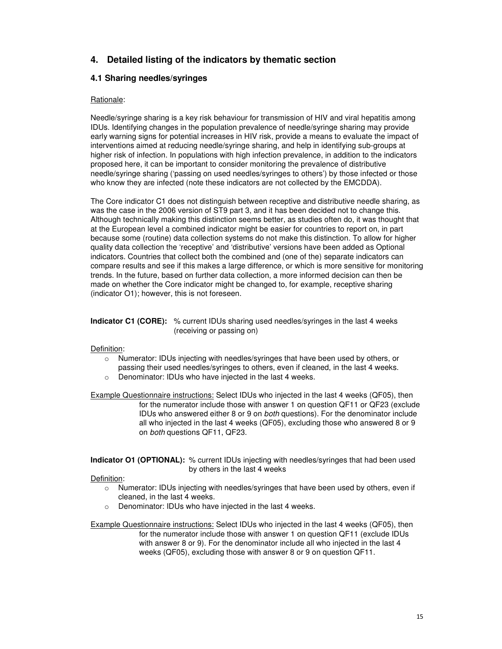## **4. Detailed listing of the indicators by thematic section**

## **4.1 Sharing needles/syringes**

### Rationale:

Needle/syringe sharing is a key risk behaviour for transmission of HIV and viral hepatitis among IDUs. Identifying changes in the population prevalence of needle/syringe sharing may provide early warning signs for potential increases in HIV risk, provide a means to evaluate the impact of interventions aimed at reducing needle/syringe sharing, and help in identifying sub-groups at higher risk of infection. In populations with high infection prevalence, in addition to the indicators proposed here, it can be important to consider monitoring the prevalence of distributive needle/syringe sharing ('passing on used needles/syringes to others') by those infected or those who know they are infected (note these indicators are not collected by the EMCDDA).

The Core indicator C1 does not distinguish between receptive and distributive needle sharing, as was the case in the 2006 version of ST9 part 3, and it has been decided not to change this. Although technically making this distinction seems better, as studies often do, it was thought that at the European level a combined indicator might be easier for countries to report on, in part because some (routine) data collection systems do not make this distinction. To allow for higher quality data collection the 'receptive' and 'distributive' versions have been added as Optional indicators. Countries that collect both the combined and (one of the) separate indicators can compare results and see if this makes a large difference, or which is more sensitive for monitoring trends. In the future, based on further data collection, a more informed decision can then be made on whether the Core indicator might be changed to, for example, receptive sharing (indicator O1); however, this is not foreseen.

**Indicator C1 (CORE):** % current IDUs sharing used needles/syringes in the last 4 weeks (receiving or passing on)

#### Definition:

- $\circ$  Numerator: IDUs injecting with needles/syringes that have been used by others, or passing their used needles/syringes to others, even if cleaned, in the last 4 weeks.
- o Denominator: IDUs who have injected in the last 4 weeks.

Example Questionnaire instructions: Select IDUs who injected in the last 4 weeks (QF05), then for the numerator include those with answer 1 on question QF11 or QF23 (exclude IDUs who answered either 8 or 9 on both questions). For the denominator include all who injected in the last 4 weeks (QF05), excluding those who answered 8 or 9 on both questions QF11, QF23.

#### **Indicator O1 (OPTIONAL):** % current IDUs injecting with needles/syringes that had been used by others in the last 4 weeks

#### Definition:

- o Numerator: IDUs injecting with needles/syringes that have been used by others, even if cleaned, in the last 4 weeks.
- o Denominator: IDUs who have injected in the last 4 weeks.

Example Questionnaire instructions: Select IDUs who injected in the last 4 weeks (QF05), then for the numerator include those with answer 1 on question QF11 (exclude IDUs with answer 8 or 9). For the denominator include all who injected in the last 4 weeks (QF05), excluding those with answer 8 or 9 on question QF11.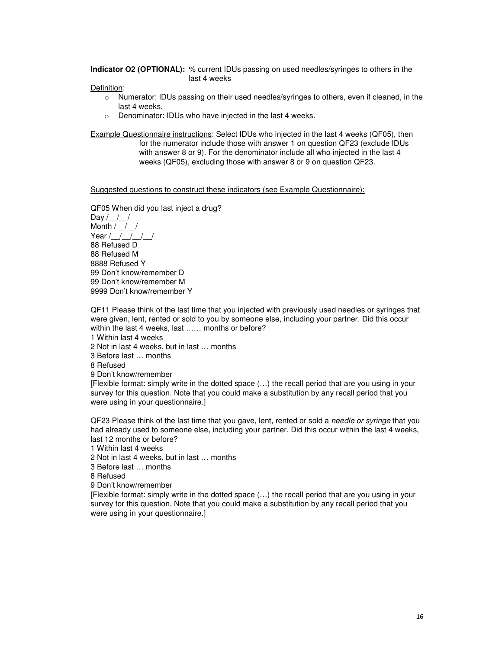**Indicator O2 (OPTIONAL):** % current IDUs passing on used needles/syringes to others in the last 4 weeks

Definition:

- o Numerator: IDUs passing on their used needles/syringes to others, even if cleaned, in the last 4 weeks.
- o Denominator: IDUs who have injected in the last 4 weeks.

Example Questionnaire instructions: Select IDUs who injected in the last 4 weeks (QF05), then

for the numerator include those with answer 1 on question QF23 (exclude IDUs with answer 8 or 9). For the denominator include all who injected in the last 4 weeks (QF05), excluding those with answer 8 or 9 on question QF23.

Suggested questions to construct these indicators (see Example Questionnaire):

QF05 When did you last inject a drug? Day  $/$  /  $/$ Month  $/$   $/$ Year  $/$   $/$   $/$   $/$   $/$ 88 Refused D 88 Refused M 8888 Refused Y 99 Don't know/remember D 99 Don't know/remember M 9999 Don't know/remember Y

QF11 Please think of the last time that you injected with previously used needles or syringes that were given, lent, rented or sold to you by someone else, including your partner. Did this occur within the last 4 weeks, last ...... months or before?

1 Within last 4 weeks

2 Not in last 4 weeks, but in last … months

3 Before last … months

8 Refused

9 Don't know/remember

[Flexible format: simply write in the dotted space (…) the recall period that are you using in your survey for this question. Note that you could make a substitution by any recall period that you were using in your questionnaire.]

QF23 Please think of the last time that you gave, lent, rented or sold a *needle or syringe* that you had already used to someone else, including your partner. Did this occur within the last 4 weeks, last 12 months or before?

1 Within last 4 weeks

2 Not in last 4 weeks, but in last … months

3 Before last … months

8 Refused

9 Don't know/remember

[Flexible format: simply write in the dotted space (…) the recall period that are you using in your survey for this question. Note that you could make a substitution by any recall period that you were using in your questionnaire.]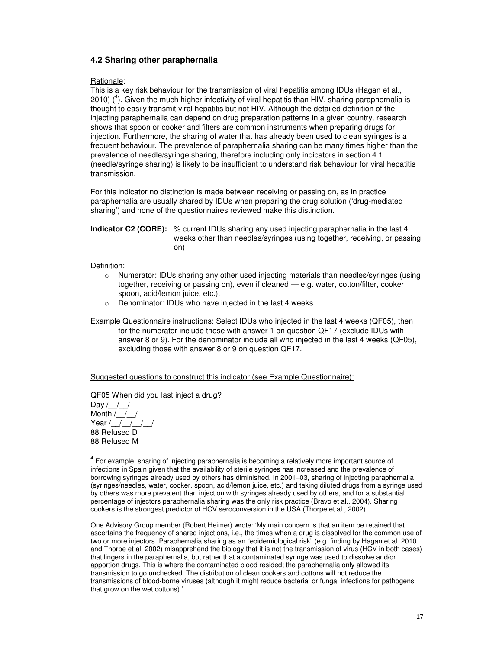## **4.2 Sharing other paraphernalia**

#### Rationale:

This is a key risk behaviour for the transmission of viral hepatitis among IDUs (Hagan et al., 2010)  $(4)$ . Given the much higher infectivity of viral hepatitis than HIV, sharing paraphernalia is thought to easily transmit viral hepatitis but not HIV. Although the detailed definition of the injecting paraphernalia can depend on drug preparation patterns in a given country, research shows that spoon or cooker and filters are common instruments when preparing drugs for injection. Furthermore, the sharing of water that has already been used to clean syringes is a frequent behaviour. The prevalence of paraphernalia sharing can be many times higher than the prevalence of needle/syringe sharing, therefore including only indicators in section 4.1 (needle/syringe sharing) is likely to be insufficient to understand risk behaviour for viral hepatitis transmission.

For this indicator no distinction is made between receiving or passing on, as in practice paraphernalia are usually shared by IDUs when preparing the drug solution ('drug-mediated sharing') and none of the questionnaires reviewed make this distinction.

**Indicator C2 (CORE):** % current IDUs sharing any used injecting paraphernalia in the last 4 weeks other than needles/syringes (using together, receiving, or passing on)

#### Definition:

- o Numerator: IDUs sharing any other used injecting materials than needles/syringes (using together, receiving or passing on), even if cleaned — e.g. water, cotton/filter, cooker, spoon, acid/lemon juice, etc.).
- o Denominator: IDUs who have injected in the last 4 weeks.

Example Questionnaire instructions: Select IDUs who injected in the last 4 weeks (QF05), then

for the numerator include those with answer 1 on question QF17 (exclude IDUs with answer 8 or 9). For the denominator include all who injected in the last 4 weeks (QF05), excluding those with answer 8 or 9 on question QF17.

Suggested questions to construct this indicator (see Example Questionnaire):

QF05 When did you last inject a drug?

Day  $/$  /  $/$ Month /\_\_/\_\_/ Year /\_\_/\_\_/\_\_/\_ 88 Refused D 88 Refused M

One Advisory Group member (Robert Heimer) wrote: 'My main concern is that an item be retained that ascertains the frequency of shared injections, i.e., the times when a drug is dissolved for the common use of two or more injectors. Paraphernalia sharing as an "epidemiological risk" (e.g. finding by Hagan et al. 2010 and Thorpe et al. 2002) misapprehend the biology that it is not the transmission of virus (HCV in both cases) that lingers in the paraphernalia, but rather that a contaminated syringe was used to dissolve and/or apportion drugs. This is where the contaminated blood resided; the paraphernalia only allowed its transmission to go unchecked. The distribution of clean cookers and cottons will not reduce the transmissions of blood-borne viruses (although it might reduce bacterial or fungal infections for pathogens that grow on the wet cottons).'

 4 For example, sharing of injecting paraphernalia is becoming a relatively more important source of infections in Spain given that the availability of sterile syringes has increased and the prevalence of borrowing syringes already used by others has diminished. In 2001–03, sharing of injecting paraphernalia (syringes/needles, water, cooker, spoon, acid/lemon juice, etc.) and taking diluted drugs from a syringe used by others was more prevalent than injection with syringes already used by others, and for a substantial percentage of injectors paraphernalia sharing was the only risk practice (Bravo et al., 2004). Sharing cookers is the strongest predictor of HCV seroconversion in the USA (Thorpe et al., 2002).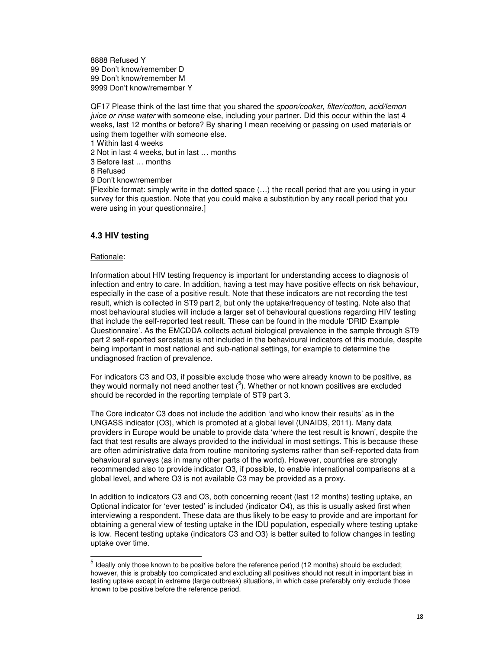8888 Refused Y 99 Don't know/remember D 99 Don't know/remember M 9999 Don't know/remember Y

QF17 Please think of the last time that you shared the spoon/cooker, filter/cotton, acid/lemon juice or rinse water with someone else, including your partner. Did this occur within the last 4 weeks, last 12 months or before? By sharing I mean receiving or passing on used materials or using them together with someone else.

1 Within last 4 weeks

2 Not in last 4 weeks, but in last … months

3 Before last … months

8 Refused

9 Don't know/remember

[Flexible format: simply write in the dotted space (…) the recall period that are you using in your survey for this question. Note that you could make a substitution by any recall period that you were using in your questionnaire.]

## **4.3 HIV testing**

### Rationale:

Information about HIV testing frequency is important for understanding access to diagnosis of infection and entry to care. In addition, having a test may have positive effects on risk behaviour, especially in the case of a positive result. Note that these indicators are not recording the test result, which is collected in ST9 part 2, but only the uptake/frequency of testing. Note also that most behavioural studies will include a larger set of behavioural questions regarding HIV testing that include the self-reported test result. These can be found in the module 'DRID Example Questionnaire'. As the EMCDDA collects actual biological prevalence in the sample through ST9 part 2 self-reported serostatus is not included in the behavioural indicators of this module, despite being important in most national and sub-national settings, for example to determine the undiagnosed fraction of prevalence.

For indicators C3 and O3, if possible exclude those who were already known to be positive, as they would normally not need another test  $(5)$ . Whether or not known positives are excluded should be recorded in the reporting template of ST9 part 3.

The Core indicator C3 does not include the addition 'and who know their results' as in the UNGASS indicator (O3), which is promoted at a global level (UNAIDS, 2011). Many data providers in Europe would be unable to provide data 'where the test result is known', despite the fact that test results are always provided to the individual in most settings. This is because these are often administrative data from routine monitoring systems rather than self-reported data from behavioural surveys (as in many other parts of the world). However, countries are strongly recommended also to provide indicator O3, if possible, to enable international comparisons at a global level, and where O3 is not available C3 may be provided as a proxy.

In addition to indicators C3 and O3, both concerning recent (last 12 months) testing uptake, an Optional indicator for 'ever tested' is included (indicator O4), as this is usually asked first when interviewing a respondent. These data are thus likely to be easy to provide and are important for obtaining a general view of testing uptake in the IDU population, especially where testing uptake is low. Recent testing uptake (indicators C3 and O3) is better suited to follow changes in testing uptake over time.

 5 Ideally only those known to be positive before the reference period (12 months) should be excluded; however, this is probably too complicated and excluding all positives should not result in important bias in testing uptake except in extreme (large outbreak) situations, in which case preferably only exclude those known to be positive before the reference period.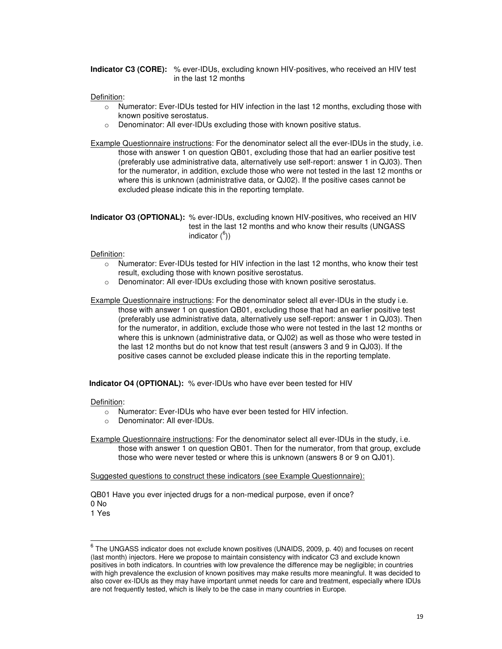**Indicator C3 (CORE):** % ever-IDUs, excluding known HIV-positives, who received an HIV test in the last 12 months

#### Definition:

- o Numerator: Ever-IDUs tested for HIV infection in the last 12 months, excluding those with known positive serostatus.
- o Denominator: All ever-IDUs excluding those with known positive status.

Example Questionnaire instructions: For the denominator select all the ever-IDUs in the study, i.e. those with answer 1 on question QB01, excluding those that had an earlier positive test (preferably use administrative data, alternatively use self-report: answer 1 in QJ03). Then for the numerator, in addition, exclude those who were not tested in the last 12 months or where this is unknown (administrative data, or QJ02). If the positive cases cannot be excluded please indicate this in the reporting template.

**Indicator O3 (OPTIONAL):** % ever-IDUs, excluding known HIV-positives, who received an HIV test in the last 12 months and who know their results (UNGASS indicator  $(6)$ )

#### Definition:

- o Numerator: Ever-IDUs tested for HIV infection in the last 12 months, who know their test result, excluding those with known positive serostatus.
- o Denominator: All ever-IDUs excluding those with known positive serostatus.

Example Questionnaire instructions: For the denominator select all ever-IDUs in the study i.e. those with answer 1 on question QB01, excluding those that had an earlier positive test (preferably use administrative data, alternatively use self-report: answer 1 in QJ03). Then for the numerator, in addition, exclude those who were not tested in the last 12 months or where this is unknown (administrative data, or QJ02) as well as those who were tested in the last 12 months but do not know that test result (answers 3 and 9 in QJ03). If the positive cases cannot be excluded please indicate this in the reporting template.

**Indicator O4 (OPTIONAL):** % ever-IDUs who have ever been tested for HIV

#### Definition:

- o Numerator: Ever-IDUs who have ever been tested for HIV infection.
- Denominator: All ever-IDUs.

Example Questionnaire instructions: For the denominator select all ever-IDUs in the study, i.e. those with answer 1 on question QB01. Then for the numerator, from that group, exclude those who were never tested or where this is unknown (answers 8 or 9 on QJ01).

Suggested questions to construct these indicators (see Example Questionnaire):

QB01 Have you ever injected drugs for a non-medical purpose, even if once? 0 No

1 Yes

 6 The UNGASS indicator does not exclude known positives (UNAIDS, 2009, p. 40) and focuses on recent (last month) injectors. Here we propose to maintain consistency with indicator C3 and exclude known positives in both indicators. In countries with low prevalence the difference may be negligible; in countries with high prevalence the exclusion of known positives may make results more meaningful. It was decided to also cover ex-IDUs as they may have important unmet needs for care and treatment, especially where IDUs are not frequently tested, which is likely to be the case in many countries in Europe.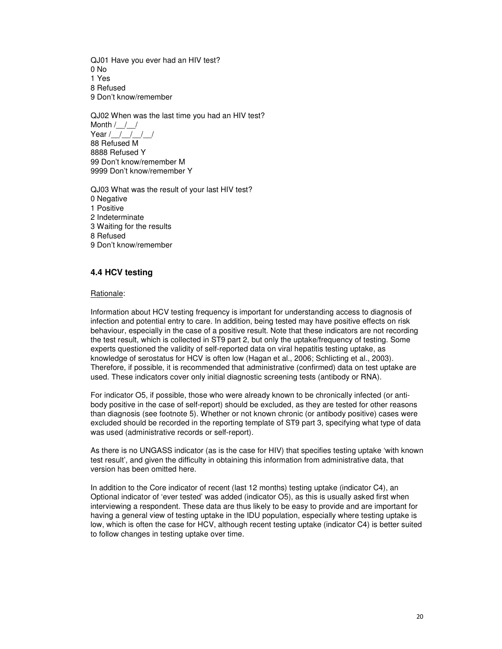QJ01 Have you ever had an HIV test? 0 No 1 Yes 8 Refused 9 Don't know/remember

QJ02 When was the last time you had an HIV test? Month /\_\_/\_\_/ Year / / / / / / 88 Refused M 8888 Refused Y 99 Don't know/remember M 9999 Don't know/remember Y

QJ03 What was the result of your last HIV test? 0 Negative 1 Positive 2 Indeterminate 3 Waiting for the results 8 Refused 9 Don't know/remember

## **4.4 HCV testing**

#### Rationale:

Information about HCV testing frequency is important for understanding access to diagnosis of infection and potential entry to care. In addition, being tested may have positive effects on risk behaviour, especially in the case of a positive result. Note that these indicators are not recording the test result, which is collected in ST9 part 2, but only the uptake/frequency of testing. Some experts questioned the validity of self-reported data on viral hepatitis testing uptake, as knowledge of serostatus for HCV is often low (Hagan et al., 2006; Schlicting et al., 2003). Therefore, if possible, it is recommended that administrative (confirmed) data on test uptake are used. These indicators cover only initial diagnostic screening tests (antibody or RNA).

For indicator O5, if possible, those who were already known to be chronically infected (or antibody positive in the case of self-report) should be excluded, as they are tested for other reasons than diagnosis (see footnote 5). Whether or not known chronic (or antibody positive) cases were excluded should be recorded in the reporting template of ST9 part 3, specifying what type of data was used (administrative records or self-report).

As there is no UNGASS indicator (as is the case for HIV) that specifies testing uptake 'with known test result', and given the difficulty in obtaining this information from administrative data, that version has been omitted here.

In addition to the Core indicator of recent (last 12 months) testing uptake (indicator C4), an Optional indicator of 'ever tested' was added (indicator O5), as this is usually asked first when interviewing a respondent. These data are thus likely to be easy to provide and are important for having a general view of testing uptake in the IDU population, especially where testing uptake is low, which is often the case for HCV, although recent testing uptake (indicator C4) is better suited to follow changes in testing uptake over time.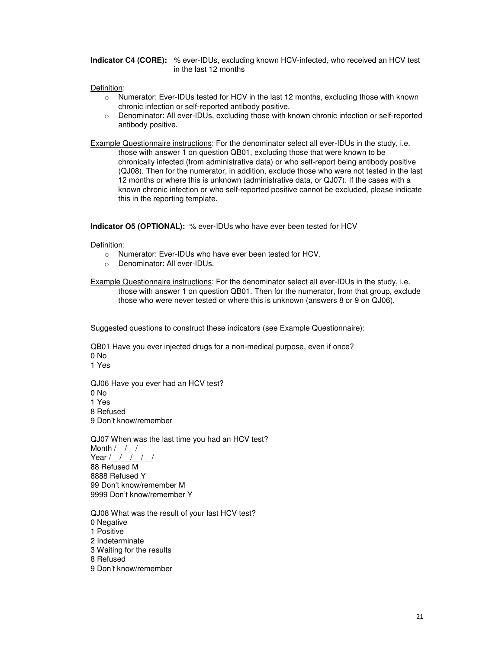**Indicator C4 (CORE):** % ever-IDUs, excluding known HCV-infected, who received an HCV test in the last 12 months

#### Definition:

- o Numerator: Ever-IDUs tested for HCV in the last 12 months, excluding those with known chronic infection or self-reported antibody positive.
- o Denominator: All ever-IDUs, excluding those with known chronic infection or self-reported antibody positive.

Example Questionnaire instructions: For the denominator select all ever-IDUs in the study, i.e. those with answer 1 on question QB01, excluding those that were known to be chronically infected (from administrative data) or who self-report being antibody positive (QJ08). Then for the numerator, in addition, exclude those who were not tested in the last 12 months or where this is unknown (administrative data, or QJ07). If the cases with a known chronic infection or who self-reported positive cannot be excluded, please indicate this in the reporting template.

**Indicator O5 (OPTIONAL):** % ever-IDUs who have ever been tested for HCV

Definition:

- o Numerator: Ever-IDUs who have ever been tested for HCV.
- o Denominator: All ever-IDUs.

Example Questionnaire instructions: For the denominator select all ever-IDUs in the study, i.e. those with answer 1 on question QB01. Then for the numerator, from that group, exclude those who were never tested or where this is unknown (answers 8 or 9 on QJ06).

Suggested questions to construct these indicators (see Example Questionnaire):

QB01 Have you ever injected drugs for a non-medical purpose, even if once? 0 No 1 Yes

QJ06 Have you ever had an HCV test? 0 No 1 Yes 8 Refused 9 Don't know/remember

QJ07 When was the last time you had an HCV test? Month  $/$  /  $/$ Year  $/$   $/$   $/$   $/$   $/$ 88 Refused M 8888 Refused Y 99 Don't know/remember M 9999 Don't know/remember Y

QJ08 What was the result of your last HCV test? 0 Negative 1 Positive 2 Indeterminate 3 Waiting for the results 8 Refused 9 Don't know/remember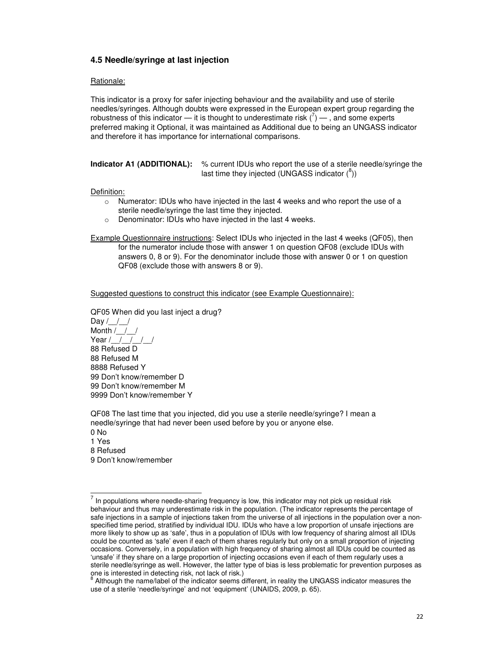## **4.5 Needle/syringe at last injection**

#### Rationale:

This indicator is a proxy for safer injecting behaviour and the availability and use of sterile needles/syringes. Although doubts were expressed in the European expert group regarding the robustness of this indicator — it is thought to underestimate risk  $(7)$  — , and some experts preferred making it Optional, it was maintained as Additional due to being an UNGASS indicator and therefore it has importance for international comparisons.

**Indicator A1 (ADDITIONAL):** % current IDUs who report the use of a sterile needle/syringe the last time they injected (UNGASS indicator  $(^8)$ )

#### Definition:

- $\circ$  Numerator: IDUs who have injected in the last 4 weeks and who report the use of a sterile needle/syringe the last time they injected.
- o Denominator: IDUs who have injected in the last 4 weeks.

Example Questionnaire instructions: Select IDUs who injected in the last 4 weeks (QF05), then for the numerator include those with answer 1 on question QF08 (exclude IDUs with answers 0, 8 or 9). For the denominator include those with answer 0 or 1 on question QF08 (exclude those with answers 8 or 9).

Suggested questions to construct this indicator (see Example Questionnaire):

QF05 When did you last inject a drug? Day  $/$  /  $/$ Month  $/$  /  $/$ Year  $/$   $/$   $/$   $/$   $/$ 88 Refused D 88 Refused M 8888 Refused Y 99 Don't know/remember D 99 Don't know/remember M 9999 Don't know/remember Y

QF08 The last time that you injected, did you use a sterile needle/syringe? I mean a needle/syringe that had never been used before by you or anyone else.

0 No 1 Yes 8 Refused 9 Don't know/remember

<sup>-&</sup>lt;br>7 In populations where needle-sharing frequency is low, this indicator may not pick up residual risk behaviour and thus may underestimate risk in the population. (The indicator represents the percentage of safe injections in a sample of injections taken from the universe of all injections in the population over a nonspecified time period, stratified by individual IDU. IDUs who have a low proportion of unsafe injections are more likely to show up as 'safe', thus in a population of IDUs with low frequency of sharing almost all IDUs could be counted as 'safe' even if each of them shares regularly but only on a small proportion of injecting occasions. Conversely, in a population with high frequency of sharing almost all IDUs could be counted as 'unsafe' if they share on a large proportion of injecting occasions even if each of them regularly uses a sterile needle/syringe as well. However, the latter type of bias is less problematic for prevention purposes as one is interested in detecting risk, not lack of risk.)

<sup>&</sup>lt;sup>8</sup> Although the name/label of the indicator seems different, in reality the UNGASS indicator measures the use of a sterile 'needle/syringe' and not 'equipment' (UNAIDS, 2009, p. 65).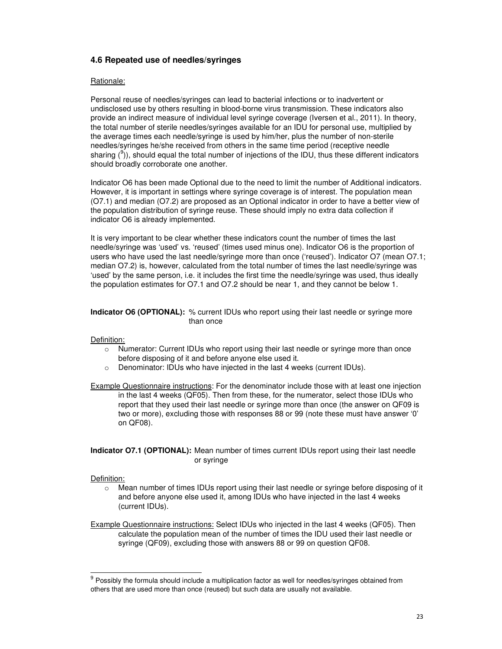### **4.6 Repeated use of needles/syringes**

#### Rationale:

Personal reuse of needles/syringes can lead to bacterial infections or to inadvertent or undisclosed use by others resulting in blood-borne virus transmission. These indicators also provide an indirect measure of individual level syringe coverage (Iversen et al., 2011). In theory, the total number of sterile needles/syringes available for an IDU for personal use, multiplied by the average times each needle/syringe is used by him/her, plus the number of non-sterile needles/syringes he/she received from others in the same time period (receptive needle sharing  $(9)$ ), should equal the total number of injections of the IDU, thus these different indicators should broadly corroborate one another.

Indicator O6 has been made Optional due to the need to limit the number of Additional indicators. However, it is important in settings where syringe coverage is of interest. The population mean (O7.1) and median (O7.2) are proposed as an Optional indicator in order to have a better view of the population distribution of syringe reuse. These should imply no extra data collection if indicator O6 is already implemented.

It is very important to be clear whether these indicators count the number of times the last needle/syringe was 'used' vs. 'reused' (times used minus one). Indicator O6 is the proportion of users who have used the last needle/syringe more than once ('reused'). Indicator O7 (mean O7.1; median O7.2) is, however, calculated from the total number of times the last needle/syringe was 'used' by the same person, i.e. it includes the first time the needle/syringe was used, thus ideally the population estimates for O7.1 and O7.2 should be near 1, and they cannot be below 1.

#### **Indicator O6 (OPTIONAL):** % current IDUs who report using their last needle or syringe more than once

#### Definition:

- $\circ$  Numerator: Current IDUs who report using their last needle or syringe more than once before disposing of it and before anyone else used it.
- o Denominator: IDUs who have injected in the last 4 weeks (current IDUs).
- Example Questionnaire instructions: For the denominator include those with at least one injection in the last 4 weeks (QF05). Then from these, for the numerator, select those IDUs who report that they used their last needle or syringe more than once (the answer on QF09 is two or more), excluding those with responses 88 or 99 (note these must have answer '0' on QF08).

#### **Indicator O7.1 (OPTIONAL):** Mean number of times current IDUs report using their last needle or syringe

#### Definition:

-

 $\circ$  Mean number of times IDUs report using their last needle or syringe before disposing of it and before anyone else used it, among IDUs who have injected in the last 4 weeks (current IDUs).

Example Questionnaire instructions: Select IDUs who injected in the last 4 weeks (QF05). Then calculate the population mean of the number of times the IDU used their last needle or syringe (QF09), excluding those with answers 88 or 99 on question QF08.

 $9$  Possibly the formula should include a multiplication factor as well for needles/syringes obtained from others that are used more than once (reused) but such data are usually not available.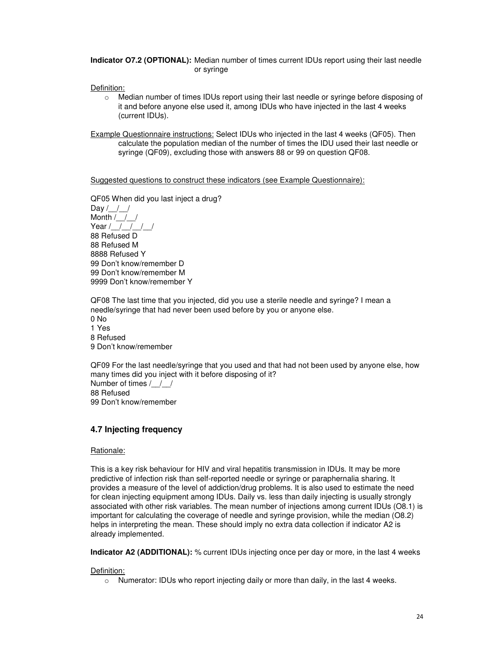**Indicator O7.2 (OPTIONAL):** Median number of times current IDUs report using their last needle or syringe

Definition:

o Median number of times IDUs report using their last needle or syringe before disposing of it and before anyone else used it, among IDUs who have injected in the last 4 weeks (current IDUs).

Example Questionnaire instructions: Select IDUs who injected in the last 4 weeks (QF05). Then calculate the population median of the number of times the IDU used their last needle or syringe (QF09), excluding those with answers 88 or 99 on question QF08.

Suggested questions to construct these indicators (see Example Questionnaire):

QF05 When did you last inject a drug?

Day  $/$  /  $/$ Month /\_\_/\_\_/ Year  $/$   $/$   $/$   $/$   $/$ 88 Refused D 88 Refused M 8888 Refused Y 99 Don't know/remember D 99 Don't know/remember M 9999 Don't know/remember Y

QF08 The last time that you injected, did you use a sterile needle and syringe? I mean a needle/syringe that had never been used before by you or anyone else. 0 No 1 Yes 8 Refused 9 Don't know/remember

QF09 For the last needle/syringe that you used and that had not been used by anyone else, how many times did you inject with it before disposing of it? Number of times /\_\_/\_\_/ 88 Refused 99 Don't know/remember

### **4.7 Injecting frequency**

#### Rationale:

This is a key risk behaviour for HIV and viral hepatitis transmission in IDUs. It may be more predictive of infection risk than self-reported needle or syringe or paraphernalia sharing. It provides a measure of the level of addiction/drug problems. It is also used to estimate the need for clean injecting equipment among IDUs. Daily vs. less than daily injecting is usually strongly associated with other risk variables. The mean number of injections among current IDUs (O8.1) is important for calculating the coverage of needle and syringe provision, while the median (O8.2) helps in interpreting the mean. These should imply no extra data collection if indicator A2 is already implemented.

**Indicator A2 (ADDITIONAL):** % current IDUs injecting once per day or more, in the last 4 weeks

Definition:

 $\circ$  Numerator: IDUs who report injecting daily or more than daily, in the last 4 weeks.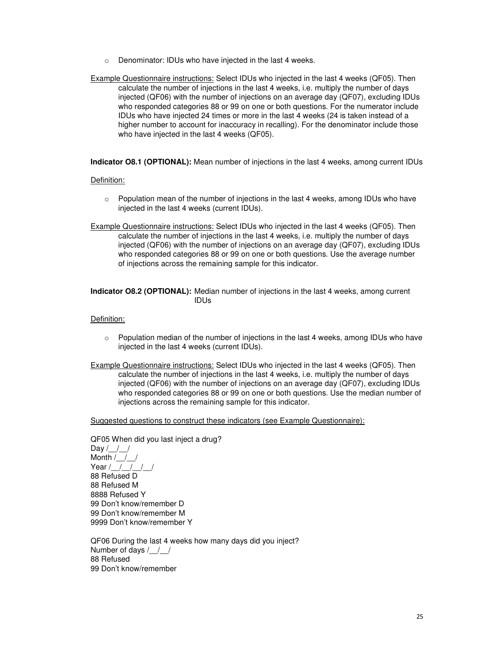- o Denominator: IDUs who have injected in the last 4 weeks.
- Example Questionnaire instructions: Select IDUs who injected in the last 4 weeks (QF05). Then calculate the number of injections in the last 4 weeks, i.e. multiply the number of days injected (QF06) with the number of injections on an average day (QF07), excluding IDUs who responded categories 88 or 99 on one or both questions. For the numerator include IDUs who have injected 24 times or more in the last 4 weeks (24 is taken instead of a higher number to account for inaccuracy in recalling). For the denominator include those who have injected in the last 4 weeks (QF05).

**Indicator O8.1 (OPTIONAL):** Mean number of injections in the last 4 weeks, among current IDUs

#### Definition:

- $\circ$  Population mean of the number of injections in the last 4 weeks, among IDUs who have injected in the last 4 weeks (current IDUs).
- Example Questionnaire instructions: Select IDUs who injected in the last 4 weeks (QF05). Then calculate the number of injections in the last 4 weeks, i.e. multiply the number of days injected (QF06) with the number of injections on an average day (QF07), excluding IDUs who responded categories 88 or 99 on one or both questions. Use the average number of injections across the remaining sample for this indicator.

#### **Indicator O8.2 (OPTIONAL):** Median number of injections in the last 4 weeks, among current IDUs

#### Definition:

- $\circ$  Population median of the number of injections in the last 4 weeks, among IDUs who have injected in the last 4 weeks (current IDUs).
- Example Questionnaire instructions: Select IDUs who injected in the last 4 weeks (QF05). Then calculate the number of injections in the last 4 weeks, i.e. multiply the number of days injected (QF06) with the number of injections on an average day (QF07), excluding IDUs who responded categories 88 or 99 on one or both questions. Use the median number of injections across the remaining sample for this indicator.

Suggested questions to construct these indicators (see Example Questionnaire):

QF05 When did you last inject a drug? Day  $/$  /  $/$ Month /\_\_/\_\_/ Year /  $\overline{\phantom{a}1}$  / 88 Refused D 88 Refused M 8888 Refused Y 99 Don't know/remember D 99 Don't know/remember M 9999 Don't know/remember Y

QF06 During the last 4 weeks how many days did you inject? Number of days / / / 88 Refused 99 Don't know/remember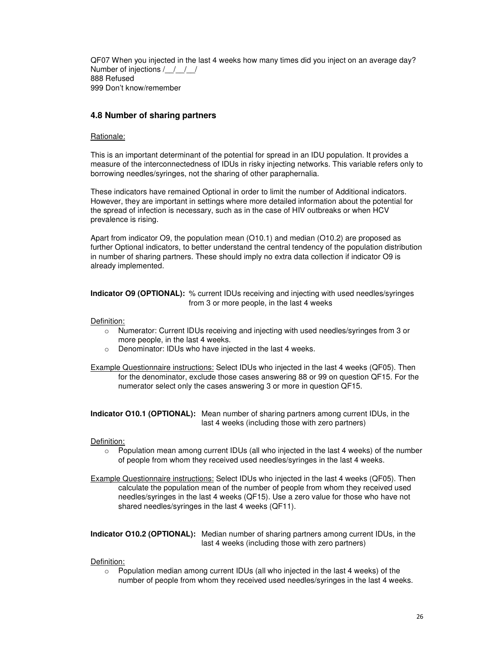QF07 When you injected in the last 4 weeks how many times did you inject on an average day? Number of injections / / / / 888 Refused 999 Don't know/remember

## **4.8 Number of sharing partners**

#### Rationale:

This is an important determinant of the potential for spread in an IDU population. It provides a measure of the interconnectedness of IDUs in risky injecting networks. This variable refers only to borrowing needles/syringes, not the sharing of other paraphernalia.

These indicators have remained Optional in order to limit the number of Additional indicators. However, they are important in settings where more detailed information about the potential for the spread of infection is necessary, such as in the case of HIV outbreaks or when HCV prevalence is rising.

Apart from indicator O9, the population mean (O10.1) and median (O10.2) are proposed as further Optional indicators, to better understand the central tendency of the population distribution in number of sharing partners. These should imply no extra data collection if indicator O9 is already implemented.

**Indicator O9 (OPTIONAL):** % current IDUs receiving and injecting with used needles/syringes from 3 or more people, in the last 4 weeks

Definition:

- o Numerator: Current IDUs receiving and injecting with used needles/syringes from 3 or more people, in the last 4 weeks.
- o Denominator: IDUs who have injected in the last 4 weeks.

Example Questionnaire instructions: Select IDUs who injected in the last 4 weeks (QF05). Then for the denominator, exclude those cases answering 88 or 99 on question QF15. For the numerator select only the cases answering 3 or more in question QF15.

**Indicator O10.1 (OPTIONAL):** Mean number of sharing partners among current IDUs, in the last 4 weeks (including those with zero partners)

#### Definition:

 $\circ$  Population mean among current IDUs (all who injected in the last 4 weeks) of the number of people from whom they received used needles/syringes in the last 4 weeks.

Example Questionnaire instructions: Select IDUs who injected in the last 4 weeks (QF05). Then calculate the population mean of the number of people from whom they received used needles/syringes in the last 4 weeks (QF15). Use a zero value for those who have not shared needles/syringes in the last 4 weeks (QF11).

**Indicator O10.2 (OPTIONAL):** Median number of sharing partners among current IDUs, in the last 4 weeks (including those with zero partners)

#### Definition:

 $\circ$  Population median among current IDUs (all who injected in the last 4 weeks) of the number of people from whom they received used needles/syringes in the last 4 weeks.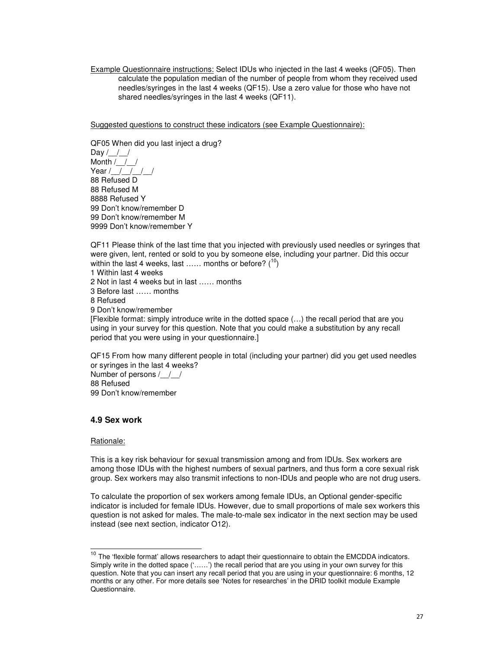Example Questionnaire instructions: Select IDUs who injected in the last 4 weeks (QF05). Then calculate the population median of the number of people from whom they received used needles/syringes in the last 4 weeks (QF15). Use a zero value for those who have not shared needles/syringes in the last 4 weeks (QF11).

Suggested questions to construct these indicators (see Example Questionnaire):

QF05 When did you last inject a drug? Day  $/$   $/$   $/$ Month /\_\_/\_\_/ Year / / / / / / 88 Refused D 88 Refused M 8888 Refused Y 99 Don't know/remember D 99 Don't know/remember M 9999 Don't know/remember Y

QF11 Please think of the last time that you injected with previously used needles or syringes that were given, lent, rented or sold to you by someone else, including your partner. Did this occur within the last 4 weeks, last ...... months or before?  $(^{10})$ 

1 Within last 4 weeks 2 Not in last 4 weeks but in last …… months 3 Before last …… months 8 Refused 9 Don't know/remember [Flexible format: simply introduce write in the dotted space (…) the recall period that are you using in your survey for this question. Note that you could make a substitution by any recall period that you were using in your questionnaire.]

QF15 From how many different people in total (including your partner) did you get used needles or syringes in the last 4 weeks? Number of persons / / / 88 Refused 99 Don't know/remember

## **4.9 Sex work**

#### Rationale:

This is a key risk behaviour for sexual transmission among and from IDUs. Sex workers are among those IDUs with the highest numbers of sexual partners, and thus form a core sexual risk group. Sex workers may also transmit infections to non-IDUs and people who are not drug users.

To calculate the proportion of sex workers among female IDUs, an Optional gender-specific indicator is included for female IDUs. However, due to small proportions of male sex workers this question is not asked for males. The male-to-male sex indicator in the next section may be used instead (see next section, indicator O12).

<sup>&</sup>lt;sup>10</sup> The 'flexible format' allows researchers to adapt their questionnaire to obtain the EMCDDA indicators. Simply write in the dotted space ('……') the recall period that are you using in your own survey for this question. Note that you can insert any recall period that you are using in your questionnaire: 6 months, 12 months or any other. For more details see 'Notes for researches' in the DRID toolkit module Example Questionnaire.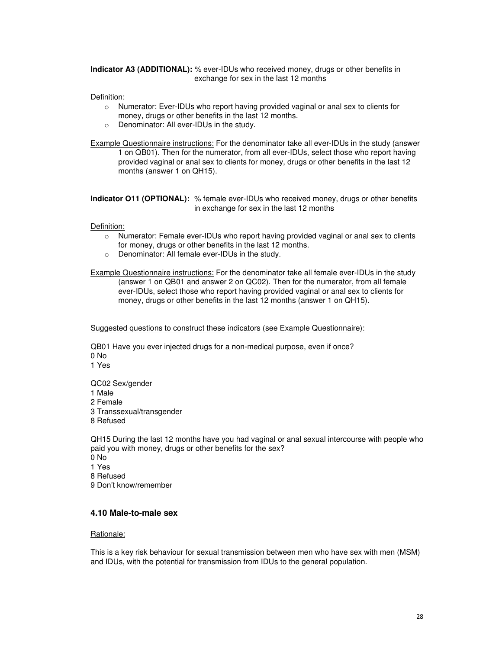**Indicator A3 (ADDITIONAL):** % ever-IDUs who received money, drugs or other benefits in exchange for sex in the last 12 months

Definition:

- o Numerator: Ever-IDUs who report having provided vaginal or anal sex to clients for money, drugs or other benefits in the last 12 months.
- o Denominator: All ever-IDUs in the study.

Example Questionnaire instructions: For the denominator take all ever-IDUs in the study (answer 1 on QB01). Then for the numerator, from all ever-IDUs, select those who report having provided vaginal or anal sex to clients for money, drugs or other benefits in the last 12 months (answer 1 on QH15).

**Indicator O11 (OPTIONAL):** % female ever-IDUs who received money, drugs or other benefits in exchange for sex in the last 12 months

Definition:

- o Numerator: Female ever-IDUs who report having provided vaginal or anal sex to clients for money, drugs or other benefits in the last 12 months.
- o Denominator: All female ever-IDUs in the study.

Example Questionnaire instructions: For the denominator take all female ever-IDUs in the study (answer 1 on QB01 and answer 2 on QC02). Then for the numerator, from all female ever-IDUs, select those who report having provided vaginal or anal sex to clients for money, drugs or other benefits in the last 12 months (answer 1 on QH15).

Suggested questions to construct these indicators (see Example Questionnaire):

QB01 Have you ever injected drugs for a non-medical purpose, even if once? 0 No 1 Yes

QC02 Sex/gender 1 Male 2 Female 3 Transsexual/transgender 8 Refused

QH15 During the last 12 months have you had vaginal or anal sexual intercourse with people who paid you with money, drugs or other benefits for the sex? 0 No 1 Yes 8 Refused

9 Don't know/remember

#### **4.10 Male-to-male sex**

#### Rationale:

This is a key risk behaviour for sexual transmission between men who have sex with men (MSM) and IDUs, with the potential for transmission from IDUs to the general population.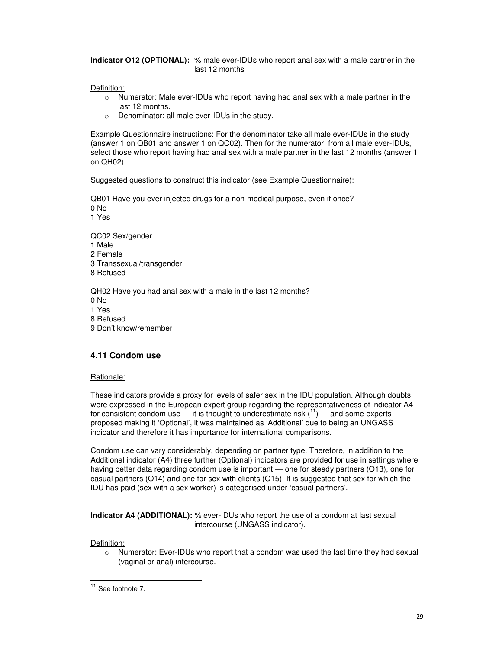**Indicator O12 (OPTIONAL):** % male ever-IDUs who report anal sex with a male partner in the last 12 months

Definition:

- $\circ$  Numerator: Male ever-IDUs who report having had anal sex with a male partner in the last 12 months.
- o Denominator: all male ever-IDUs in the study.

Example Questionnaire instructions: For the denominator take all male ever-IDUs in the study (answer 1 on QB01 and answer 1 on QC02). Then for the numerator, from all male ever-IDUs, select those who report having had anal sex with a male partner in the last 12 months (answer 1 on QH02).

Suggested questions to construct this indicator (see Example Questionnaire):

QB01 Have you ever injected drugs for a non-medical purpose, even if once? 0 No

1 Yes

QC02 Sex/gender 1 Male 2 Female 3 Transsexual/transgender 8 Refused

QH02 Have you had anal sex with a male in the last 12 months? 0 No 1 Yes 8 Refused 9 Don't know/remember

## **4.11 Condom use**

#### Rationale:

These indicators provide a proxy for levels of safer sex in the IDU population. Although doubts were expressed in the European expert group regarding the representativeness of indicator A4 for consistent condom use — it is thought to underestimate risk  $(1)$  — and some experts proposed making it 'Optional', it was maintained as 'Additional' due to being an UNGASS indicator and therefore it has importance for international comparisons.

Condom use can vary considerably, depending on partner type. Therefore, in addition to the Additional indicator (A4) three further (Optional) indicators are provided for use in settings where having better data regarding condom use is important — one for steady partners (O13), one for casual partners (O14) and one for sex with clients (O15). It is suggested that sex for which the IDU has paid (sex with a sex worker) is categorised under 'casual partners'.

**Indicator A4 (ADDITIONAL):** % ever-IDUs who report the use of a condom at last sexual intercourse (UNGASS indicator).

Definition:

-

 $\circ$  Numerator: Ever-IDUs who report that a condom was used the last time they had sexual (vaginal or anal) intercourse.

 $11$  See footnote 7.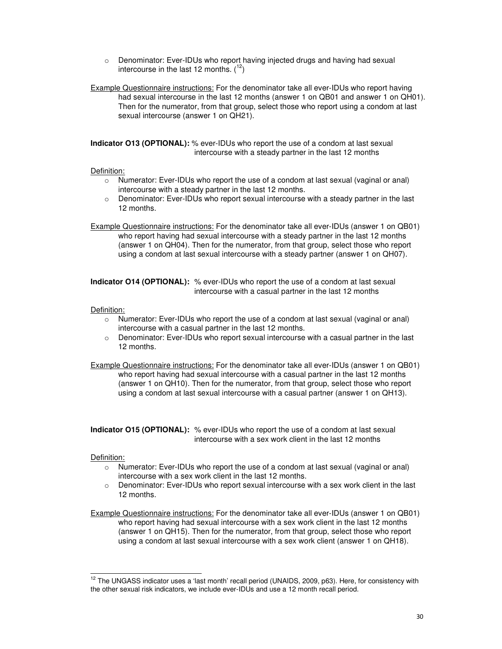- o Denominator: Ever-IDUs who report having injected drugs and having had sexual intercourse in the last 12 months.  $(1^2)$
- Example Questionnaire instructions: For the denominator take all ever-IDUs who report having had sexual intercourse in the last 12 months (answer 1 on QB01 and answer 1 on QH01). Then for the numerator, from that group, select those who report using a condom at last sexual intercourse (answer 1 on QH21).

**Indicator O13 (OPTIONAL):** % ever-IDUs who report the use of a condom at last sexual intercourse with a steady partner in the last 12 months

#### Definition:

- o Numerator: Ever-IDUs who report the use of a condom at last sexual (vaginal or anal) intercourse with a steady partner in the last 12 months.
- $\circ$  Denominator: Ever-IDUs who report sexual intercourse with a steady partner in the last 12 months.
- Example Questionnaire instructions: For the denominator take all ever-IDUs (answer 1 on QB01) who report having had sexual intercourse with a steady partner in the last 12 months (answer 1 on QH04). Then for the numerator, from that group, select those who report using a condom at last sexual intercourse with a steady partner (answer 1 on QH07).

**Indicator O14 (OPTIONAL):** % ever-IDUs who report the use of a condom at last sexual intercourse with a casual partner in the last 12 months

#### Definition:

- o Numerator: Ever-IDUs who report the use of a condom at last sexual (vaginal or anal) intercourse with a casual partner in the last 12 months.
- $\circ$  Denominator: Ever-IDUs who report sexual intercourse with a casual partner in the last 12 months.

Example Questionnaire instructions: For the denominator take all ever-IDUs (answer 1 on QB01) who report having had sexual intercourse with a casual partner in the last 12 months (answer 1 on QH10). Then for the numerator, from that group, select those who report using a condom at last sexual intercourse with a casual partner (answer 1 on QH13).

**Indicator O15 (OPTIONAL):** % ever-IDUs who report the use of a condom at last sexual intercourse with a sex work client in the last 12 months

- o Numerator: Ever-IDUs who report the use of a condom at last sexual (vaginal or anal) intercourse with a sex work client in the last 12 months.
- $\circ$  Denominator: Ever-IDUs who report sexual intercourse with a sex work client in the last 12 months.
- Example Questionnaire instructions: For the denominator take all ever-IDUs (answer 1 on QB01) who report having had sexual intercourse with a sex work client in the last 12 months (answer 1 on QH15). Then for the numerator, from that group, select those who report using a condom at last sexual intercourse with a sex work client (answer 1 on QH18).

  $12$  The UNGASS indicator uses a 'last month' recall period (UNAIDS, 2009, p63). Here, for consistency with the other sexual risk indicators, we include ever-IDUs and use a 12 month recall period.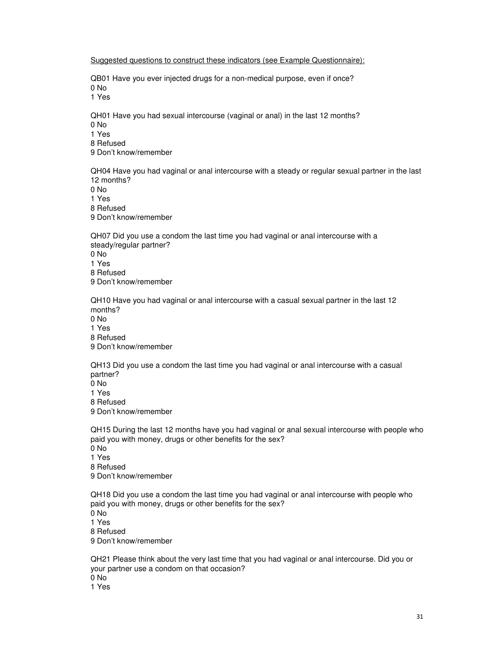Suggested questions to construct these indicators (see Example Questionnaire):

QB01 Have you ever injected drugs for a non-medical purpose, even if once? 0 No

1 Yes

QH01 Have you had sexual intercourse (vaginal or anal) in the last 12 months? 0 No

1 Yes

8 Refused

9 Don't know/remember

QH04 Have you had vaginal or anal intercourse with a steady or regular sexual partner in the last 12 months?

0 No

1 Yes

8 Refused

9 Don't know/remember

QH07 Did you use a condom the last time you had vaginal or anal intercourse with a steady/regular partner?

0 No

1 Yes

8 Refused

9 Don't know/remember

QH10 Have you had vaginal or anal intercourse with a casual sexual partner in the last 12 months? 0 No

1 Yes

8 Refused

9 Don't know/remember

QH13 Did you use a condom the last time you had vaginal or anal intercourse with a casual partner?

 $0$  No 1 Yes 8 Refused

9 Don't know/remember

QH15 During the last 12 months have you had vaginal or anal sexual intercourse with people who paid you with money, drugs or other benefits for the sex? 0 No

1 Yes 8 Refused

9 Don't know/remember

QH18 Did you use a condom the last time you had vaginal or anal intercourse with people who paid you with money, drugs or other benefits for the sex? 0 No 1 Yes 8 Refused 9 Don't know/remember

QH21 Please think about the very last time that you had vaginal or anal intercourse. Did you or your partner use a condom on that occasion?  $0$  No 1 Yes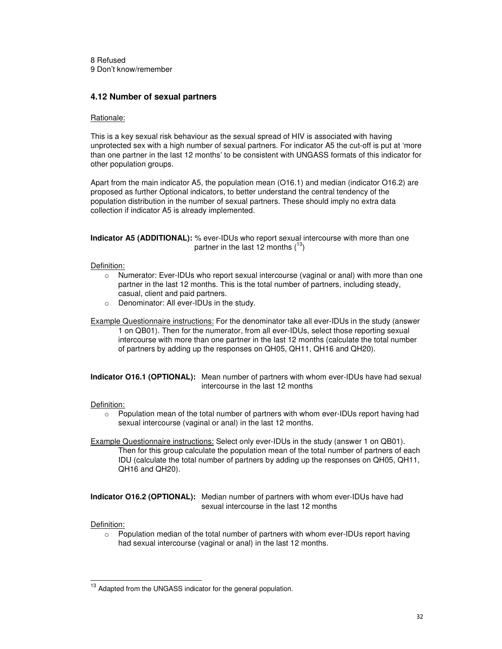8 Refused 9 Don't know/remember

## **4.12 Number of sexual partners**

#### Rationale:

This is a key sexual risk behaviour as the sexual spread of HIV is associated with having unprotected sex with a high number of sexual partners. For indicator A5 the cut-off is put at 'more than one partner in the last 12 months' to be consistent with UNGASS formats of this indicator for other population groups.

Apart from the main indicator A5, the population mean (O16.1) and median (indicator O16.2) are proposed as further Optional indicators, to better understand the central tendency of the population distribution in the number of sexual partners. These should imply no extra data collection if indicator A5 is already implemented.

**Indicator A5 (ADDITIONAL):** % ever-IDUs who report sexual intercourse with more than one partner in the last 12 months  $(^{13})$ 

#### Definition:

- o Numerator: Ever-IDUs who report sexual intercourse (vaginal or anal) with more than one partner in the last 12 months. This is the total number of partners, including steady, casual, client and paid partners.
- o Denominator: All ever-IDUs in the study.

#### Example Questionnaire instructions: For the denominator take all ever-IDUs in the study (answer 1 on QB01). Then for the numerator, from all ever-IDUs, select those reporting sexual intercourse with more than one partner in the last 12 months (calculate the total number of partners by adding up the responses on QH05, QH11, QH16 and QH20).

**Indicator O16.1 (OPTIONAL):** Mean number of partners with whom ever-IDUs have had sexual intercourse in the last 12 months

#### Definition:

- $\circ$  Population mean of the total number of partners with whom ever-IDUs report having had sexual intercourse (vaginal or anal) in the last 12 months.
- **Example Questionnaire instructions:** Select only ever-IDUs in the study (answer 1 on QB01). Then for this group calculate the population mean of the total number of partners of each IDU (calculate the total number of partners by adding up the responses on QH05, QH11, QH16 and QH20).

**Indicator O16.2 (OPTIONAL):** Median number of partners with whom ever-IDUs have had sexual intercourse in the last 12 months

#### Definition:

-

 $\circ$  Population median of the total number of partners with whom ever-IDUs report having had sexual intercourse (vaginal or anal) in the last 12 months.

<sup>&</sup>lt;sup>13</sup> Adapted from the UNGASS indicator for the general population.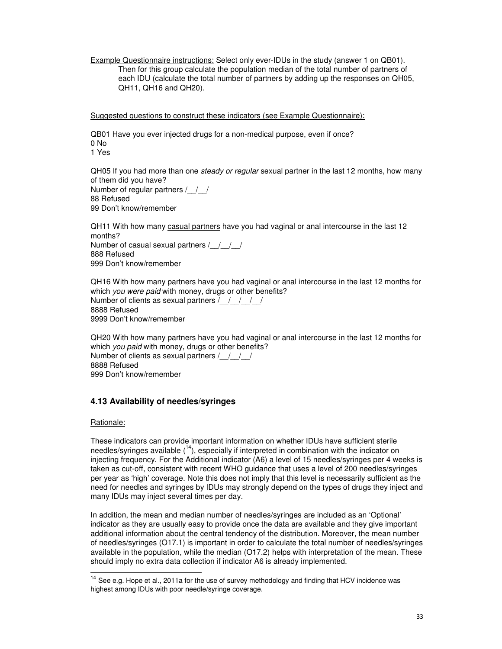Example Questionnaire instructions: Select only ever-IDUs in the study (answer 1 on QB01). Then for this group calculate the population median of the total number of partners of each IDU (calculate the total number of partners by adding up the responses on QH05, QH11, QH16 and QH20).

Suggested questions to construct these indicators (see Example Questionnaire):

QB01 Have you ever injected drugs for a non-medical purpose, even if once? 0 No 1 Yes

QH05 If you had more than one steady or regular sexual partner in the last 12 months, how many of them did you have? Number of regular partners / / 88 Refused 99 Don't know/remember

QH11 With how many casual partners have you had vaginal or anal intercourse in the last 12 months? Number of casual sexual partners / / / / 888 Refused 999 Don't know/remember

QH16 With how many partners have you had vaginal or anal intercourse in the last 12 months for which you were paid with money, drugs or other benefits? Number of clients as sexual partners  $/$   $/$   $/$   $/$   $/$ 8888 Refused 9999 Don't know/remember

QH20 With how many partners have you had vaginal or anal intercourse in the last 12 months for which you paid with money, drugs or other benefits? Number of clients as sexual partners / / / / 8888 Refused

999 Don't know/remember

## **4.13 Availability of needles/syringes**

### Rationale:

-

These indicators can provide important information on whether IDUs have sufficient sterile needles/syringes available  $(14)$ , especially if interpreted in combination with the indicator on injecting frequency. For the Additional indicator (A6) a level of 15 needles/syringes per 4 weeks is taken as cut-off, consistent with recent WHO guidance that uses a level of 200 needles/syringes per year as 'high' coverage. Note this does not imply that this level is necessarily sufficient as the need for needles and syringes by IDUs may strongly depend on the types of drugs they inject and many IDUs may inject several times per day.

In addition, the mean and median number of needles/syringes are included as an 'Optional' indicator as they are usually easy to provide once the data are available and they give important additional information about the central tendency of the distribution. Moreover, the mean number of needles/syringes (O17.1) is important in order to calculate the total number of needles/syringes available in the population, while the median (O17.2) helps with interpretation of the mean. These should imply no extra data collection if indicator A6 is already implemented.

 $14$  See e.g. Hope et al., 2011a for the use of survey methodology and finding that HCV incidence was highest among IDUs with poor needle/syringe coverage.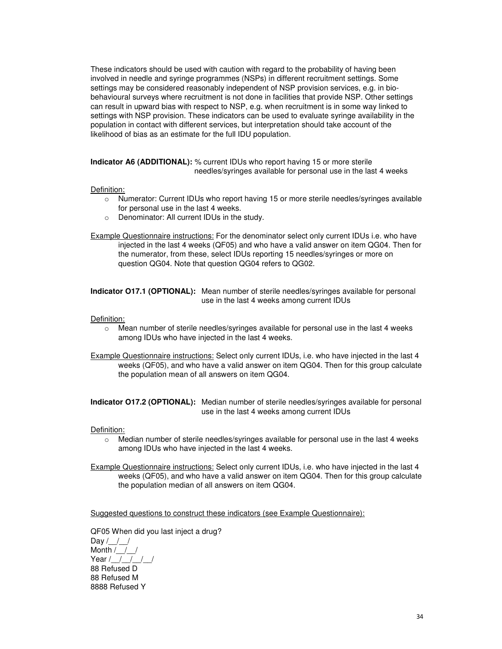These indicators should be used with caution with regard to the probability of having been involved in needle and syringe programmes (NSPs) in different recruitment settings. Some settings may be considered reasonably independent of NSP provision services, e.g. in biobehavioural surveys where recruitment is not done in facilities that provide NSP. Other settings can result in upward bias with respect to NSP, e.g. when recruitment is in some way linked to settings with NSP provision. These indicators can be used to evaluate syringe availability in the population in contact with different services, but interpretation should take account of the likelihood of bias as an estimate for the full IDU population.

**Indicator A6 (ADDITIONAL):** % current IDUs who report having 15 or more sterile needles/syringes available for personal use in the last 4 weeks

#### Definition:

- o Numerator: Current IDUs who report having 15 or more sterile needles/syringes available for personal use in the last 4 weeks.
- o Denominator: All current IDUs in the study.
- Example Questionnaire instructions: For the denominator select only current IDUs i.e. who have injected in the last 4 weeks (QF05) and who have a valid answer on item QG04. Then for the numerator, from these, select IDUs reporting 15 needles/syringes or more on question QG04. Note that question QG04 refers to QG02.

**Indicator O17.1 (OPTIONAL):** Mean number of sterile needles/syringes available for personal use in the last 4 weeks among current IDUs

#### Definition:

- $\circ$  Mean number of sterile needles/syringes available for personal use in the last 4 weeks among IDUs who have injected in the last 4 weeks.
- Example Questionnaire instructions: Select only current IDUs, i.e. who have injected in the last 4 weeks (QF05), and who have a valid answer on item QG04. Then for this group calculate the population mean of all answers on item QG04.

**Indicator O17.2 (OPTIONAL):** Median number of sterile needles/syringes available for personal use in the last 4 weeks among current IDUs

#### Definition:

 $\circ$  Median number of sterile needles/syringes available for personal use in the last 4 weeks among IDUs who have injected in the last 4 weeks.

Example Questionnaire instructions: Select only current IDUs, i.e. who have injected in the last 4 weeks (QF05), and who have a valid answer on item QG04. Then for this group calculate the population median of all answers on item QG04.

Suggested questions to construct these indicators (see Example Questionnaire):

QF05 When did you last inject a drug? Day  $/$  /  $/$ Month /\_\_/\_\_/ Year / / / / / / 88 Refused D 88 Refused M 8888 Refused Y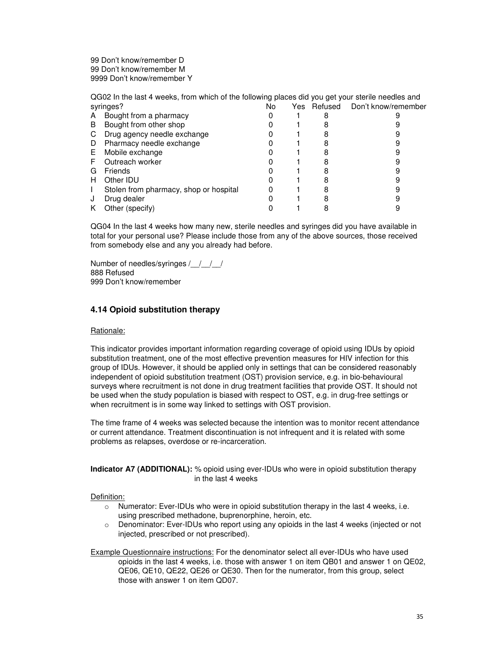99 Don't know/remember D 99 Don't know/remember M 9999 Don't know/remember Y

QG02 In the last 4 weeks, from which of the following places did you get your sterile needles and syringes? No Yes Refused Don't know/remember

|    | əyiliyyə:                              | 1 N U | נט ו | --------- | <b>PUTLINIOW/ICHICHIDE</b> |
|----|----------------------------------------|-------|------|-----------|----------------------------|
| A  | Bought from a pharmacy                 |       |      |           |                            |
| B  | Bought from other shop                 |       |      |           |                            |
| C  | Drug agency needle exchange            |       |      |           |                            |
| D  | Pharmacy needle exchange               |       |      |           |                            |
| Е. | Mobile exchange                        |       |      |           |                            |
| F  | Outreach worker                        |       |      |           |                            |
| G  | <b>Friends</b>                         |       |      |           |                            |
| н  | Other <b>IDU</b>                       |       |      |           |                            |
|    | Stolen from pharmacy, shop or hospital |       |      |           |                            |
| J  | Drug dealer                            |       |      |           |                            |
| Κ  | Other (specify)                        |       |      |           |                            |

QG04 In the last 4 weeks how many new, sterile needles and syringes did you have available in total for your personal use? Please include those from any of the above sources, those received from somebody else and any you already had before.

Number of needles/syringes / / / / 888 Refused 999 Don't know/remember

## **4.14 Opioid substitution therapy**

### Rationale:

This indicator provides important information regarding coverage of opioid using IDUs by opioid substitution treatment, one of the most effective prevention measures for HIV infection for this group of IDUs. However, it should be applied only in settings that can be considered reasonably independent of opioid substitution treatment (OST) provision service, e.g. in bio-behavioural surveys where recruitment is not done in drug treatment facilities that provide OST. It should not be used when the study population is biased with respect to OST, e.g. in drug-free settings or when recruitment is in some way linked to settings with OST provision.

The time frame of 4 weeks was selected because the intention was to monitor recent attendance or current attendance. Treatment discontinuation is not infrequent and it is related with some problems as relapses, overdose or re-incarceration.

### **Indicator A7 (ADDITIONAL):** % opioid using ever-IDUs who were in opioid substitution therapy in the last 4 weeks

Definition:

- $\circ$  Numerator: Ever-IDUs who were in opioid substitution therapy in the last 4 weeks, i.e. using prescribed methadone, buprenorphine, heroin, etc.
- $\circ$  Denominator: Ever-IDUs who report using any opioids in the last 4 weeks (injected or not injected, prescribed or not prescribed).

Example Questionnaire instructions: For the denominator select all ever-IDUs who have used opioids in the last 4 weeks, i.e. those with answer 1 on item QB01 and answer 1 on QE02, QE06, QE10, QE22, QE26 or QE30. Then for the numerator, from this group, select those with answer 1 on item QD07.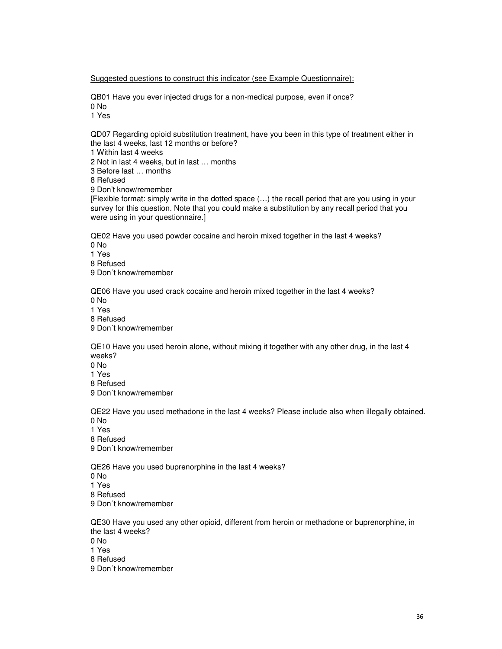Suggested questions to construct this indicator (see Example Questionnaire):

QB01 Have you ever injected drugs for a non-medical purpose, even if once? 0 No

1 Yes

QD07 Regarding opioid substitution treatment, have you been in this type of treatment either in the last 4 weeks, last 12 months or before?

1 Within last 4 weeks

2 Not in last 4 weeks, but in last … months

3 Before last … months

8 Refused

9 Don't know/remember

[Flexible format: simply write in the dotted space (…) the recall period that are you using in your survey for this question. Note that you could make a substitution by any recall period that you were using in your questionnaire.]

QE02 Have you used powder cocaine and heroin mixed together in the last 4 weeks? 0 No 1 Yes 8 Refused

9 Don´t know/remember

QE06 Have you used crack cocaine and heroin mixed together in the last 4 weeks? 0 No 1 Yes 8 Refused

9 Don´t know/remember

QE10 Have you used heroin alone, without mixing it together with any other drug, in the last 4 weeks?

0 No

1 Yes 8 Refused

9 Don´t know/remember

QE22 Have you used methadone in the last 4 weeks? Please include also when illegally obtained. 0 No

1 Yes

8 Refused

9 Don´t know/remember

QE26 Have you used buprenorphine in the last 4 weeks? 0 No 1 Yes 8 Refused 9 Don´t know/remember

QE30 Have you used any other opioid, different from heroin or methadone or buprenorphine, in the last 4 weeks? 0 No 1 Yes 8 Refused 9 Don´t know/remember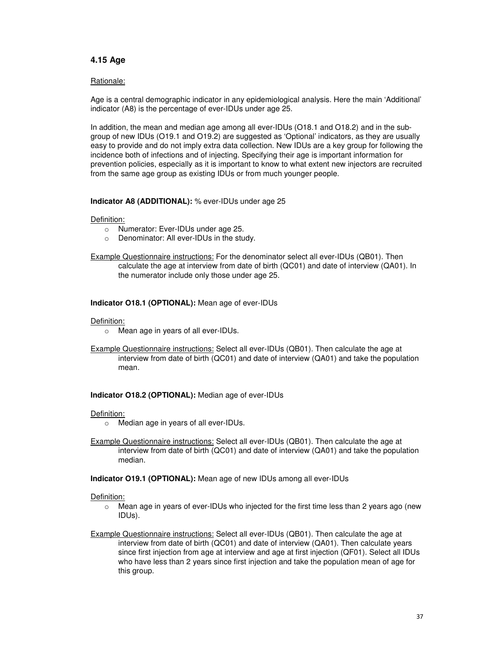### **4.15 Age**

#### Rationale:

Age is a central demographic indicator in any epidemiological analysis. Here the main 'Additional' indicator (A8) is the percentage of ever-IDUs under age 25.

In addition, the mean and median age among all ever-IDUs (O18.1 and O18.2) and in the subgroup of new IDUs (O19.1 and O19.2) are suggested as 'Optional' indicators, as they are usually easy to provide and do not imply extra data collection. New IDUs are a key group for following the incidence both of infections and of injecting. Specifying their age is important information for prevention policies, especially as it is important to know to what extent new injectors are recruited from the same age group as existing IDUs or from much younger people.

#### **Indicator A8 (ADDITIONAL):** % ever-IDUs under age 25

#### Definition:

- o Numerator: Ever-IDUs under age 25.
- o Denominator: All ever-IDUs in the study.
- Example Questionnaire instructions: For the denominator select all ever-IDUs (QB01). Then calculate the age at interview from date of birth (QC01) and date of interview (QA01). In the numerator include only those under age 25.

#### **Indicator O18.1 (OPTIONAL):** Mean age of ever-IDUs

#### Definition:

- o Mean age in years of all ever-IDUs.
- Example Questionnaire instructions: Select all ever-IDUs (QB01). Then calculate the age at interview from date of birth (QC01) and date of interview (QA01) and take the population mean.

#### **Indicator O18.2 (OPTIONAL):** Median age of ever-IDUs

#### Definition:

- o Median age in years of all ever-IDUs.
- Example Questionnaire instructions: Select all ever-IDUs (QB01). Then calculate the age at interview from date of birth (QC01) and date of interview (QA01) and take the population median.

#### **Indicator O19.1 (OPTIONAL):** Mean age of new IDUs among all ever-IDUs

- $\circ$  Mean age in years of ever-IDUs who injected for the first time less than 2 years ago (new IDUs).
- Example Questionnaire instructions: Select all ever-IDUs (QB01). Then calculate the age at interview from date of birth (QC01) and date of interview (QA01). Then calculate years since first injection from age at interview and age at first injection (QF01). Select all IDUs who have less than 2 years since first injection and take the population mean of age for this group.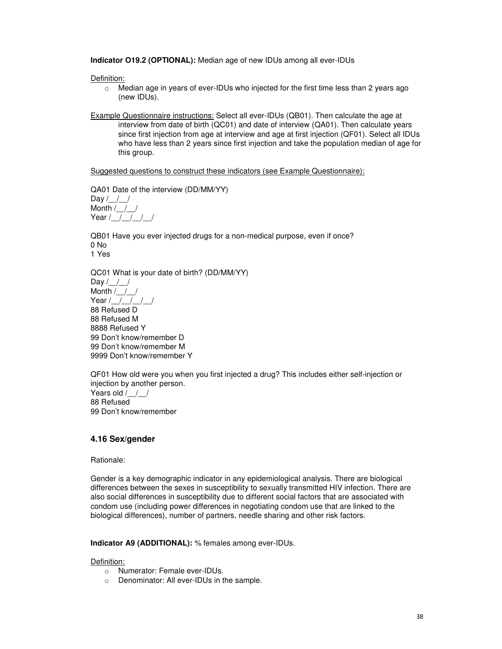**Indicator O19.2 (OPTIONAL):** Median age of new IDUs among all ever-IDUs

Definition:

- $\circ$  Median age in years of ever-IDUs who injected for the first time less than 2 years ago (new IDUs).
- Example Questionnaire instructions: Select all ever-IDUs (QB01). Then calculate the age at interview from date of birth (QC01) and date of interview (QA01). Then calculate years since first injection from age at interview and age at first injection (QF01). Select all IDUs who have less than 2 years since first injection and take the population median of age for this group.

Suggested questions to construct these indicators (see Example Questionnaire):

QA01 Date of the interview (DD/MM/YY)

Day  $/$  /  $/$ Month  $/$  / / Year / / / / /

QB01 Have you ever injected drugs for a non-medical purpose, even if once? 0 No 1 Yes

QC01 What is your date of birth? (DD/MM/YY)

Day  $/\_$ Month /\_\_/\_\_/ Year /\_\_/\_\_/\_\_/\_\_/ 88 Refused D 88 Refused M 8888 Refused Y 99 Don't know/remember D 99 Don't know/remember M 9999 Don't know/remember Y

QF01 How old were you when you first injected a drug? This includes either self-injection or injection by another person. Years old / / / 88 Refused 99 Don't know/remember

## **4.16 Sex/gender**

Rationale:

Gender is a key demographic indicator in any epidemiological analysis. There are biological differences between the sexes in susceptibility to sexually transmitted HIV infection. There are also social differences in susceptibility due to different social factors that are associated with condom use (including power differences in negotiating condom use that are linked to the biological differences), number of partners, needle sharing and other risk factors.

**Indicator A9 (ADDITIONAL):** % females among ever-IDUs.

- o Numerator: Female ever-IDUs.
- o Denominator: All ever-IDUs in the sample.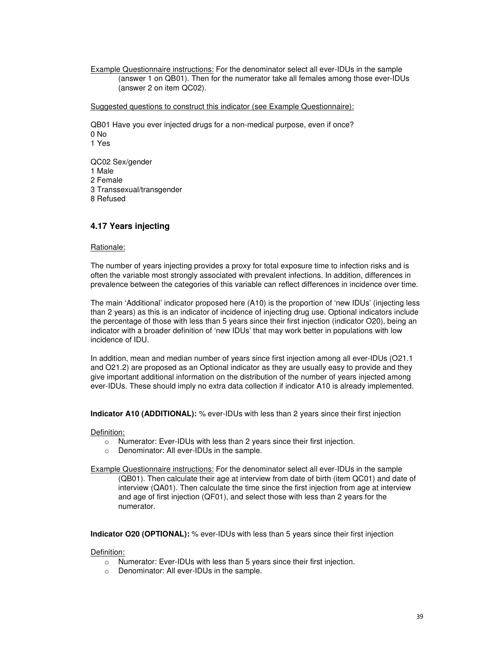Example Questionnaire instructions: For the denominator select all ever-IDUs in the sample (answer 1 on QB01). Then for the numerator take all females among those ever-IDUs (answer 2 on item QC02).

Suggested questions to construct this indicator (see Example Questionnaire):

QB01 Have you ever injected drugs for a non-medical purpose, even if once? 0 No 1 Yes

QC02 Sex/gender 1 Male 2 Female 3 Transsexual/transgender 8 Refused

## **4.17 Years injecting**

#### Rationale:

The number of years injecting provides a proxy for total exposure time to infection risks and is often the variable most strongly associated with prevalent infections. In addition, differences in prevalence between the categories of this variable can reflect differences in incidence over time.

The main 'Additional' indicator proposed here (A10) is the proportion of 'new IDUs' (injecting less than 2 years) as this is an indicator of incidence of injecting drug use. Optional indicators include the percentage of those with less than 5 years since their first injection (indicator O20), being an indicator with a broader definition of 'new IDUs' that may work better in populations with low incidence of IDU.

In addition, mean and median number of years since first injection among all ever-IDUs (O21.1 and O21.2) are proposed as an Optional indicator as they are usually easy to provide and they give important additional information on the distribution of the number of years injected among ever-IDUs. These should imply no extra data collection if indicator A10 is already implemented.

**Indicator A10 (ADDITIONAL):** % ever-IDUs with less than 2 years since their first injection

Definition:

- o Numerator: Ever-IDUs with less than 2 years since their first injection.
- o Denominator: All ever-IDUs in the sample.
- Example Questionnaire instructions: For the denominator select all ever-IDUs in the sample (QB01). Then calculate their age at interview from date of birth (item QC01) and date of interview (QA01). Then calculate the time since the first injection from age at interview and age of first injection (QF01), and select those with less than 2 years for the numerator.

**Indicator O20 (OPTIONAL):** % ever-IDUs with less than 5 years since their first injection

- $\circ$  Numerator: Ever-IDUs with less than 5 years since their first injection.
- o Denominator: All ever-IDUs in the sample.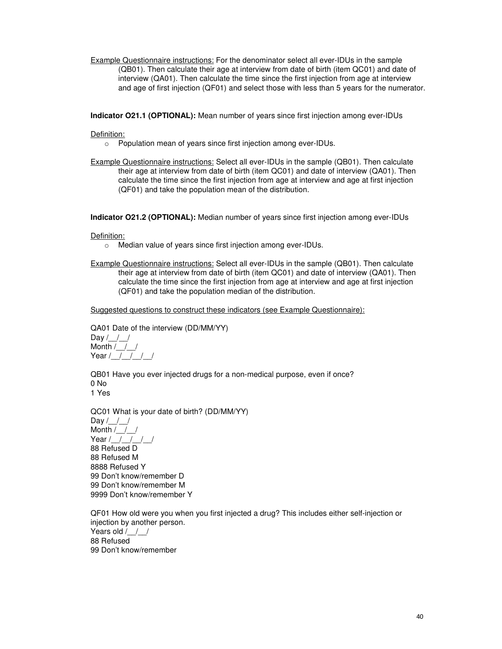Example Questionnaire instructions: For the denominator select all ever-IDUs in the sample (QB01). Then calculate their age at interview from date of birth (item QC01) and date of interview (QA01). Then calculate the time since the first injection from age at interview and age of first injection (QF01) and select those with less than 5 years for the numerator.

**Indicator O21.1 (OPTIONAL):** Mean number of years since first injection among ever-IDUs

Definition:

- o Population mean of years since first injection among ever-IDUs.
- Example Questionnaire instructions: Select all ever-IDUs in the sample (QB01). Then calculate their age at interview from date of birth (item QC01) and date of interview (QA01). Then calculate the time since the first injection from age at interview and age at first injection (QF01) and take the population mean of the distribution.

**Indicator O21.2 (OPTIONAL):** Median number of years since first injection among ever-IDUs

Definition:

- o Median value of years since first injection among ever-IDUs.
- Example Questionnaire instructions: Select all ever-IDUs in the sample (QB01). Then calculate their age at interview from date of birth (item QC01) and date of interview (QA01). Then calculate the time since the first injection from age at interview and age at first injection (QF01) and take the population median of the distribution.

Suggested questions to construct these indicators (see Example Questionnaire):

QA01 Date of the interview (DD/MM/YY) Day  $/$  /  $/$ Month  $/$  /  $/$ Year / | | | | |

QB01 Have you ever injected drugs for a non-medical purpose, even if once? 0 No 1 Yes

QC01 What is your date of birth? (DD/MM/YY) Day  $/\_ /$ Month  $/$   $/$ Year  $/$   $/$   $/$   $/$   $/$ 88 Refused D 88 Refused M 8888 Refused Y 99 Don't know/remember D 99 Don't know/remember M 9999 Don't know/remember Y

QF01 How old were you when you first injected a drug? This includes either self-injection or injection by another person. Years old / / / 88 Refused 99 Don't know/remember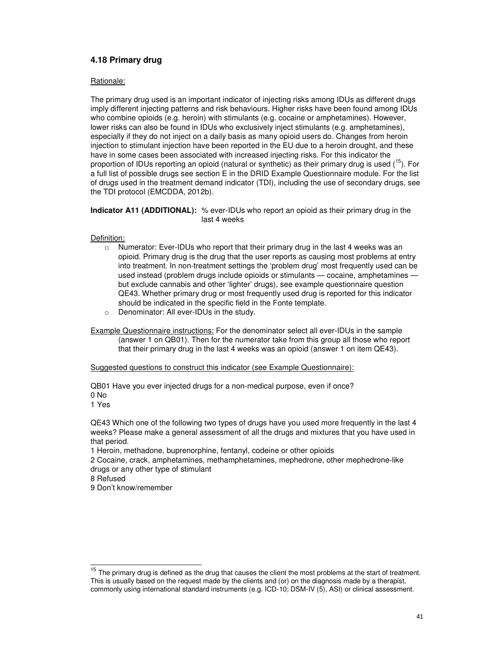## **4.18 Primary drug**

#### Rationale:

The primary drug used is an important indicator of injecting risks among IDUs as different drugs imply different injecting patterns and risk behaviours. Higher risks have been found among IDUs who combine opioids (e.g. heroin) with stimulants (e.g. cocaine or amphetamines). However, lower risks can also be found in IDUs who exclusively inject stimulants (e.g. amphetamines), especially if they do not inject on a daily basis as many opioid users do. Changes from heroin injection to stimulant injection have been reported in the EU due to a heroin drought, and these have in some cases been associated with increased injecting risks. For this indicator the proportion of IDUs reporting an opioid (natural or synthetic) as their primary drug is used  $\binom{16}{1}$ . For a full list of possible drugs see section E in the DRID Example Questionnaire module. For the list of drugs used in the treatment demand indicator (TDI), including the use of secondary drugs, see the TDI protocol (EMCDDA, 2012b).

**Indicator A11 (ADDITIONAL):** % ever-IDUs who report an opioid as their primary drug in the last 4 weeks

#### Definition:

- o Numerator: Ever-IDUs who report that their primary drug in the last 4 weeks was an opioid. Primary drug is the drug that the user reports as causing most problems at entry into treatment. In non-treatment settings the 'problem drug' most frequently used can be used instead (problem drugs include opioids or stimulants — cocaine, amphetamines but exclude cannabis and other 'lighter' drugs), see example questionnaire question QE43. Whether primary drug or most frequently used drug is reported for this indicator should be indicated in the specific field in the Fonte template.
- o Denominator: All ever-IDUs in the study.

Example Questionnaire instructions: For the denominator select all ever-IDUs in the sample (answer 1 on QB01). Then for the numerator take from this group all those who report that their primary drug in the last 4 weeks was an opioid (answer 1 on item QE43).

Suggested questions to construct this indicator (see Example Questionnaire):

QB01 Have you ever injected drugs for a non-medical purpose, even if once? 0 No

1 Yes

QE43 Which one of the following two types of drugs have you used more frequently in the last 4 weeks? Please make a general assessment of all the drugs and mixtures that you have used in that period.

1 Heroin, methadone, buprenorphine, fentanyl, codeine or other opioids

2 Cocaine, crack, amphetamines, methamphetamines, mephedrone, other mephedrone-like drugs or any other type of stimulant

8 Refused

 $\overline{a}$ 

9 Don't know/remember

 $15$  The primary drug is defined as the drug that causes the client the most problems at the start of treatment. This is usually based on the request made by the clients and (or) on the diagnosis made by a therapist, commonly using international standard instruments (e.g. ICD-10; DSM-IV (5), ASI) or clinical assessment.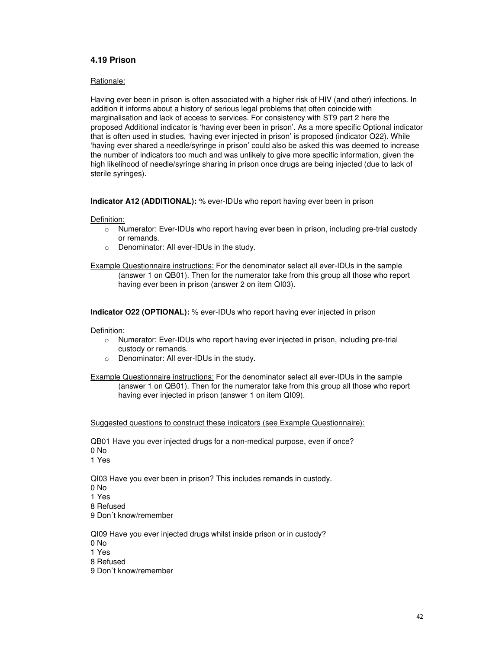## **4.19 Prison**

#### Rationale:

Having ever been in prison is often associated with a higher risk of HIV (and other) infections. In addition it informs about a history of serious legal problems that often coincide with marginalisation and lack of access to services. For consistency with ST9 part 2 here the proposed Additional indicator is 'having ever been in prison'. As a more specific Optional indicator that is often used in studies, 'having ever injected in prison' is proposed (indicator O22). While 'having ever shared a needle/syringe in prison' could also be asked this was deemed to increase the number of indicators too much and was unlikely to give more specific information, given the high likelihood of needle/syringe sharing in prison once drugs are being injected (due to lack of sterile syringes).

**Indicator A12 (ADDITIONAL):** % ever-IDUs who report having ever been in prison

#### Definition:

- o Numerator: Ever-IDUs who report having ever been in prison, including pre-trial custody or remands.
- o Denominator: All ever-IDUs in the study.

Example Questionnaire instructions: For the denominator select all ever-IDUs in the sample (answer 1 on QB01). Then for the numerator take from this group all those who report having ever been in prison (answer 2 on item QI03).

**Indicator O22 (OPTIONAL):** % ever-IDUs who report having ever injected in prison

Definition:

- o Numerator: Ever-IDUs who report having ever injected in prison, including pre-trial custody or remands.
- o Denominator: All ever-IDUs in the study.

Example Questionnaire instructions: For the denominator select all ever-IDUs in the sample (answer 1 on QB01). Then for the numerator take from this group all those who report having ever injected in prison (answer 1 on item QI09).

Suggested questions to construct these indicators (see Example Questionnaire):

QB01 Have you ever injected drugs for a non-medical purpose, even if once? 0 No 1 Yes

QI03 Have you ever been in prison? This includes remands in custody. 0 No 1 Yes 8 Refused 9 Don´t know/remember

QI09 Have you ever injected drugs whilst inside prison or in custody? 0 No 1 Yes 8 Refused 9 Don´t know/remember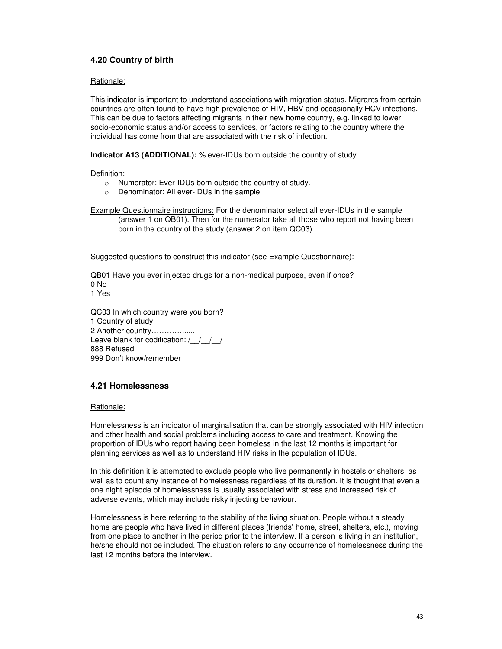## **4.20 Country of birth**

#### Rationale:

This indicator is important to understand associations with migration status. Migrants from certain countries are often found to have high prevalence of HIV, HBV and occasionally HCV infections. This can be due to factors affecting migrants in their new home country, e.g. linked to lower socio-economic status and/or access to services, or factors relating to the country where the individual has come from that are associated with the risk of infection.

**Indicator A13 (ADDITIONAL):** % ever-IDUs born outside the country of study

#### Definition:

- o Numerator: Ever-IDUs born outside the country of study.
- o Denominator: All ever-IDUs in the sample.

Example Questionnaire instructions: For the denominator select all ever-IDUs in the sample (answer 1 on QB01). Then for the numerator take all those who report not having been born in the country of the study (answer 2 on item QC03).

Suggested questions to construct this indicator (see Example Questionnaire):

QB01 Have you ever injected drugs for a non-medical purpose, even if once? 0 No 1 Yes

QC03 In which country were you born? 1 Country of study 2 Another country…………...... Leave blank for codification: / / / / 888 Refused 999 Don't know/remember

## **4.21 Homelessness**

#### Rationale:

Homelessness is an indicator of marginalisation that can be strongly associated with HIV infection and other health and social problems including access to care and treatment. Knowing the proportion of IDUs who report having been homeless in the last 12 months is important for planning services as well as to understand HIV risks in the population of IDUs.

In this definition it is attempted to exclude people who live permanently in hostels or shelters, as well as to count any instance of homelessness regardless of its duration. It is thought that even a one night episode of homelessness is usually associated with stress and increased risk of adverse events, which may include risky injecting behaviour.

Homelessness is here referring to the stability of the living situation. People without a steady home are people who have lived in different places (friends' home, street, shelters, etc.), moving from one place to another in the period prior to the interview. If a person is living in an institution, he/she should not be included. The situation refers to any occurrence of homelessness during the last 12 months before the interview.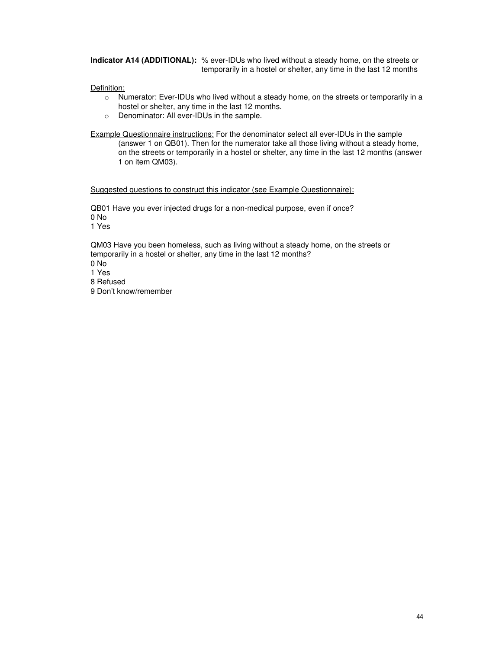**Indicator A14 (ADDITIONAL):** % ever-IDUs who lived without a steady home, on the streets or temporarily in a hostel or shelter, any time in the last 12 months

Definition:

- $\circ$  Numerator: Ever-IDUs who lived without a steady home, on the streets or temporarily in a hostel or shelter, any time in the last 12 months.
- o Denominator: All ever-IDUs in the sample.

Example Questionnaire instructions: For the denominator select all ever-IDUs in the sample (answer 1 on QB01). Then for the numerator take all those living without a steady home, on the streets or temporarily in a hostel or shelter, any time in the last 12 months (answer 1 on item QM03).

Suggested questions to construct this indicator (see Example Questionnaire):

QB01 Have you ever injected drugs for a non-medical purpose, even if once? 0 No 1 Yes

QM03 Have you been homeless, such as living without a steady home, on the streets or temporarily in a hostel or shelter, any time in the last 12 months?  $0 N<sub>o</sub>$ 1 Yes

8 Refused

9 Don't know/remember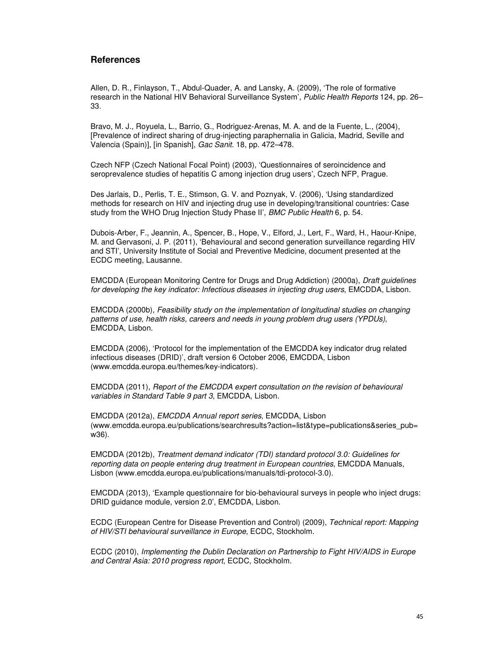### **References**

Allen, D. R., Finlayson, T., Abdul-Quader, A. and Lansky, A. (2009), 'The role of formative research in the National HIV Behavioral Surveillance System', Public Health Reports 124, pp. 26– 33.

Bravo, M. J., Royuela, L., Barrio, G., Rodriguez-Arenas, M. A. and de la Fuente, L., (2004), [Prevalence of indirect sharing of drug-injecting paraphernalia in Galicia, Madrid, Seville and Valencia (Spain)], [in Spanish], Gac Sanit. 18, pp. 472–478.

Czech NFP (Czech National Focal Point) (2003), 'Questionnaires of seroincidence and seroprevalence studies of hepatitis C among injection drug users', Czech NFP, Prague.

Des Jarlais, D., Perlis, T. E., Stimson, G. V. and Poznyak, V. (2006), 'Using standardized methods for research on HIV and injecting drug use in developing/transitional countries: Case study from the WHO Drug Injection Study Phase II', BMC Public Health 6, p. 54.

Dubois-Arber, F., Jeannin, A., Spencer, B., Hope, V., Elford, J., Lert, F., Ward, H., Haour-Knipe, M. and Gervasoni, J. P. (2011), 'Behavioural and second generation surveillance regarding HIV and STI', University Institute of Social and Preventive Medicine, document presented at the ECDC meeting, Lausanne.

EMCDDA (European Monitoring Centre for Drugs and Drug Addiction) (2000a), Draft guidelines for developing the key indicator: Infectious diseases in injecting drug users, EMCDDA, Lisbon.

EMCDDA (2000b), Feasibility study on the implementation of longitudinal studies on changing patterns of use, health risks, careers and needs in young problem drug users (YPDUs), EMCDDA, Lisbon.

EMCDDA (2006), 'Protocol for the implementation of the EMCDDA key indicator drug related infectious diseases (DRID)', draft version 6 October 2006, EMCDDA, Lisbon (www.emcdda.europa.eu/themes/key-indicators).

EMCDDA (2011), Report of the EMCDDA expert consultation on the revision of behavioural variables in Standard Table 9 part 3, EMCDDA, Lisbon.

EMCDDA (2012a), EMCDDA Annual report series, EMCDDA, Lisbon (www.emcdda.europa.eu/publications/searchresults?action=list&type=publications&series\_pub= w36).

EMCDDA (2012b), Treatment demand indicator (TDI) standard protocol 3.0: Guidelines for reporting data on people entering drug treatment in European countries, EMCDDA Manuals, Lisbon (www.emcdda.europa.eu/publications/manuals/tdi-protocol-3.0).

EMCDDA (2013), 'Example questionnaire for bio-behavioural surveys in people who inject drugs: DRID guidance module, version 2.0', EMCDDA, Lisbon.

ECDC (European Centre for Disease Prevention and Control) (2009), Technical report: Mapping of HIV/STI behavioural surveillance in Europe, ECDC, Stockholm.

ECDC (2010), Implementing the Dublin Declaration on Partnership to Fight HIV/AIDS in Europe and Central Asia: 2010 progress report, ECDC, Stockholm.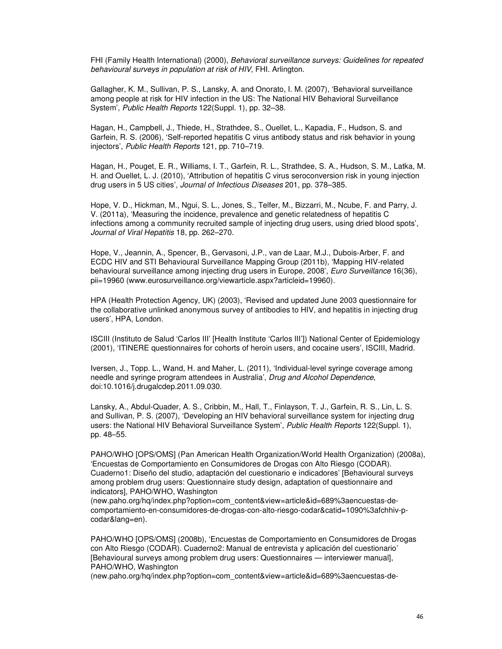FHI (Family Health International) (2000), Behavioral surveillance surveys: Guidelines for repeated behavioural surveys in population at risk of HIV, FHI. Arlington.

Gallagher, K. M., Sullivan, P. S., Lansky, A. and Onorato, I. M. (2007), 'Behavioral surveillance among people at risk for HIV infection in the US: The National HIV Behavioral Surveillance System', Public Health Reports 122(Suppl. 1), pp. 32–38.

Hagan, H., Campbell, J., Thiede, H., Strathdee, S., Ouellet, L., Kapadia, F., Hudson, S. and Garfein, R. S. (2006), 'Self-reported hepatitis C virus antibody status and risk behavior in young injectors', Public Health Reports 121, pp. 710–719.

Hagan, H., Pouget, E. R., Williams, I. T., Garfein, R. L., Strathdee, S. A., Hudson, S. M., Latka, M. H. and Ouellet, L. J. (2010), 'Attribution of hepatitis C virus seroconversion risk in young injection drug users in 5 US cities', Journal of Infectious Diseases 201, pp. 378-385.

Hope, V. D., Hickman, M., Ngui, S. L., Jones, S., Telfer, M., Bizzarri, M., Ncube, F. and Parry, J. V. (2011a), 'Measuring the incidence, prevalence and genetic relatedness of hepatitis C infections among a community recruited sample of injecting drug users, using dried blood spots', Journal of Viral Hepatitis 18, pp. 262–270.

Hope, V., Jeannin, A., Spencer, B., Gervasoni, J.P., van de Laar, M.J., Dubois-Arber, F. and ECDC HIV and STI Behavioural Surveillance Mapping Group (2011b), 'Mapping HIV-related behavioural surveillance among injecting drug users in Europe, 2008', Euro Surveillance 16(36), pii=19960 (www.eurosurveillance.org/viewarticle.aspx?articleid=19960).

HPA (Health Protection Agency, UK) (2003), 'Revised and updated June 2003 questionnaire for the collaborative unlinked anonymous survey of antibodies to HIV, and hepatitis in injecting drug users', HPA, London.

ISCIII (Instituto de Salud 'Carlos III' [Health Institute 'Carlos III']) National Center of Epidemiology (2001), 'ITINERE questionnaires for cohorts of heroin users, and cocaine users', ISCIII, Madrid.

Iversen, J., Topp. L., Wand, H. and Maher, L. (2011), 'Individual-level syringe coverage among needle and syringe program attendees in Australia', Drug and Alcohol Dependence, doi:10.1016/j.drugalcdep.2011.09.030.

Lansky, A., Abdul-Quader, A. S., Cribbin, M., Hall, T., Finlayson, T. J., Garfein, R. S., Lin, L. S. and Sullivan, P. S. (2007), 'Developing an HIV behavioral surveillance system for injecting drug users: the National HIV Behavioral Surveillance System', Public Health Reports 122(Suppl. 1), pp. 48–55.

PAHO/WHO [OPS/OMS] (Pan American Health Organization/World Health Organization) (2008a), 'Encuestas de Comportamiento en Consumidores de Drogas con Alto Riesgo (CODAR). Cuaderno1: Diseño del studio, adaptación del cuestionario e indicadores' [Behavioural surveys among problem drug users: Questionnaire study design, adaptation of questionnaire and indicators], PAHO/WHO, Washington

(new.paho.org/hq/index.php?option=com\_content&view=article&id=689%3aencuestas-decomportamiento-en-consumidores-de-drogas-con-alto-riesgo-codar&catid=1090%3afchhiv-pcodar&lang=en).

PAHO/WHO [OPS/OMS] (2008b), 'Encuestas de Comportamiento en Consumidores de Drogas con Alto Riesgo (CODAR). Cuaderno2: Manual de entrevista y aplicación del cuestionario' [Behavioural surveys among problem drug users: Questionnaires — interviewer manual], PAHO/WHO, Washington

(new.paho.org/hq/index.php?option=com\_content&view=article&id=689%3aencuestas-de-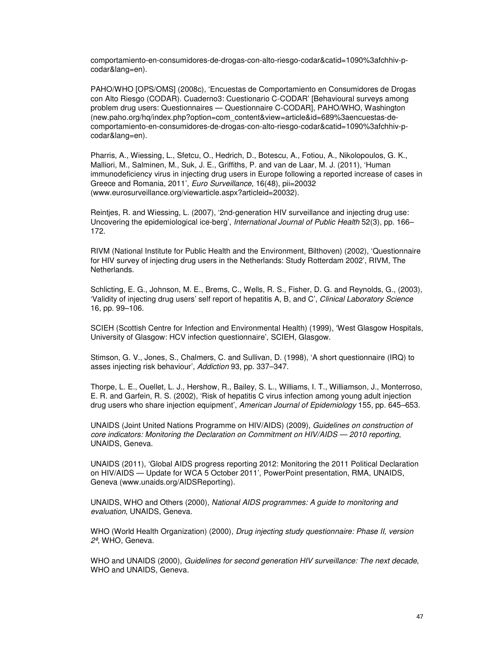comportamiento-en-consumidores-de-drogas-con-alto-riesgo-codar&catid=1090%3afchhiv-pcodar&lang=en).

PAHO/WHO [OPS/OMS] (2008c), 'Encuestas de Comportamiento en Consumidores de Drogas con Alto Riesgo (CODAR). Cuaderno3: Cuestionario C-CODAR' [Behavioural surveys among problem drug users: Questionnaires — Questionnaire C-CODAR], PAHO/WHO, Washington (new.paho.org/hq/index.php?option=com\_content&view=article&id=689%3aencuestas-decomportamiento-en-consumidores-de-drogas-con-alto-riesgo-codar&catid=1090%3afchhiv-pcodar&lang=en).

Pharris, A., Wiessing, L., Sfetcu, O., Hedrich, D., Botescu, A., Fotiou, A., Nikolopoulos, G. K., Malliori, M., Salminen, M., Suk, J. E., Griffiths, P. and van de Laar, M. J. (2011), 'Human immunodeficiency virus in injecting drug users in Europe following a reported increase of cases in Greece and Romania, 2011', Euro Surveillance, 16(48), pii=20032 (www.eurosurveillance.org/viewarticle.aspx?articleid=20032).

Reintjes, R. and Wiessing, L. (2007), '2nd-generation HIV surveillance and injecting drug use: Uncovering the epidemiological ice-berg', International Journal of Public Health 52(3), pp. 166– 172.

RIVM (National Institute for Public Health and the Environment, Bilthoven) (2002), 'Questionnaire for HIV survey of injecting drug users in the Netherlands: Study Rotterdam 2002', RIVM, The Netherlands.

Schlicting, E. G., Johnson, M. E., Brems, C., Wells, R. S., Fisher, D. G. and Reynolds, G., (2003), 'Validity of injecting drug users' self report of hepatitis A, B, and C', Clinical Laboratory Science 16, pp. 99–106.

SCIEH (Scottish Centre for Infection and Environmental Health) (1999), 'West Glasgow Hospitals, University of Glasgow: HCV infection questionnaire', SCIEH, Glasgow.

Stimson, G. V., Jones, S., Chalmers, C. and Sullivan, D. (1998), 'A short questionnaire (IRQ) to asses injecting risk behaviour', Addiction 93, pp. 337–347.

Thorpe, L. E., Ouellet, L. J., Hershow, R., Bailey, S. L., Williams, I. T., Williamson, J., Monterroso, E. R. and Garfein, R. S. (2002), 'Risk of hepatitis C virus infection among young adult injection drug users who share injection equipment', American Journal of Epidemiology 155, pp. 645-653.

UNAIDS (Joint United Nations Programme on HIV/AIDS) (2009), Guidelines on construction of core indicators: Monitoring the Declaration on Commitment on HIV/AIDS — 2010 reporting, UNAIDS, Geneva.

UNAIDS (2011), 'Global AIDS progress reporting 2012: Monitoring the 2011 Political Declaration on HIV/AIDS — Update for WCA 5 October 2011', PowerPoint presentation, RMA, UNAIDS, Geneva (www.unaids.org/AIDSReporting).

UNAIDS, WHO and Others (2000), National AIDS programmes: A guide to monitoring and evaluation, UNAIDS, Geneva.

WHO (World Health Organization) (2000), Drug injecting study questionnaire: Phase II, version 2ª, WHO, Geneva.

WHO and UNAIDS (2000), Guidelines for second generation HIV surveillance: The next decade, WHO and UNAIDS, Geneva.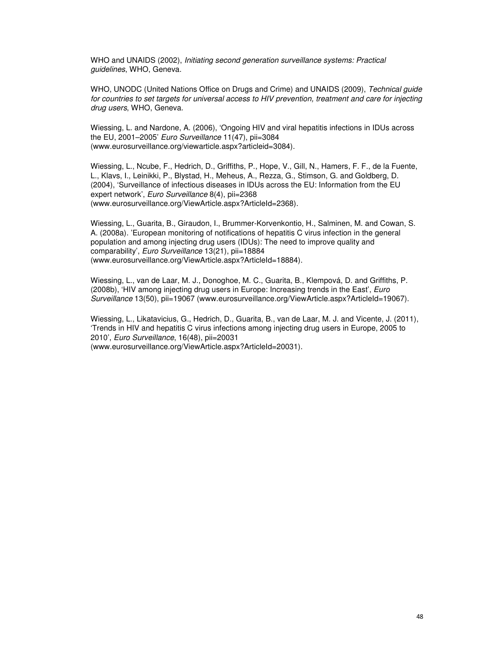WHO and UNAIDS (2002), Initiating second generation surveillance systems: Practical guidelines, WHO, Geneva.

WHO, UNODC (United Nations Office on Drugs and Crime) and UNAIDS (2009), Technical guide for countries to set targets for universal access to HIV prevention, treatment and care for injecting drug users, WHO, Geneva.

Wiessing, L. and Nardone, A. (2006), 'Ongoing HIV and viral hepatitis infections in IDUs across the EU, 2001–2005' Euro Surveillance 11(47), pii=3084 (www.eurosurveillance.org/viewarticle.aspx?articleid=3084).

Wiessing, L., Ncube, F., Hedrich, D., Griffiths, P., Hope, V., Gill, N., Hamers, F. F., de la Fuente, L., Klavs, I., Leinikki, P., Blystad, H., Meheus, A., Rezza, G., Stimson, G. and Goldberg, D. (2004), 'Surveillance of infectious diseases in IDUs across the EU: Information from the EU expert network', Euro Surveillance 8(4), pii=2368 (www.eurosurveillance.org/ViewArticle.aspx?ArticleId=2368).

Wiessing, L., Guarita, B., Giraudon, I., Brummer-Korvenkontio, H., Salminen, M. and Cowan, S. A. (2008a). 'European monitoring of notifications of hepatitis C virus infection in the general population and among injecting drug users (IDUs): The need to improve quality and comparability', Euro Surveillance 13(21), pii=18884 (www.eurosurveillance.org/ViewArticle.aspx?ArticleId=18884).

Wiessing, L., van de Laar, M. J., Donoghoe, M. C., Guarita, B., Klempová, D. and Griffiths, P. (2008b), 'HIV among injecting drug users in Europe: Increasing trends in the East', *Euro* Surveillance 13(50), pii=19067 (www.eurosurveillance.org/ViewArticle.aspx?ArticleId=19067).

Wiessing, L., Likatavicius, G., Hedrich, D., Guarita, B., van de Laar, M. J. and Vicente, J. (2011), 'Trends in HIV and hepatitis C virus infections among injecting drug users in Europe, 2005 to 2010', Euro Surveillance, 16(48), pii=20031

(www.eurosurveillance.org/ViewArticle.aspx?ArticleId=20031).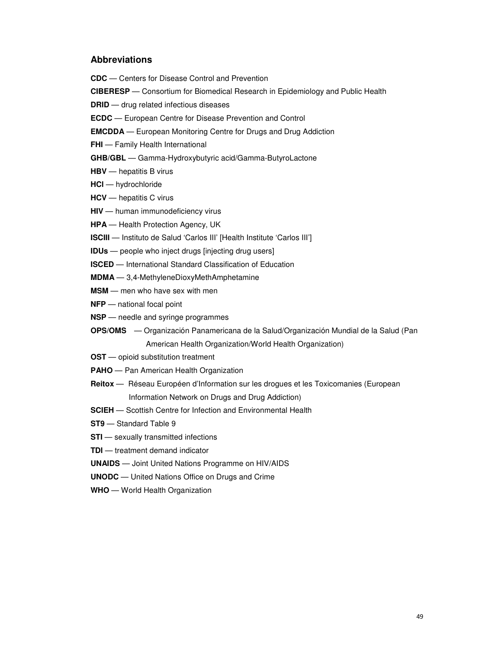## **Abbreviations**

**CDC** — Centers for Disease Control and Prevention

**CIBERESP** — Consortium for Biomedical Research in Epidemiology and Public Health

**DRID** — drug related infectious diseases

**ECDC** — European Centre for Disease Prevention and Control

**EMCDDA** — European Monitoring Centre for Drugs and Drug Addiction

**FHI** — Family Health International

**GHB/GBL** — Gamma-Hydroxybutyric acid/Gamma-ButyroLactone

- **HBV**  hepatitis B virus
- **HCl**  hydrochloride
- **HCV**  hepatitis C virus
- **HIV**  human immunodeficiency virus

**HPA** — Health Protection Agency, UK

- **ISCIII** Instituto de Salud 'Carlos III' [Health Institute 'Carlos III']
- **IDUs**  people who inject drugs [injecting drug users]
- **ISCED** International Standard Classification of Education

**MDMA** — 3,4-MethyleneDioxyMethAmphetamine

- **MSM**  men who have sex with men
- **NFP**  national focal point
- **NSP**  needle and syringe programmes
- **OPS/OMS** Organización Panamericana de la Salud/Organización Mundial de la Salud (Pan American Health Organization/World Health Organization)
- **OST** opioid substitution treatment
- **PAHO**  Pan American Health Organization
- **Reitox**  Réseau Européen d'Information sur les drogues et les Toxicomanies (European Information Network on Drugs and Drug Addiction)
- **SCIEH**  Scottish Centre for Infection and Environmental Health
- **ST9**  Standard Table 9
- **STI** sexually transmitted infections
- **TDI** treatment demand indicator
- **UNAIDS**  Joint United Nations Programme on HIV/AIDS
- **UNODC**  United Nations Office on Drugs and Crime
- **WHO**  World Health Organization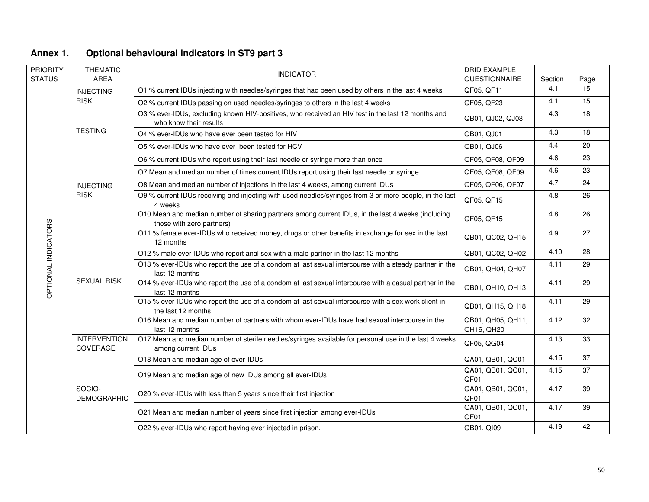| PRIORITY<br><b>STATUS</b> | <b>THEMATIC</b><br><b>AREA</b>  | <b>INDICATOR</b>                                                                                                               | DRID EXAMPLE<br>QUESTIONNAIRE   | Section | Page |
|---------------------------|---------------------------------|--------------------------------------------------------------------------------------------------------------------------------|---------------------------------|---------|------|
|                           | <b>INJECTING</b>                | O1 % current IDUs injecting with needles/syringes that had been used by others in the last 4 weeks                             | QF05, QF11                      | 4.1     | 15   |
|                           | <b>RISK</b>                     | O2 % current IDUs passing on used needles/syringes to others in the last 4 weeks                                               | QF05, QF23                      | 4.1     | 15   |
|                           |                                 | O3 % ever-IDUs, excluding known HIV-positives, who received an HIV test in the last 12 months and<br>who know their results    | QB01, QJ02, QJ03                | 4.3     | 18   |
|                           | <b>TESTING</b>                  | O4 % ever-IDUs who have ever been tested for HIV                                                                               | QB01, QJ01                      | 4.3     | 18   |
|                           |                                 | O5 % ever-IDUs who have ever been tested for HCV                                                                               | QB01, QJ06                      | 4.4     | 20   |
|                           |                                 | O6 % current IDUs who report using their last needle or syringe more than once                                                 | QF05, QF08, QF09                | 4.6     | 23   |
|                           |                                 | O7 Mean and median number of times current IDUs report using their last needle or syringe                                      | QF05, QF08, QF09                | 4.6     | 23   |
|                           | <b>INJECTING</b>                | O8 Mean and median number of injections in the last 4 weeks, among current IDUs                                                | QF05, QF06, QF07                | 4.7     | 24   |
|                           | <b>RISK</b>                     | O9 % current IDUs receiving and injecting with used needles/syringes from 3 or more people, in the last<br>4 weeks             | QF05, QF15                      | 4.8     | 26   |
|                           |                                 | O10 Mean and median number of sharing partners among current IDUs, in the last 4 weeks (including<br>those with zero partners) | QF05, QF15                      | 4.8     | 26   |
|                           | <b>SEXUAL RISK</b>              | O11 % female ever-IDUs who received money, drugs or other benefits in exchange for sex in the last<br>12 months                | QB01, QC02, QH15                | 4.9     | 27   |
|                           |                                 | O12 % male ever-IDUs who report anal sex with a male partner in the last 12 months                                             | QB01, QC02, QH02                | 4.10    | 28   |
| OPTIONAL INDICATORS       |                                 | O13 % ever-IDUs who report the use of a condom at last sexual intercourse with a steady partner in the<br>last 12 months       | QB01, QH04, QH07                | 4.11    | 29   |
|                           |                                 | O14 % ever-IDUs who report the use of a condom at last sexual intercourse with a casual partner in the<br>last 12 months       | QB01, QH10, QH13                | 4.11    | 29   |
|                           |                                 | O15 % ever-IDUs who report the use of a condom at last sexual intercourse with a sex work client in<br>the last 12 months      | QB01, QH15, QH18                | 4.11    | 29   |
|                           |                                 | O16 Mean and median number of partners with whom ever-IDUs have had sexual intercourse in the<br>last 12 months                | QB01, QH05, QH11,<br>QH16, QH20 | 4.12    | 32   |
|                           | <b>INTERVENTION</b><br>COVERAGE | O17 Mean and median number of sterile needles/syringes available for personal use in the last 4 weeks<br>among current IDUs    | QF05, QG04                      | 4.13    | 33   |
|                           |                                 | O18 Mean and median age of ever-IDUs                                                                                           | QA01, QB01, QC01                | 4.15    | 37   |
|                           |                                 | O19 Mean and median age of new IDUs among all ever-IDUs                                                                        | QA01, QB01, QC01,<br>QF01       | 4.15    | 37   |
|                           | SOCIO-<br><b>DEMOGRAPHIC</b>    | O20 % ever-IDUs with less than 5 years since their first injection                                                             | QA01, QB01, QC01,<br>QF01       | 4.17    | 39   |
|                           |                                 | O21 Mean and median number of years since first injection among ever-IDUs                                                      | QA01, QB01, QC01,<br>QF01       | 4.17    | 39   |
|                           |                                 | O22 % ever-IDUs who report having ever injected in prison.                                                                     | QB01, QI09                      | 4.19    | 42   |

## **Annex 1. Optional behavioural indicators in ST9 part 3**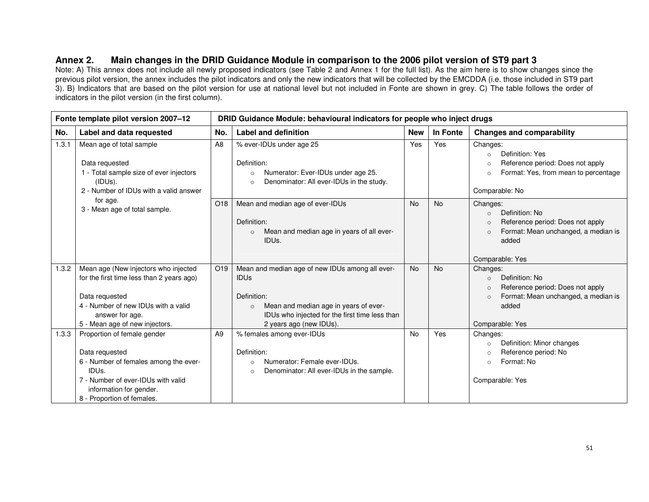## **Annex 2. Main changes in the DRID Guidance Module in comparison to the 2006 pilot version of ST9 part 3**

Note: A) This annex does not include all newly proposed indicators (see Table 2 and Annex 1 for the full list). As the aim here is to show changes since the previous pilot version, the annex includes the pilot indicators and only the new indicators that will be collected by the EMCDDA (i.e. those included in ST9 part 3). B) Indicators that are based on the pilot version for use at national level but not included in Fonte are shown in grey. C) The table follows the order of indicators in the pilot version (in the first column).

|       | Fonte template pilot version 2007-12                                                                                                                                                                      | DRID Guidance Module: behavioural indicators for people who inject drugs |                                                                                                                                                                                                                |            |           |                                                                                                                                                                      |
|-------|-----------------------------------------------------------------------------------------------------------------------------------------------------------------------------------------------------------|--------------------------------------------------------------------------|----------------------------------------------------------------------------------------------------------------------------------------------------------------------------------------------------------------|------------|-----------|----------------------------------------------------------------------------------------------------------------------------------------------------------------------|
| No.   | Label and data requested                                                                                                                                                                                  | No.                                                                      | <b>Label and definition</b>                                                                                                                                                                                    | <b>New</b> | In Fonte  | <b>Changes and comparability</b>                                                                                                                                     |
| 1.3.1 | Mean age of total sample<br>Data requested<br>- Total sample size of ever injectors<br>(IDUs).<br>2 - Number of IDUs with a valid answer                                                                  | A <sub>8</sub>                                                           | % ever-IDUs under age 25<br>Definition:<br>Numerator: Ever-IDUs under age 25.<br>$\circ$<br>Denominator: All ever-IDUs in the study.<br>$\circ$                                                                | Yes        | Yes       | Changes:<br>Definition: Yes<br>$\circ$<br>Reference period: Does not apply<br>$\Omega$<br>Format: Yes, from mean to percentage<br>$\circ$<br>Comparable: No          |
|       | for age.<br>3 - Mean age of total sample.                                                                                                                                                                 | O <sub>18</sub>                                                          | Mean and median age of ever-IDUs<br>Definition:<br>Mean and median age in years of all ever-<br>$\circ$<br>IDU <sub>s</sub> .                                                                                  | <b>No</b>  | <b>No</b> | Changes:<br>Definition: No<br>$\circ$<br>Reference period: Does not apply<br>$\Omega$<br>Format: Mean unchanged, a median is<br>$\circ$<br>added<br>Comparable: Yes  |
| 1.3.2 | Mean age (New injectors who injected<br>for the first time less than 2 years ago)<br>Data requested<br>4 - Number of new IDUs with a valid<br>answer for age.<br>5 - Mean age of new injectors.           | O <sub>19</sub>                                                          | Mean and median age of new IDUs among all ever-<br><b>IDUS</b><br>Definition:<br>Mean and median age in years of ever-<br>$\circ$<br>IDUs who injected for the first time less than<br>2 years ago (new IDUs). | <b>No</b>  | <b>No</b> | Changes:<br>Definition: No<br>$\circ$<br>Reference period: Does not apply<br>$\Omega$<br>Format: Mean unchanged, a median is<br>$\Omega$<br>added<br>Comparable: Yes |
| 1.3.3 | Proportion of female gender<br>Data requested<br>6 - Number of females among the ever-<br>IDU <sub>s</sub><br>7 - Number of ever-IDUs with valid<br>information for gender.<br>8 - Proportion of females. | A <sub>9</sub>                                                           | % females among ever-IDUs<br>Definition:<br>Numerator: Female ever-IDUs.<br>$\circ$<br>Denominator: All ever-IDUs in the sample.<br>$\Omega$                                                                   | <b>No</b>  | Yes       | Changes:<br>Definition: Minor changes<br>$\circ$<br>Reference period: No<br>$\circ$<br>Format: No<br>$\circ$<br>Comparable: Yes                                      |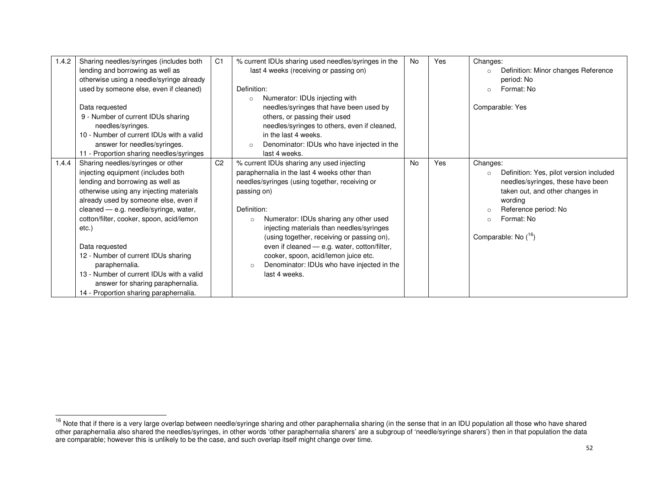| 1.4.2 | Sharing needles/syringes (includes both<br>lending and borrowing as well as<br>otherwise using a needle/syringe already<br>used by someone else, even if cleaned)<br>Data requested<br>9 - Number of current IDUs sharing<br>needles/syringes.<br>10 - Number of current IDUs with a valid<br>answer for needles/syringes.<br>11 - Proportion sharing needles/syringes                                                                                                                              | C <sub>1</sub> | % current IDUs sharing used needles/syringes in the<br>last 4 weeks (receiving or passing on)<br>Definition:<br>Numerator: IDUs injecting with<br>$\circ$<br>needles/syringes that have been used by<br>others, or passing their used<br>needles/syringes to others, even if cleaned,<br>in the last 4 weeks.<br>Denominator: IDUs who have injected in the<br>$\circ$<br>last 4 weeks.                                                                                                     | <b>No</b> | Yes | Changes:<br>Definition: Minor changes Reference<br>period: No<br>Format: No<br>$\circ$<br>Comparable: Yes                                                                                                                      |
|-------|-----------------------------------------------------------------------------------------------------------------------------------------------------------------------------------------------------------------------------------------------------------------------------------------------------------------------------------------------------------------------------------------------------------------------------------------------------------------------------------------------------|----------------|---------------------------------------------------------------------------------------------------------------------------------------------------------------------------------------------------------------------------------------------------------------------------------------------------------------------------------------------------------------------------------------------------------------------------------------------------------------------------------------------|-----------|-----|--------------------------------------------------------------------------------------------------------------------------------------------------------------------------------------------------------------------------------|
| 1.4.4 | Sharing needles/syringes or other<br>injecting equipment (includes both<br>lending and borrowing as well as<br>otherwise using any injecting materials<br>already used by someone else, even if<br>cleaned - e.g. needle/syringe, water,<br>cotton/filter, cooker, spoon, acid/lemon<br>etc.)<br>Data requested<br>12 - Number of current IDUs sharing<br>paraphernalia.<br>13 - Number of current IDUs with a valid<br>answer for sharing paraphernalia.<br>14 - Proportion sharing paraphernalia. | C <sub>2</sub> | % current IDUs sharing any used injecting<br>paraphernalia in the last 4 weeks other than<br>needles/syringes (using together, receiving or<br>passing on)<br>Definition:<br>Numerator: IDUs sharing any other used<br>$\circ$<br>injecting materials than needles/syringes<br>(using together, receiving or passing on),<br>even if cleaned - e.g. water, cotton/filter,<br>cooker, spoon, acid/lemon juice etc.<br>Denominator: IDUs who have injected in the<br>$\circ$<br>last 4 weeks. | <b>No</b> | Yes | Changes:<br>Definition: Yes, pilot version included<br>$\circ$<br>needles/syringes, these have been<br>taken out, and other changes in<br>wording<br>Reference period: No<br>Format: No<br>$\circ$<br>Comparable: No $(^{16})$ |

<sup>&</sup>lt;sup>16</sup> Note that if there is a very large overlap between needle/syringe sharing and other paraphernalia sharing (in the sense that in an IDU population all those who have shared<br>other paraphernalia also shared the needles/s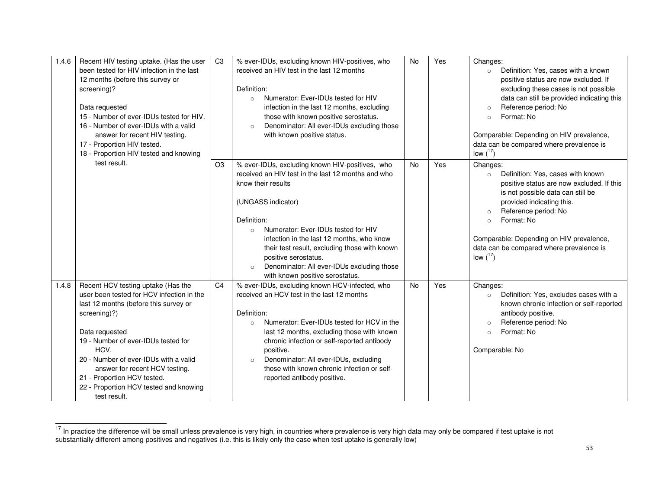| 1.4.6 | Recent HIV testing uptake. (Has the user<br>been tested for HIV infection in the last<br>12 months (before this survey or<br>screening)?<br>Data requested<br>15 - Number of ever-IDUs tested for HIV.<br>16 - Number of ever-IDUs with a valid<br>answer for recent HIV testing.<br>17 - Proportion HIV tested.<br>18 - Proportion HIV tested and knowing                    | C <sub>3</sub> | % ever-IDUs, excluding known HIV-positives, who<br>received an HIV test in the last 12 months<br>Definition:<br>Numerator: Ever-IDUs tested for HIV<br>$\circ$<br>infection in the last 12 months, excluding<br>those with known positive serostatus.<br>Denominator: All ever-IDUs excluding those<br>$\circ$<br>with known positive status.                                                                                        | <b>No</b> | Yes | Changes:<br>Definition: Yes, cases with a known<br>$\circ$<br>positive status are now excluded. If<br>excluding these cases is not possible<br>data can still be provided indicating this<br>Reference period: No<br>$\circ$<br>Format: No<br>$\circ$<br>Comparable: Depending on HIV prevalence,<br>data can be compared where prevalence is<br>low $(^{17})$ |
|-------|-------------------------------------------------------------------------------------------------------------------------------------------------------------------------------------------------------------------------------------------------------------------------------------------------------------------------------------------------------------------------------|----------------|--------------------------------------------------------------------------------------------------------------------------------------------------------------------------------------------------------------------------------------------------------------------------------------------------------------------------------------------------------------------------------------------------------------------------------------|-----------|-----|----------------------------------------------------------------------------------------------------------------------------------------------------------------------------------------------------------------------------------------------------------------------------------------------------------------------------------------------------------------|
|       | test result.                                                                                                                                                                                                                                                                                                                                                                  | O <sub>3</sub> | % ever-IDUs, excluding known HIV-positives, who<br>received an HIV test in the last 12 months and who<br>know their results<br>(UNGASS indicator)<br>Definition:<br>Numerator: Ever-IDUs tested for HIV<br>$\circ$<br>infection in the last 12 months, who know<br>their test result, excluding those with known<br>positive serostatus.<br>Denominator: All ever-IDUs excluding those<br>$\circ$<br>with known positive serostatus. | <b>No</b> | Yes | Changes:<br>Definition: Yes, cases with known<br>$\circ$<br>positive status are now excluded. If this<br>is not possible data can still be<br>provided indicating this.<br>Reference period: No<br>$\circ$<br>Format: No<br>$\circ$<br>Comparable: Depending on HIV prevalence,<br>data can be compared where prevalence is<br>low $(^{17})$                   |
| 1.4.8 | Recent HCV testing uptake (Has the<br>user been tested for HCV infection in the<br>last 12 months (before this survey or<br>screening)?)<br>Data requested<br>19 - Number of ever-IDUs tested for<br>HCV.<br>20 - Number of ever-IDUs with a valid<br>answer for recent HCV testing.<br>21 - Proportion HCV tested.<br>22 - Proportion HCV tested and knowing<br>test result. | C <sub>4</sub> | % ever-IDUs, excluding known HCV-infected, who<br>received an HCV test in the last 12 months<br>Definition:<br>Numerator: Ever-IDUs tested for HCV in the<br>$\circ$<br>last 12 months, excluding those with known<br>chronic infection or self-reported antibody<br>positive.<br>Denominator: All ever-IDUs, excluding<br>$\circ$<br>those with known chronic infection or self-<br>reported antibody positive.                     | <b>No</b> | Yes | Changes:<br>Definition: Yes, excludes cases with a<br>$\circ$<br>known chronic infection or self-reported<br>antibody positive.<br>Reference period: No<br>$\circ$<br>Format: No<br>$\circ$<br>Comparable: No                                                                                                                                                  |

<sup>&</sup>lt;sup>17</sup> In practice the difference will be small unless prevalence is very high, in countries where prevalence is very high data may only be compared if test uptake is not<br>substantially different among positives and negatives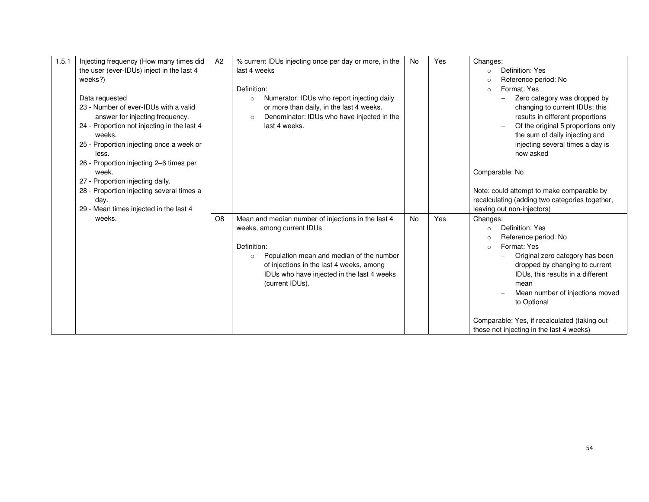| 1.5.1 | Injecting frequency (How many times did<br>the user (ever-IDUs) inject in the last 4<br>weeks?)<br>Data requested<br>23 - Number of ever-IDUs with a valid<br>answer for injecting frequency.<br>24 - Proportion not injecting in the last 4<br>weeks.<br>25 - Proportion injecting once a week or<br>less.<br>26 - Proportion injecting 2–6 times per<br>week.<br>27 - Proportion injecting daily.<br>28 - Proportion injecting several times a<br>day. | A2             | % current IDUs injecting once per day or more, in the<br>last 4 weeks<br>Definition:<br>Numerator: IDUs who report injecting daily<br>$\circ$<br>or more than daily, in the last 4 weeks.<br>Denominator: IDUs who have injected in the<br>$\circ$<br>last 4 weeks. | No | Yes | Changes:<br>Definition: Yes<br>$\circ$<br>Reference period: No<br>$\circ$<br>Format: Yes<br>$\circ$<br>Zero category was dropped by<br>changing to current IDUs; this<br>results in different proportions<br>Of the original 5 proportions only<br>the sum of daily injecting and<br>injecting several times a day is<br>now asked<br>Comparable: No<br>Note: could attempt to make comparable by<br>recalculating (adding two categories together, |
|-------|----------------------------------------------------------------------------------------------------------------------------------------------------------------------------------------------------------------------------------------------------------------------------------------------------------------------------------------------------------------------------------------------------------------------------------------------------------|----------------|---------------------------------------------------------------------------------------------------------------------------------------------------------------------------------------------------------------------------------------------------------------------|----|-----|-----------------------------------------------------------------------------------------------------------------------------------------------------------------------------------------------------------------------------------------------------------------------------------------------------------------------------------------------------------------------------------------------------------------------------------------------------|
|       | 29 - Mean times injected in the last 4<br>weeks.                                                                                                                                                                                                                                                                                                                                                                                                         | O <sub>8</sub> | Mean and median number of injections in the last 4<br>weeks, among current IDUs<br>Definition:<br>Population mean and median of the number<br>$\circ$<br>of injections in the last 4 weeks, among<br>IDUs who have injected in the last 4 weeks<br>(current IDUs).  | No | Yes | leaving out non-injectors)<br>Changes:<br>Definition: Yes<br>$\circ$<br>Reference period: No<br>$\circ$<br>Format: Yes<br>$\circ$<br>Original zero category has been<br>dropped by changing to current<br>IDUs, this results in a different<br>mean<br>Mean number of injections moved<br>to Optional<br>Comparable: Yes, if recalculated (taking out<br>those not injecting in the last 4 weeks)                                                   |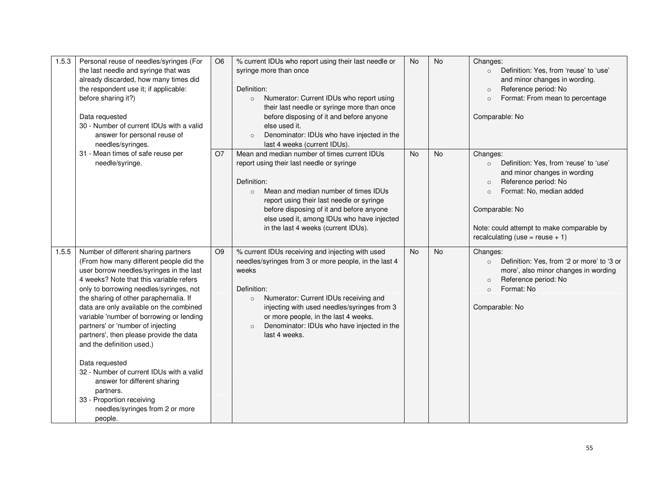| 1.5.3 | Personal reuse of needles/syringes (For<br>the last needle and syringe that was<br>already discarded, how many times did<br>the respondent use it; if applicable:<br>before sharing it?)<br>Data requested<br>30 - Number of current IDUs with a valid<br>answer for personal reuse of<br>needles/syringes.                                                                                                                                                                                                                                                                                                                                           | O <sub>6</sub> | % current IDUs who report using their last needle or<br>syringe more than once<br>Definition:<br>Numerator: Current IDUs who report using<br>$\circ$<br>their last needle or syringe more than once<br>before disposing of it and before anyone<br>else used it.<br>Denominator: IDUs who have injected in the<br>$\circ$<br>last 4 weeks (current IDUs). | <b>No</b> | No        | Changes:<br>Definition: Yes, from 'reuse' to 'use'<br>$\circ$<br>and minor changes in wording.<br>Reference period: No<br>$\circ$<br>Format: From mean to percentage<br>$\circ$<br>Comparable: No                                                                          |
|-------|-------------------------------------------------------------------------------------------------------------------------------------------------------------------------------------------------------------------------------------------------------------------------------------------------------------------------------------------------------------------------------------------------------------------------------------------------------------------------------------------------------------------------------------------------------------------------------------------------------------------------------------------------------|----------------|-----------------------------------------------------------------------------------------------------------------------------------------------------------------------------------------------------------------------------------------------------------------------------------------------------------------------------------------------------------|-----------|-----------|----------------------------------------------------------------------------------------------------------------------------------------------------------------------------------------------------------------------------------------------------------------------------|
|       | 31 - Mean times of safe reuse per<br>needle/syringe.                                                                                                                                                                                                                                                                                                                                                                                                                                                                                                                                                                                                  | <b>O7</b>      | Mean and median number of times current IDUs<br>report using their last needle or syringe<br>Definition:<br>Mean and median number of times IDUs<br>$\circ$<br>report using their last needle or syringe<br>before disposing of it and before anyone<br>else used it, among IDUs who have injected<br>in the last 4 weeks (current IDUs).                 | <b>No</b> | <b>No</b> | Changes:<br>Definition: Yes, from 'reuse' to 'use'<br>$\circ$<br>and minor changes in wording<br>Reference period: No<br>$\circ$<br>Format: No, median added<br>$\Omega$<br>Comparable: No<br>Note: could attempt to make comparable by<br>recalculating (use = reuse + 1) |
| 1.5.5 | Number of different sharing partners<br>(From how many different people did the<br>user borrow needles/syringes in the last<br>4 weeks? Note that this variable refers<br>only to borrowing needles/syringes, not<br>the sharing of other paraphernalia. If<br>data are only available on the combined<br>variable 'number of borrowing or lending<br>partners' or 'number of injecting<br>partners', then please provide the data<br>and the definition used.)<br>Data requested<br>32 - Number of current IDUs with a valid<br>answer for different sharing<br>partners.<br>33 - Proportion receiving<br>needles/syringes from 2 or more<br>people. | O <sub>9</sub> | % current IDUs receiving and injecting with used<br>needles/syringes from 3 or more people, in the last 4<br>weeks<br>Definition:<br>Numerator: Current IDUs receiving and<br>$\circ$<br>injecting with used needles/syringes from 3<br>or more people, in the last 4 weeks.<br>Denominator: IDUs who have injected in the<br>$\circ$<br>last 4 weeks.    | <b>No</b> | <b>No</b> | Changes:<br>Definition: Yes, from '2 or more' to '3 or<br>$\circ$<br>more', also minor changes in wording<br>Reference period: No<br>$\circ$<br>Format: No<br>$\Omega$<br>Comparable: No                                                                                   |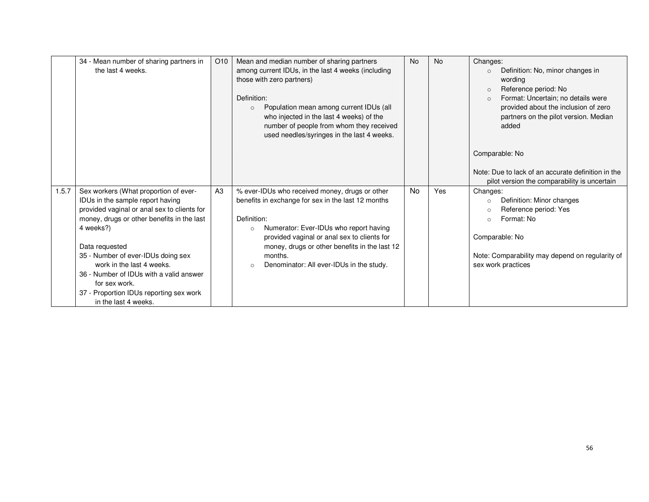|       | 34 - Mean number of sharing partners in<br>the last 4 weeks.                    | O <sub>10</sub> | Mean and median number of sharing partners<br>among current IDUs, in the last 4 weeks (including | <b>No</b> | <b>No</b> | Changes:<br>Definition: No, minor changes in<br>$\circ$                                            |
|-------|---------------------------------------------------------------------------------|-----------------|--------------------------------------------------------------------------------------------------|-----------|-----------|----------------------------------------------------------------------------------------------------|
|       |                                                                                 |                 | those with zero partners)                                                                        |           |           | wording<br>Reference period: No<br>$\circ$                                                         |
|       |                                                                                 |                 | Definition:<br>Population mean among current IDUs (all<br>$\circ$                                |           |           | Format: Uncertain; no details were<br>$\circ$<br>provided about the inclusion of zero              |
|       |                                                                                 |                 | who injected in the last 4 weeks) of the<br>number of people from whom they received             |           |           | partners on the pilot version. Median<br>added                                                     |
|       |                                                                                 |                 | used needles/syringes in the last 4 weeks.                                                       |           |           |                                                                                                    |
|       |                                                                                 |                 |                                                                                                  |           |           | Comparable: No                                                                                     |
|       |                                                                                 |                 |                                                                                                  |           |           | Note: Due to lack of an accurate definition in the<br>pilot version the comparability is uncertain |
| 1.5.7 | Sex workers (What proportion of ever-                                           | A3              | % ever-IDUs who received money, drugs or other                                                   | <b>No</b> | Yes       | Changes:                                                                                           |
|       | IDUs in the sample report having<br>provided vaginal or anal sex to clients for |                 | benefits in exchange for sex in the last 12 months                                               |           |           | Definition: Minor changes<br>$\circ$<br>Reference period: Yes<br>$\circ$                           |
|       | money, drugs or other benefits in the last                                      |                 | Definition:                                                                                      |           |           | Format: No<br>$\circ$                                                                              |
|       | 4 weeks?)                                                                       |                 | Numerator: Ever-IDUs who report having<br>$\circ$                                                |           |           |                                                                                                    |
|       | Data requested                                                                  |                 | provided vaginal or anal sex to clients for<br>money, drugs or other benefits in the last 12     |           |           | Comparable: No                                                                                     |
|       | 35 - Number of ever-IDUs doing sex                                              |                 | months.                                                                                          |           |           | Note: Comparability may depend on regularity of                                                    |
|       | work in the last 4 weeks.                                                       |                 | Denominator: All ever-IDUs in the study.<br>$\circ$                                              |           |           | sex work practices                                                                                 |
|       | 36 - Number of IDUs with a valid answer<br>for sex work.                        |                 |                                                                                                  |           |           |                                                                                                    |
|       | 37 - Proportion IDUs reporting sex work<br>in the last 4 weeks.                 |                 |                                                                                                  |           |           |                                                                                                    |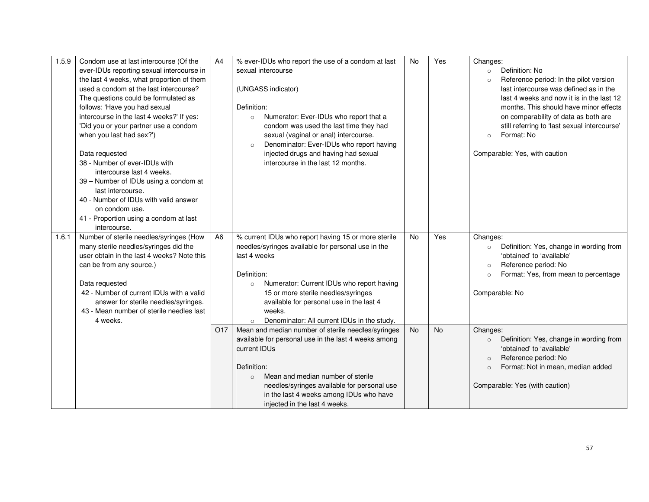| 1.5.9 | Condom use at last intercourse (Of the<br>ever-IDUs reporting sexual intercourse in<br>the last 4 weeks, what proportion of them<br>used a condom at the last intercourse?<br>The questions could be formulated as<br>follows: 'Have you had sexual<br>intercourse in the last 4 weeks?' If yes:<br>'Did you or your partner use a condom<br>when you last had sex?')<br>Data requested<br>38 - Number of ever-IDUs with<br>intercourse last 4 weeks.<br>39 - Number of IDUs using a condom at<br>last intercourse.<br>40 - Number of IDUs with valid answer<br>on condom use.<br>41 - Proportion using a condom at last | A4              | % ever-IDUs who report the use of a condom at last<br>sexual intercourse<br>(UNGASS indicator)<br>Definition:<br>Numerator: Ever-IDUs who report that a<br>$\circ$<br>condom was used the last time they had<br>sexual (vaginal or anal) intercourse.<br>Denominator: Ever-IDUs who report having<br>$\circ$<br>injected drugs and having had sexual<br>intercourse in the last 12 months. | <b>No</b> | Yes | Changes:<br>Definition: No<br>$\circ$<br>Reference period: In the pilot version<br>$\circ$<br>last intercourse was defined as in the<br>last 4 weeks and now it is in the last 12<br>months. This should have minor effects<br>on comparability of data as both are<br>still referring to 'last sexual intercourse'<br>Format: No<br>$\circ$<br>Comparable: Yes, with caution |
|-------|--------------------------------------------------------------------------------------------------------------------------------------------------------------------------------------------------------------------------------------------------------------------------------------------------------------------------------------------------------------------------------------------------------------------------------------------------------------------------------------------------------------------------------------------------------------------------------------------------------------------------|-----------------|--------------------------------------------------------------------------------------------------------------------------------------------------------------------------------------------------------------------------------------------------------------------------------------------------------------------------------------------------------------------------------------------|-----------|-----|-------------------------------------------------------------------------------------------------------------------------------------------------------------------------------------------------------------------------------------------------------------------------------------------------------------------------------------------------------------------------------|
| 1.6.1 | intercourse.<br>Number of sterile needles/syringes (How<br>many sterile needles/syringes did the<br>user obtain in the last 4 weeks? Note this<br>can be from any source.)<br>Data requested<br>42 - Number of current IDUs with a valid<br>answer for sterile needles/syringes.<br>43 - Mean number of sterile needles last<br>4 weeks.                                                                                                                                                                                                                                                                                 | A <sub>6</sub>  | % current IDUs who report having 15 or more sterile<br>needles/syringes available for personal use in the<br>last 4 weeks<br>Definition:<br>Numerator: Current IDUs who report having<br>$\circ$<br>15 or more sterile needles/syringes<br>available for personal use in the last 4<br>weeks.<br>Denominator: All current IDUs in the study.<br>$\circ$                                    | <b>No</b> | Yes | Changes:<br>Definition: Yes, change in wording from<br>$\circ$<br>'obtained' to 'available'<br>Reference period: No<br>$\circ$<br>Format: Yes, from mean to percentage<br>$\circ$<br>Comparable: No                                                                                                                                                                           |
|       |                                                                                                                                                                                                                                                                                                                                                                                                                                                                                                                                                                                                                          | O <sub>17</sub> | Mean and median number of sterile needles/syringes<br>available for personal use in the last 4 weeks among<br>current IDUs<br>Definition:<br>Mean and median number of sterile<br>$\circ$<br>needles/syringes available for personal use<br>in the last 4 weeks among IDUs who have<br>injected in the last 4 weeks.                                                                       | <b>No</b> | No  | Changes:<br>Definition: Yes, change in wording from<br>$\circ$<br>'obtained' to 'available'<br>Reference period: No<br>$\circ$<br>Format: Not in mean, median added<br>$\circ$<br>Comparable: Yes (with caution)                                                                                                                                                              |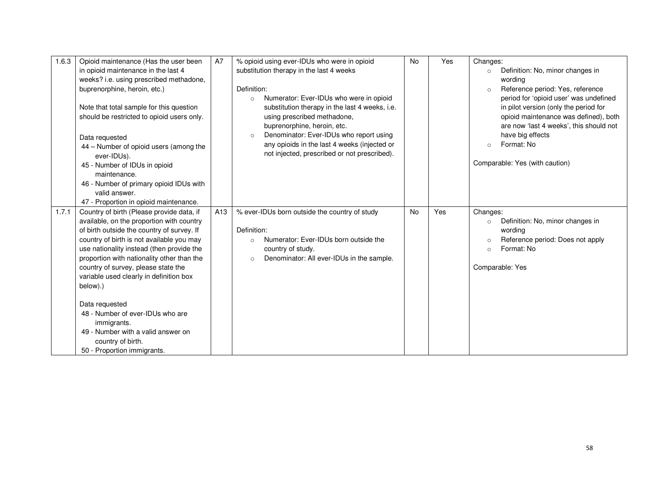| 1.6.3 | Opioid maintenance (Has the user been<br>in opioid maintenance in the last 4<br>weeks? i.e. using prescribed methadone,<br>buprenorphine, heroin, etc.)<br>Note that total sample for this question<br>should be restricted to opioid users only.<br>Data requested<br>44 – Number of opioid users (among the<br>ever-IDUs).<br>45 - Number of IDUs in opioid<br>maintenance. | A7              | % opioid using ever-IDUs who were in opioid<br>substitution therapy in the last 4 weeks<br>Definition:<br>Numerator: Ever-IDUs who were in opioid<br>$\circ$<br>substitution therapy in the last 4 weeks, i.e.<br>using prescribed methadone,<br>buprenorphine, heroin, etc.<br>Denominator: Ever-IDUs who report using<br>$\circ$<br>any opioids in the last 4 weeks (injected or<br>not injected, prescribed or not prescribed). | <b>No</b> | Yes | Changes:<br>Definition: No, minor changes in<br>$\circ$<br>wordina<br>Reference period: Yes, reference<br>$\circ$<br>period for 'opioid user' was undefined<br>in pilot version (only the period for<br>opioid maintenance was defined), both<br>are now 'last 4 weeks', this should not<br>have big effects<br>Format: No<br>$\circ$<br>Comparable: Yes (with caution) |
|-------|-------------------------------------------------------------------------------------------------------------------------------------------------------------------------------------------------------------------------------------------------------------------------------------------------------------------------------------------------------------------------------|-----------------|------------------------------------------------------------------------------------------------------------------------------------------------------------------------------------------------------------------------------------------------------------------------------------------------------------------------------------------------------------------------------------------------------------------------------------|-----------|-----|-------------------------------------------------------------------------------------------------------------------------------------------------------------------------------------------------------------------------------------------------------------------------------------------------------------------------------------------------------------------------|
|       | 46 - Number of primary opioid IDUs with<br>valid answer.<br>47 - Proportion in opioid maintenance.                                                                                                                                                                                                                                                                            |                 |                                                                                                                                                                                                                                                                                                                                                                                                                                    |           |     |                                                                                                                                                                                                                                                                                                                                                                         |
| 1.7.1 | Country of birth (Please provide data, if<br>available, on the proportion with country<br>of birth outside the country of survey. If<br>country of birth is not available you may<br>use nationality instead (then provide the<br>proportion with nationality other than the<br>country of survey, please state the<br>variable used clearly in definition box<br>below).)    | A <sub>13</sub> | % ever-IDUs born outside the country of study<br>Definition:<br>Numerator: Ever-IDUs born outside the<br>$\circ$<br>country of study.<br>Denominator: All ever-IDUs in the sample.<br>$\circ$                                                                                                                                                                                                                                      | <b>No</b> | Yes | Changes:<br>Definition: No, minor changes in<br>$\circ$<br>wording<br>Reference period: Does not apply<br>$\circ$<br>Format: No<br>$\circ$<br>Comparable: Yes                                                                                                                                                                                                           |
|       | Data requested<br>48 - Number of ever-IDUs who are<br>immigrants.<br>49 - Number with a valid answer on<br>country of birth.<br>50 - Proportion immigrants.                                                                                                                                                                                                                   |                 |                                                                                                                                                                                                                                                                                                                                                                                                                                    |           |     |                                                                                                                                                                                                                                                                                                                                                                         |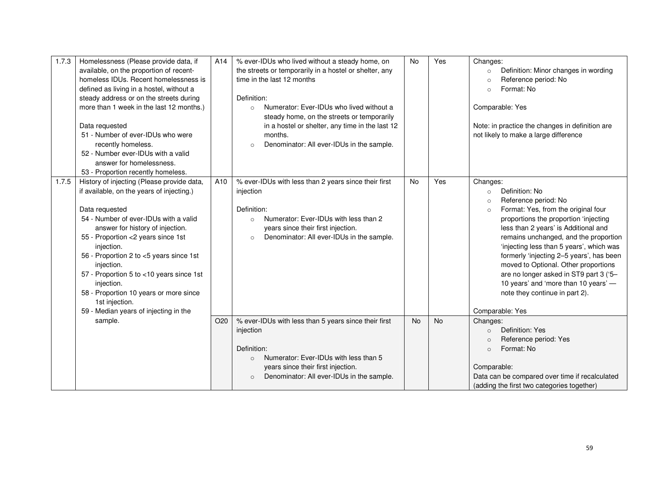| 1.7.3 | Homelessness (Please provide data, if<br>available, on the proportion of recent-<br>homeless IDUs. Recent homelessness is<br>defined as living in a hostel, without a<br>steady address or on the streets during<br>more than 1 week in the last 12 months.)<br>Data requested<br>51 - Number of ever-IDUs who were<br>recently homeless.<br>52 - Number ever-IDUs with a valid<br>answer for homelessness.<br>53 - Proportion recently homeless.                  | A14             | % ever-IDUs who lived without a steady home, on<br>the streets or temporarily in a hostel or shelter, any<br>time in the last 12 months<br>Definition:<br>Numerator: Ever-IDUs who lived without a<br>$\circ$<br>steady home, on the streets or temporarily<br>in a hostel or shelter, any time in the last 12<br>months.<br>Denominator: All ever-IDUs in the sample.<br>$\circ$ | <b>No</b> | Yes       | Changes:<br>Definition: Minor changes in wording<br>$\circ$<br>Reference period: No<br>$\circ$<br>Format: No<br>$\circ$<br>Comparable: Yes<br>Note: in practice the changes in definition are<br>not likely to make a large difference                                                                                                                                                                                                                                                                                      |
|-------|--------------------------------------------------------------------------------------------------------------------------------------------------------------------------------------------------------------------------------------------------------------------------------------------------------------------------------------------------------------------------------------------------------------------------------------------------------------------|-----------------|-----------------------------------------------------------------------------------------------------------------------------------------------------------------------------------------------------------------------------------------------------------------------------------------------------------------------------------------------------------------------------------|-----------|-----------|-----------------------------------------------------------------------------------------------------------------------------------------------------------------------------------------------------------------------------------------------------------------------------------------------------------------------------------------------------------------------------------------------------------------------------------------------------------------------------------------------------------------------------|
| 1.7.5 | History of injecting (Please provide data,<br>if available, on the years of injecting.)<br>Data requested<br>54 - Number of ever-IDUs with a valid<br>answer for history of injection.<br>55 - Proportion <2 years since 1st<br>injection.<br>56 - Proportion 2 to <5 years since 1st<br>injection.<br>57 - Proportion 5 to <10 years since 1st<br>injection.<br>58 - Proportion 10 years or more since<br>1st injection.<br>59 - Median years of injecting in the | A10             | % ever-IDUs with less than 2 years since their first<br>injection<br>Definition:<br>Numerator: Ever-IDUs with less than 2<br>$\circ$<br>years since their first injection.<br>Denominator: All ever-IDUs in the sample.<br>$\circ$                                                                                                                                                | No        | Yes       | Changes:<br>Definition: No<br>$\circ$<br>Reference period: No<br>$\circ$<br>Format: Yes, from the original four<br>$\circ$<br>proportions the proportion 'injecting<br>less than 2 years' is Additional and<br>remains unchanged, and the proportion<br>'injecting less than 5 years', which was<br>formerly 'injecting 2-5 years', has been<br>moved to Optional. Other proportions<br>are no longer asked in ST9 part 3 ('5-<br>10 years' and 'more than 10 years' -<br>note they continue in part 2).<br>Comparable: Yes |
|       | sample.                                                                                                                                                                                                                                                                                                                                                                                                                                                            | O <sub>20</sub> | % ever-IDUs with less than 5 years since their first<br>injection<br>Definition:<br>Numerator: Ever-IDUs with less than 5<br>$\circ$<br>years since their first injection.<br>Denominator: All ever-IDUs in the sample.<br>$\circ$                                                                                                                                                | No.       | <b>No</b> | Changes:<br>Definition: Yes<br>$\circ$<br>Reference period: Yes<br>$\circ$<br>Format: No<br>$\Omega$<br>Comparable:<br>Data can be compared over time if recalculated<br>(adding the first two categories together)                                                                                                                                                                                                                                                                                                         |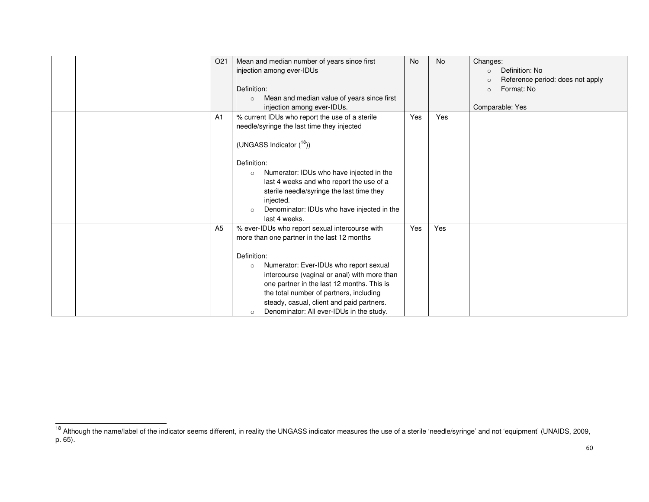|  | O <sub>21</sub> | Mean and median number of years since first           | <b>No</b> | <b>No</b> | Changes:                                    |
|--|-----------------|-------------------------------------------------------|-----------|-----------|---------------------------------------------|
|  |                 | injection among ever-IDUs                             |           |           | Definition: No<br>$\circ$                   |
|  |                 |                                                       |           |           | Reference period: does not apply<br>$\circ$ |
|  |                 | Definition:                                           |           |           | Format: No<br>$\circ$                       |
|  |                 | Mean and median value of years since first<br>$\circ$ |           |           |                                             |
|  |                 | injection among ever-IDUs.                            |           |           | Comparable: Yes                             |
|  | A <sub>1</sub>  | % current IDUs who report the use of a sterile        | Yes       | Yes       |                                             |
|  |                 | needle/syringe the last time they injected            |           |           |                                             |
|  |                 |                                                       |           |           |                                             |
|  |                 | (UNGASS Indicator $(^{18})$ )                         |           |           |                                             |
|  |                 |                                                       |           |           |                                             |
|  |                 | Definition:                                           |           |           |                                             |
|  |                 | Numerator: IDUs who have injected in the<br>$\circ$   |           |           |                                             |
|  |                 | last 4 weeks and who report the use of a              |           |           |                                             |
|  |                 | sterile needle/syringe the last time they             |           |           |                                             |
|  |                 | injected.                                             |           |           |                                             |
|  |                 | Denominator: IDUs who have injected in the<br>$\circ$ |           |           |                                             |
|  |                 | last 4 weeks.                                         |           |           |                                             |
|  | A <sub>5</sub>  | % ever-IDUs who report sexual intercourse with        | Yes       | Yes       |                                             |
|  |                 | more than one partner in the last 12 months           |           |           |                                             |
|  |                 |                                                       |           |           |                                             |
|  |                 | Definition:                                           |           |           |                                             |
|  |                 | Numerator: Ever-IDUs who report sexual<br>$\circ$     |           |           |                                             |
|  |                 | intercourse (vaginal or anal) with more than          |           |           |                                             |
|  |                 | one partner in the last 12 months. This is            |           |           |                                             |
|  |                 | the total number of partners, including               |           |           |                                             |
|  |                 | steady, casual, client and paid partners.             |           |           |                                             |
|  |                 | Denominator: All ever-IDUs in the study.<br>$\circ$   |           |           |                                             |

<sup>&</sup>lt;sup>18</sup> Although the name/label of the indicator seems different, in reality the UNGASS indicator measures the use of a sterile 'needle/syringe' and not 'equipment' (UNAIDS, 2009,<br>p. 65).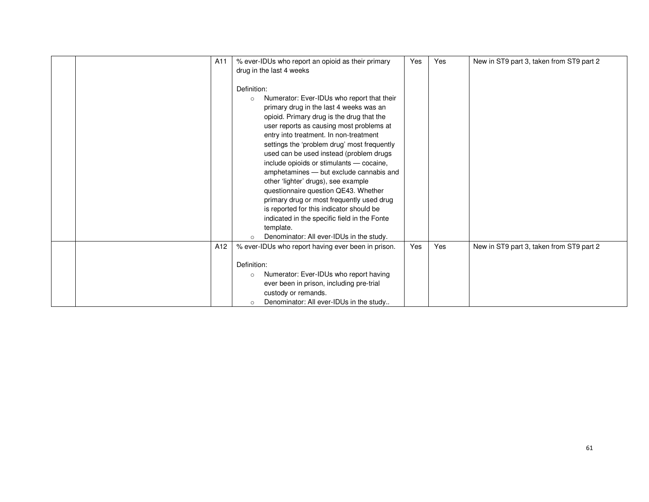| A <sub>11</sub> | % ever-IDUs who report an opioid as their primary<br>drug in the last 4 weeks                                                                                                                                                                                                                                                                                                                                                                                                                                                                                                                                                                                                                                        | Yes | Yes | New in ST9 part 3, taken from ST9 part 2 |
|-----------------|----------------------------------------------------------------------------------------------------------------------------------------------------------------------------------------------------------------------------------------------------------------------------------------------------------------------------------------------------------------------------------------------------------------------------------------------------------------------------------------------------------------------------------------------------------------------------------------------------------------------------------------------------------------------------------------------------------------------|-----|-----|------------------------------------------|
|                 | Definition:<br>Numerator: Ever-IDUs who report that their<br>$\circ$<br>primary drug in the last 4 weeks was an<br>opioid. Primary drug is the drug that the<br>user reports as causing most problems at<br>entry into treatment. In non-treatment<br>settings the 'problem drug' most frequently<br>used can be used instead (problem drugs<br>include opioids or stimulants - cocaine,<br>amphetamines - but exclude cannabis and<br>other 'lighter' drugs), see example<br>questionnaire question QE43. Whether<br>primary drug or most frequently used drug<br>is reported for this indicator should be<br>indicated in the specific field in the Fonte<br>template.<br>Denominator: All ever-IDUs in the study. |     |     |                                          |
| A <sub>12</sub> | % ever-IDUs who report having ever been in prison.                                                                                                                                                                                                                                                                                                                                                                                                                                                                                                                                                                                                                                                                   | Yes | Yes | New in ST9 part 3, taken from ST9 part 2 |
|                 | Definition:<br>Numerator: Ever-IDUs who report having<br>$\circ$<br>ever been in prison, including pre-trial<br>custody or remands.<br>Denominator: All ever-IDUs in the study<br>$\circ$                                                                                                                                                                                                                                                                                                                                                                                                                                                                                                                            |     |     |                                          |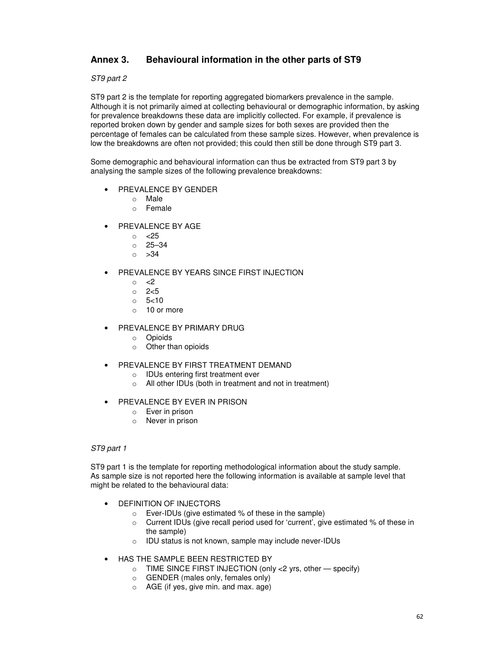## **Annex 3. Behavioural information in the other parts of ST9**

#### ST9 part 2

ST9 part 2 is the template for reporting aggregated biomarkers prevalence in the sample. Although it is not primarily aimed at collecting behavioural or demographic information, by asking for prevalence breakdowns these data are implicitly collected. For example, if prevalence is reported broken down by gender and sample sizes for both sexes are provided then the percentage of females can be calculated from these sample sizes. However, when prevalence is low the breakdowns are often not provided; this could then still be done through ST9 part 3.

Some demographic and behavioural information can thus be extracted from ST9 part 3 by analysing the sample sizes of the following prevalence breakdowns:

- PREVALENCE BY GENDER
	- o Male
	- o Female
- PREVALENCE BY AGE
	- o <25
	- o 25–34
	- $\circ$  >34
- PREVALENCE BY YEARS SINCE FIRST INJECTION
	- $\circ$  <2
	- o 2<5
	- $\circ$  5 < 10
	- $\circ$  10 or more
- PREVALENCE BY PRIMARY DRUG
	- o Opioids
	- o Other than opioids
- PREVALENCE BY FIRST TREATMENT DEMAND
	- o IDUs entering first treatment ever
	- o All other IDUs (both in treatment and not in treatment)
- PREVALENCE BY EVER IN PRISON
	- o Ever in prison
	- o Never in prison

#### ST9 part 1

ST9 part 1 is the template for reporting methodological information about the study sample. As sample size is not reported here the following information is available at sample level that might be related to the behavioural data:

- DEFINITION OF INJECTORS
	- o Ever-IDUs (give estimated % of these in the sample)
	- o Current IDUs (give recall period used for 'current', give estimated % of these in the sample)
	- o IDU status is not known, sample may include never-IDUs
- HAS THE SAMPLE BEEN RESTRICTED BY
	- $\circ$  TIME SINCE FIRST INJECTION (only <2 yrs, other  $-$  specify)
	- o GENDER (males only, females only)
	- o AGE (if yes, give min. and max. age)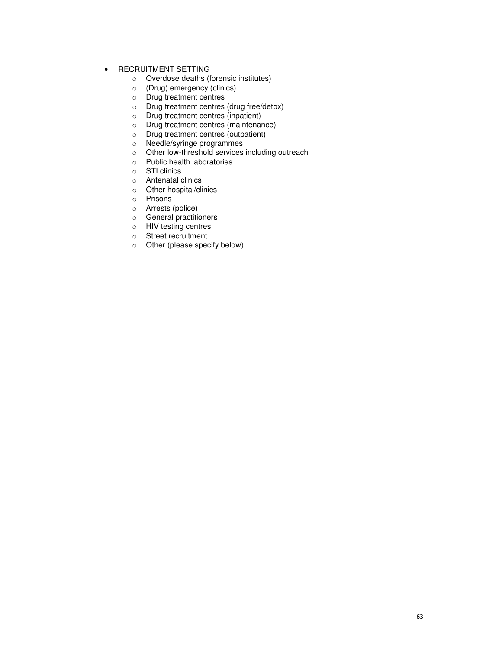- RECRUITMENT SETTING
	- o Overdose deaths (forensic institutes)
	- o (Drug) emergency (clinics)
	- o Drug treatment centres
	- o Drug treatment centres (drug free/detox)
	- o Drug treatment centres (inpatient)
	- o Drug treatment centres (maintenance)
	- o Drug treatment centres (outpatient)
	- o Needle/syringe programmes
	- o Other low-threshold services including outreach
	- o Public health laboratories
	- o STI clinics
	- o Antenatal clinics
	- o Other hospital/clinics
	- o Prisons
	- o Arrests (police)
	- o General practitioners
	- o HIV testing centres
	- o Street recruitment
	- o Other (please specify below)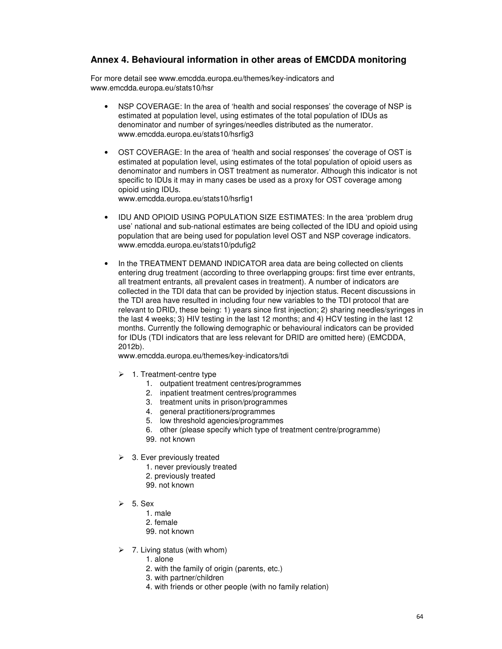## **Annex 4. Behavioural information in other areas of EMCDDA monitoring**

For more detail see www.emcdda.europa.eu/themes/key-indicators and www.emcdda.europa.eu/stats10/hsr

- NSP COVERAGE: In the area of 'health and social responses' the coverage of NSP is estimated at population level, using estimates of the total population of IDUs as denominator and number of syringes/needles distributed as the numerator. www.emcdda.europa.eu/stats10/hsrfig3
- OST COVERAGE: In the area of 'health and social responses' the coverage of OST is estimated at population level, using estimates of the total population of opioid users as denominator and numbers in OST treatment as numerator. Although this indicator is not specific to IDUs it may in many cases be used as a proxy for OST coverage among opioid using IDUs.

www.emcdda.europa.eu/stats10/hsrfig1

- IDU AND OPIOID USING POPULATION SIZE ESTIMATES: In the area 'problem drug use' national and sub-national estimates are being collected of the IDU and opioid using population that are being used for population level OST and NSP coverage indicators. www.emcdda.europa.eu/stats10/pdufig2
- In the TREATMENT DEMAND INDICATOR area data are being collected on clients entering drug treatment (according to three overlapping groups: first time ever entrants, all treatment entrants, all prevalent cases in treatment). A number of indicators are collected in the TDI data that can be provided by injection status. Recent discussions in the TDI area have resulted in including four new variables to the TDI protocol that are relevant to DRID, these being: 1) years since first injection; 2) sharing needles/syringes in the last 4 weeks; 3) HIV testing in the last 12 months; and 4) HCV testing in the last 12 months. Currently the following demographic or behavioural indicators can be provided for IDUs (TDI indicators that are less relevant for DRID are omitted here) (EMCDDA, 2012b).

www.emcdda.europa.eu/themes/key-indicators/tdi

- $\geq 1$ . Treatment-centre type
	- 1. outpatient treatment centres/programmes
	- 2. inpatient treatment centres/programmes
	- 3. treatment units in prison/programmes
	- 4. general practitioners/programmes
	- 5. low threshold agencies/programmes
	- 6. other (please specify which type of treatment centre/programme)
	- 99. not known
- $\geq$  3. Ever previously treated
	- 1. never previously treated
	- 2. previously treated
	- 99. not known
- $\geq$  5. Sex
	- 1. male
	- 2. female
	- 99. not known
- $\geq$  7. Living status (with whom)
	- 1. alone
	- 2. with the family of origin (parents, etc.)
	- 3. with partner/children
	- 4. with friends or other people (with no family relation)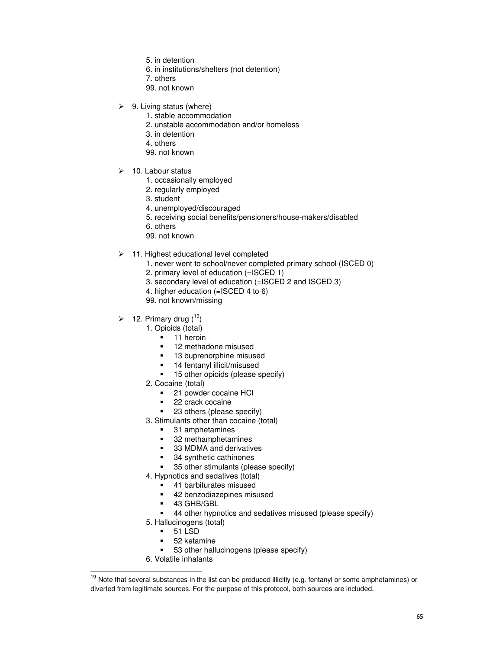- 5. in detention
- 6. in institutions/shelters (not detention)
- 7. others
- 99. not known
- $\geq$  9. Living status (where)
	- 1. stable accommodation
	- 2. unstable accommodation and/or homeless
	- 3. in detention
	- 4. others
	- 99. not known
- $\geq$  10. Labour status
	- 1. occasionally employed
	- 2. regularly employed
	- 3. student
	- 4. unemployed/discouraged
	- 5. receiving social benefits/pensioners/house-makers/disabled
	- 6. others
	- 99. not known
- $\geq$  11. Highest educational level completed
	- 1. never went to school/never completed primary school (ISCED 0)
	- 2. primary level of education (=ISCED 1)
	- 3. secondary level of education (=ISCED 2 and ISCED 3)
	- 4. higher education (=ISCED 4 to 6)
	- 99. not known/missing
- $\geq 12$ . Primary drug (<sup>19</sup>)
	- 1. Opioids (total)
		- **11** heroin
		- -12 methadone misused
		- -13 buprenorphine misused
		- -14 fentanyl illicit/misused
		- -15 other opioids (please specify)
	- 2. Cocaine (total)
		- -21 powder cocaine HCl
		- -22 crack cocaine
		- -23 others (please specify)
	- 3. Stimulants other than cocaine (total)
		- -31 amphetamines
		- -32 methamphetamines
		- -33 MDMA and derivatives
		- -34 synthetic cathinones
		- -35 other stimulants (please specify)
	- 4. Hypnotics and sedatives (total)
		- -41 barbiturates misused
		- -42 benzodiazepines misused
		- -43 GHB/GBL
		- -44 other hypnotics and sedatives misused (please specify)
	- 5. Hallucinogens (total)
		- -51 LSD
		- -52 ketamine
		- -53 other hallucinogens (please specify)
	- 6. Volatile inhalants

-

<sup>&</sup>lt;sup>19</sup> Note that several substances in the list can be produced illicitly (e.g. fentanyl or some amphetamines) or diverted from legitimate sources. For the purpose of this protocol, both sources are included.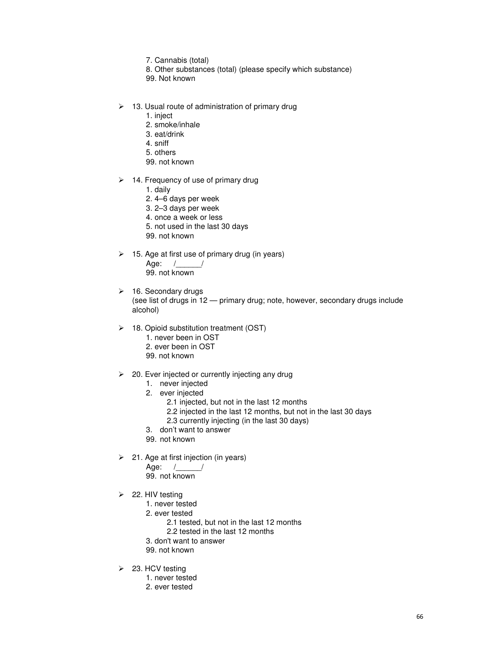- 7. Cannabis (total)
- 8. Other substances (total) (please specify which substance)
- 99. Not known
- $\geq$  13. Usual route of administration of primary drug
	- 1. inject
		- 2. smoke/inhale
		- 3. eat/drink
		- 4. sniff
		- 5. others
		- 99. not known
- $\geq$  14. Frequency of use of primary drug
	- 1. daily
	- 2. 4–6 days per week
	- 3. 2–3 days per week
	- 4. once a week or less
	- 5. not used in the last 30 days
	- 99. not known
- $\geq$  15. Age at first use of primary drug (in years) Age: /\_\_\_\_\_\_/ 99. not known
- $\geq$  16. Secondary drugs (see list of drugs in 12 — primary drug; note, however, secondary drugs include alcohol)
- $\geq$  18. Opioid substitution treatment (OST)
	- 1. never been in OST
	- 2. ever been in OST
	- 99. not known
- $\geq$  20. Ever injected or currently injecting any drug
	- 1. never injected
	- 2. ever injected
		- 2.1 injected, but not in the last 12 months
		- 2.2 injected in the last 12 months, but not in the last 30 days
		- 2.3 currently injecting (in the last 30 days)
	- 3. don't want to answer
	- 99. not known
- $\geq$  21. Age at first injection (in years)
	- Age: /\_\_\_\_\_\_/
		- 99. not known
- $\geq$  22. HIV testing
	- 1. never tested
	- 2. ever tested
		- 2.1 tested, but not in the last 12 months
		- 2.2 tested in the last 12 months
	- 3. don't want to answer
	- 99. not known
- $\geq$  23. HCV testing
	- 1. never tested
		- 2. ever tested